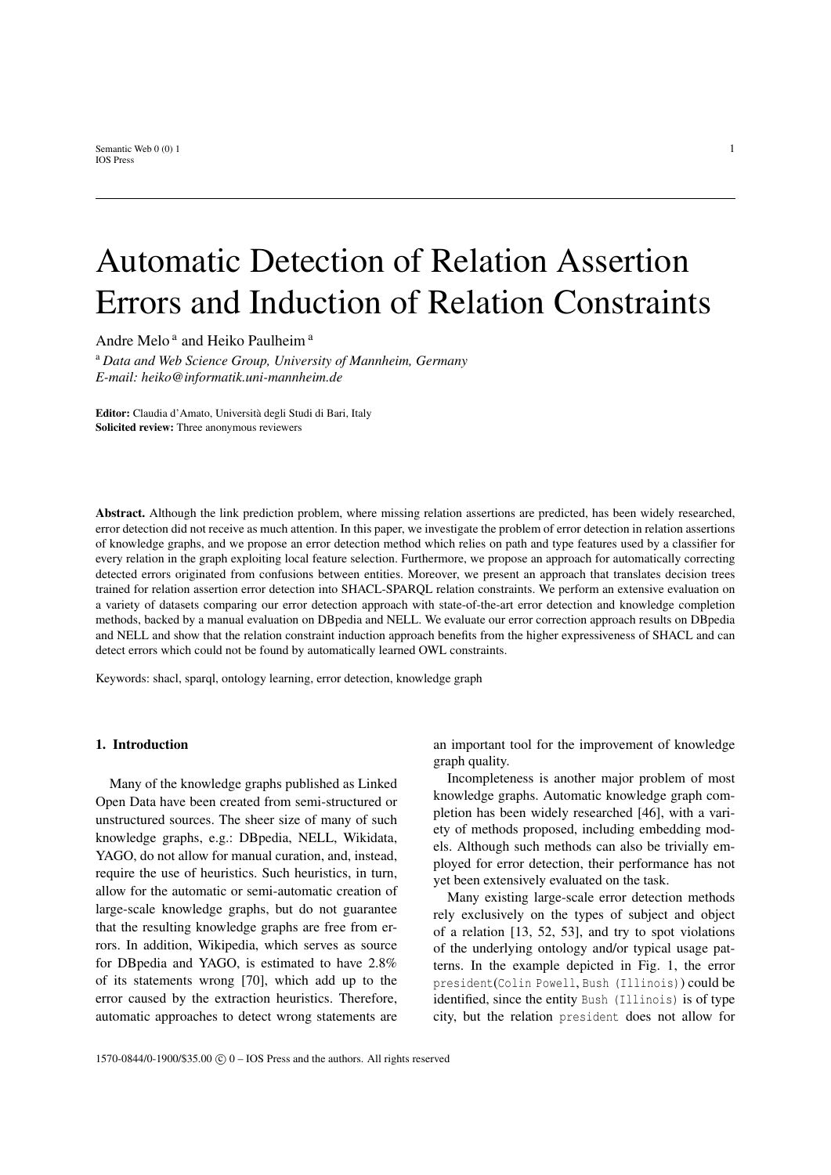Semantic Web  $0(0)$  1 1 IOS Press

# Automatic Detection of Relation Assertion Errors and Induction of Relation Constraints

<span id="page-0-0"></span>Andre Melo<sup>[a](#page-0-0)</sup> and Heiko Paulheim<sup>a</sup>

<sup>a</sup> *Data and Web Science Group, University of Mannheim, Germany E-mail: [heiko@informatik.uni-mannheim.de](mailto:heiko@informatik.uni-mannheim.de)*

Editor: Claudia d'Amato, Università degli Studi di Bari, Italy Solicited review: Three anonymous reviewers

Abstract. Although the link prediction problem, where missing relation assertions are predicted, has been widely researched, error detection did not receive as much attention. In this paper, we investigate the problem of error detection in relation assertions of knowledge graphs, and we propose an error detection method which relies on path and type features used by a classifier for every relation in the graph exploiting local feature selection. Furthermore, we propose an approach for automatically correcting detected errors originated from confusions between entities. Moreover, we present an approach that translates decision trees trained for relation assertion error detection into SHACL-SPARQL relation constraints. We perform an extensive evaluation on a variety of datasets comparing our error detection approach with state-of-the-art error detection and knowledge completion methods, backed by a manual evaluation on DBpedia and NELL. We evaluate our error correction approach results on DBpedia and NELL and show that the relation constraint induction approach benefits from the higher expressiveness of SHACL and can detect errors which could not be found by automatically learned OWL constraints.

Keywords: shacl, sparql, ontology learning, error detection, knowledge graph

## 1. Introduction

Many of the knowledge graphs published as Linked Open Data have been created from semi-structured or unstructured sources. The sheer size of many of such knowledge graphs, e.g.: DBpedia, NELL, Wikidata, YAGO, do not allow for manual curation, and, instead, require the use of heuristics. Such heuristics, in turn, allow for the automatic or semi-automatic creation of large-scale knowledge graphs, but do not guarantee that the resulting knowledge graphs are free from errors. In addition, Wikipedia, which serves as source for DBpedia and YAGO, is estimated to have 2.8% of its statements wrong [\[70\]](#page-28-0), which add up to the error caused by the extraction heuristics. Therefore, automatic approaches to detect wrong statements are an important tool for the improvement of knowledge graph quality.

Incompleteness is another major problem of most knowledge graphs. Automatic knowledge graph completion has been widely researched [\[46\]](#page-27-0), with a variety of methods proposed, including embedding models. Although such methods can also be trivially employed for error detection, their performance has not yet been extensively evaluated on the task.

Many existing large-scale error detection methods rely exclusively on the types of subject and object of a relation [\[13,](#page-26-0) [52,](#page-28-1) [53\]](#page-28-2), and try to spot violations of the underlying ontology and/or typical usage patterns. In the example depicted in Fig. [1,](#page-1-0) the error president(Colin Powell, Bush (Illinois)) could be identified, since the entity Bush (Illinois) is of type city, but the relation president does not allow for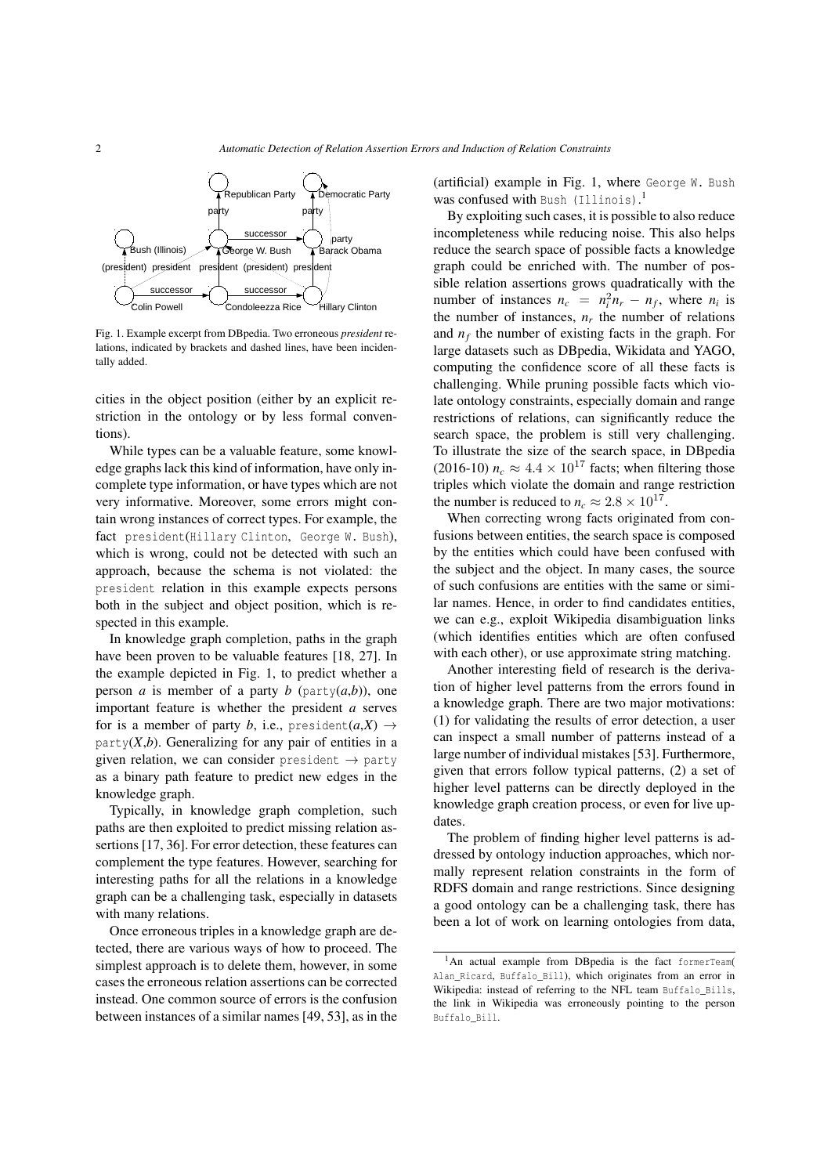<span id="page-1-0"></span>

Fig. 1. Example excerpt from DBpedia. Two erroneous *president* relations, indicated by brackets and dashed lines, have been incidentally added.

cities in the object position (either by an explicit restriction in the ontology or by less formal conventions).

While types can be a valuable feature, some knowledge graphs lack this kind of information, have only incomplete type information, or have types which are not very informative. Moreover, some errors might contain wrong instances of correct types. For example, the fact president(Hillary Clinton, George W. Bush), which is wrong, could not be detected with such an approach, because the schema is not violated: the president relation in this example expects persons both in the subject and object position, which is respected in this example.

In knowledge graph completion, paths in the graph have been proven to be valuable features [\[18,](#page-26-1) [27\]](#page-27-1). In the example depicted in Fig. [1,](#page-1-0) to predict whether a person *a* is member of a party *b* (party( $a$ , $b$ )), one important feature is whether the president *a* serves for is a member of party *b*, i.e., president $(a,X) \rightarrow$  $party(X,b)$ . Generalizing for any pair of entities in a given relation, we can consider president  $\rightarrow$  party as a binary path feature to predict new edges in the knowledge graph.

Typically, in knowledge graph completion, such paths are then exploited to predict missing relation assertions [\[17,](#page-26-2) [36\]](#page-27-2). For error detection, these features can complement the type features. However, searching for interesting paths for all the relations in a knowledge graph can be a challenging task, especially in datasets with many relations.

Once erroneous triples in a knowledge graph are detected, there are various ways of how to proceed. The simplest approach is to delete them, however, in some cases the erroneous relation assertions can be corrected instead. One common source of errors is the confusion between instances of a similar names [\[49,](#page-28-3) [53\]](#page-28-2), as in the (artificial) example in Fig. [1,](#page-1-0) where George W. Bush was confused with Bush (Illinois). [1](#page-1-1)

By exploiting such cases, it is possible to also reduce incompleteness while reducing noise. This also helps reduce the search space of possible facts a knowledge graph could be enriched with. The number of possible relation assertions grows quadratically with the number of instances  $n_c = n_i^2 n_r - n_f$ , where  $n_i$  is the number of instances,  $n_r$  the number of relations and  $n_f$  the number of existing facts in the graph. For large datasets such as DBpedia, Wikidata and YAGO, computing the confidence score of all these facts is challenging. While pruning possible facts which violate ontology constraints, especially domain and range restrictions of relations, can significantly reduce the search space, the problem is still very challenging. To illustrate the size of the search space, in DBpedia (2016-10)  $n_c \approx 4.4 \times 10^{17}$  facts; when filtering those triples which violate the domain and range restriction the number is reduced to  $n_c \approx 2.8 \times 10^{17}$ .<br>When correcting wrong facts originate

When correcting wrong facts originated from confusions between entities, the search space is composed by the entities which could have been confused with the subject and the object. In many cases, the source of such confusions are entities with the same or similar names. Hence, in order to find candidates entities, we can e.g., exploit Wikipedia disambiguation links (which identifies entities which are often confused with each other), or use approximate string matching.

Another interesting field of research is the derivation of higher level patterns from the errors found in a knowledge graph. There are two major motivations: (1) for validating the results of error detection, a user can inspect a small number of patterns instead of a large number of individual mistakes [\[53\]](#page-28-2). Furthermore, given that errors follow typical patterns, (2) a set of higher level patterns can be directly deployed in the knowledge graph creation process, or even for live updates.

The problem of finding higher level patterns is addressed by ontology induction approaches, which normally represent relation constraints in the form of RDFS domain and range restrictions. Since designing a good ontology can be a challenging task, there has been a lot of work on learning ontologies from data,

<span id="page-1-1"></span><sup>1</sup>An actual example from DBpedia is the fact formerTeam( Alan Ricard, Buffalo Bill), which originates from an error in Wikipedia: instead of referring to the NFL team Buffalo\_Bills, the link in Wikipedia was erroneously pointing to the person Buffalo\_Bill.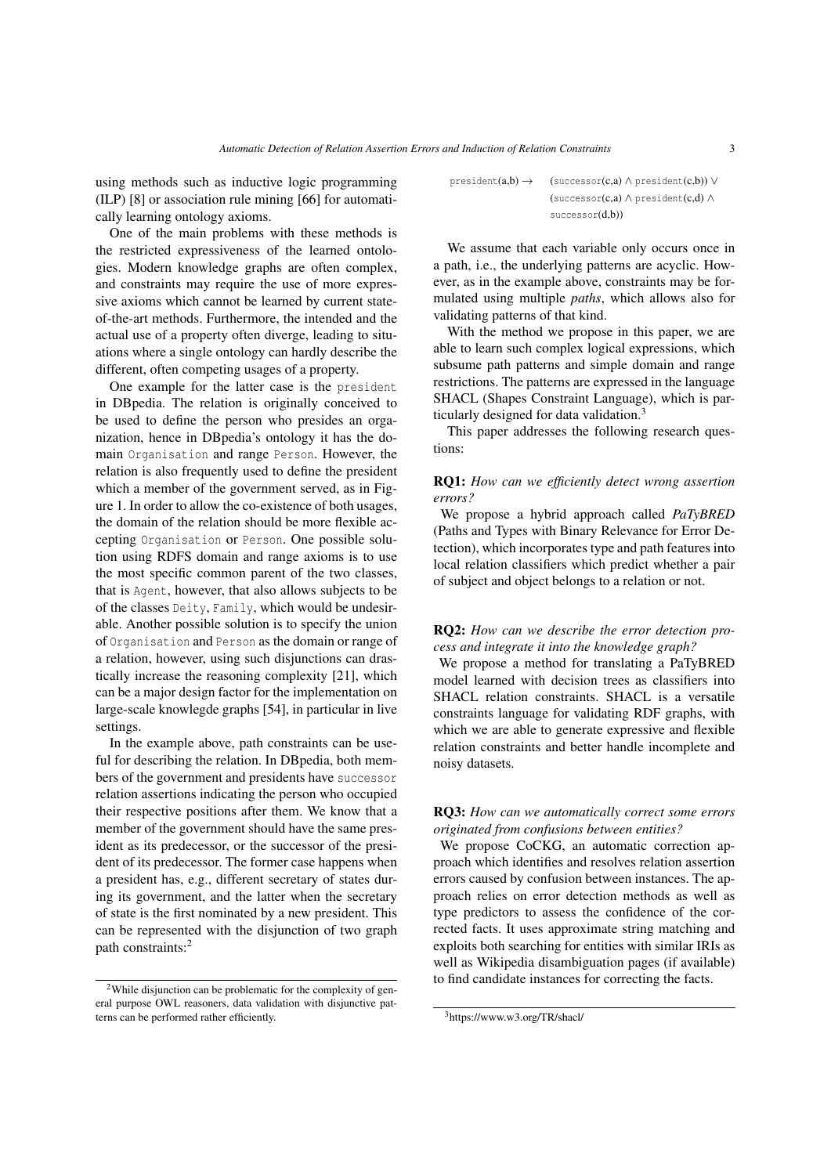using methods such as inductive logic programming (ILP) [\[8\]](#page-26-3) or association rule mining [\[66\]](#page-28-4) for automatically learning ontology axioms.

One of the main problems with these methods is the restricted expressiveness of the learned ontologies. Modern knowledge graphs are often complex, and constraints may require the use of more expressive axioms which cannot be learned by current stateof-the-art methods. Furthermore, the intended and the actual use of a property often diverge, leading to situations where a single ontology can hardly describe the different, often competing usages of a property.

One example for the latter case is the president in DBpedia. The relation is originally conceived to be used to define the person who presides an organization, hence in DBpedia's ontology it has the domain Organisation and range Person. However, the relation is also frequently used to define the president which a member of the government served, as in Figure [1.](#page-1-0) In order to allow the co-existence of both usages, the domain of the relation should be more flexible accepting Organisation or Person. One possible solution using RDFS domain and range axioms is to use the most specific common parent of the two classes, that is Agent, however, that also allows subjects to be of the classes Deity, Family, which would be undesirable. Another possible solution is to specify the union of Organisation and Person as the domain or range of a relation, however, using such disjunctions can drastically increase the reasoning complexity [\[21\]](#page-27-3), which can be a major design factor for the implementation on large-scale knowlegde graphs [\[54\]](#page-28-5), in particular in live settings.

In the example above, path constraints can be useful for describing the relation. In DBpedia, both members of the government and presidents have successor relation assertions indicating the person who occupied their respective positions after them. We know that a member of the government should have the same president as its predecessor, or the successor of the president of its predecessor. The former case happens when a president has, e.g., different secretary of states during its government, and the latter when the secretary of state is the first nominated by a new president. This can be represented with the disjunction of two graph path constraints:<sup>[2](#page-2-0)</sup>

| president( $a,b) \rightarrow$ | $(successor(c,a) \wedge president(c,b))$ $\vee$ |
|-------------------------------|-------------------------------------------------|
|                               | $(successor(c,a) \wedge president(c,d) \wedge$  |
|                               | successor(d,b))                                 |

We assume that each variable only occurs once in a path, i.e., the underlying patterns are acyclic. However, as in the example above, constraints may be formulated using multiple *paths*, which allows also for validating patterns of that kind.

With the method we propose in this paper, we are able to learn such complex logical expressions, which subsume path patterns and simple domain and range restrictions. The patterns are expressed in the language SHACL (Shapes Constraint Language), which is par-ticularly designed for data validation.<sup>[3](#page-2-1)</sup>

This paper addresses the following research questions:

## <span id="page-2-2"></span>RQ1: *How can we efficiently detect wrong assertion errors?*

We propose a hybrid approach called *PaTyBRED* (Paths and Types with Binary Relevance for Error Detection), which incorporates type and path features into local relation classifiers which predict whether a pair of subject and object belongs to a relation or not.

# <span id="page-2-3"></span>RQ2: *How can we describe the error detection process and integrate it into the knowledge graph?*

We propose a method for translating a PaTyBRED model learned with decision trees as classifiers into SHACL relation constraints. SHACL is a versatile constraints language for validating RDF graphs, with which we are able to generate expressive and flexible relation constraints and better handle incomplete and noisy datasets.

## <span id="page-2-4"></span>RQ3: *How can we automatically correct some errors originated from confusions between entities?*

We propose CoCKG, an automatic correction approach which identifies and resolves relation assertion errors caused by confusion between instances. The approach relies on error detection methods as well as type predictors to assess the confidence of the corrected facts. It uses approximate string matching and exploits both searching for entities with similar IRIs as well as Wikipedia disambiguation pages (if available) to find candidate instances for correcting the facts.

<span id="page-2-0"></span><sup>2</sup>While disjunction can be problematic for the complexity of general purpose OWL reasoners, data validation with disjunctive patterns can be performed rather efficiently.

<span id="page-2-1"></span><sup>3</sup><https://www.w3.org/TR/shacl/>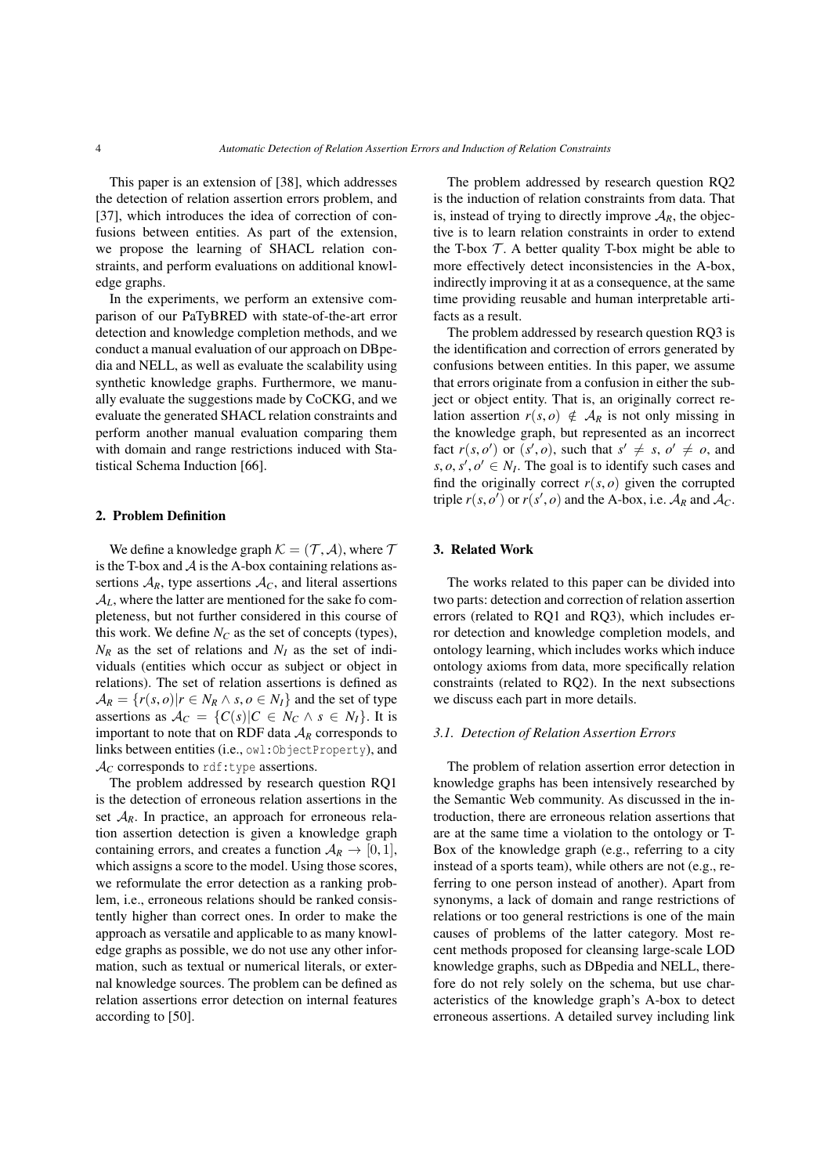This paper is an extension of [\[38\]](#page-27-4), which addresses the detection of relation assertion errors problem, and [\[37\]](#page-27-5), which introduces the idea of correction of confusions between entities. As part of the extension, we propose the learning of SHACL relation constraints, and perform evaluations on additional knowledge graphs.

In the experiments, we perform an extensive comparison of our PaTyBRED with state-of-the-art error detection and knowledge completion methods, and we conduct a manual evaluation of our approach on DBpedia and NELL, as well as evaluate the scalability using synthetic knowledge graphs. Furthermore, we manually evaluate the suggestions made by CoCKG, and we evaluate the generated SHACL relation constraints and perform another manual evaluation comparing them with domain and range restrictions induced with Statistical Schema Induction [\[66\]](#page-28-4).

## 2. Problem Definition

We define a knowledge graph  $\mathcal{K} = (\mathcal{T}, \mathcal{A})$ , where  $\mathcal{T}$ is the T-box and  $A$  is the A-box containing relations assertions  $A_R$ , type assertions  $A_C$ , and literal assertions  $A_L$ , where the latter are mentioned for the sake fo completeness, but not further considered in this course of this work. We define  $N_C$  as the set of concepts (types),  $N_R$  as the set of relations and  $N_I$  as the set of individuals (entities which occur as subject or object in relations). The set of relation assertions is defined as  $\mathcal{A}_R = \{r(s, o) | r \in N_R \land s, o \in N_I\}$  and the set of type assertions as  $A_C = \{C(s) | C \in N_C \land s \in N_I\}$ . It is important to note that on RDF data  $A_R$  corresponds to links between entities (i.e., owl:ObjectProperty), and  $\mathcal{A}_C$  corresponds to rdf:type assertions.

The problem addressed by research question R[Q1](#page-2-2) is the detection of erroneous relation assertions in the set  $A_R$ . In practice, an approach for erroneous relation assertion detection is given a knowledge graph containing errors, and creates a function  $A_R \rightarrow [0, 1]$ , which assigns a score to the model. Using those scores, we reformulate the error detection as a ranking problem, i.e., erroneous relations should be ranked consistently higher than correct ones. In order to make the approach as versatile and applicable to as many knowledge graphs as possible, we do not use any other information, such as textual or numerical literals, or external knowledge sources. The problem can be defined as relation assertions error detection on internal features according to [\[50\]](#page-28-6).

The problem addressed by research question R[Q2](#page-2-3) is the induction of relation constraints from data. That is, instead of trying to directly improve  $A_R$ , the objective is to learn relation constraints in order to extend the T-box  $\mathcal T$ . A better quality T-box might be able to more effectively detect inconsistencies in the A-box, indirectly improving it at as a consequence, at the same time providing reusable and human interpretable artifacts as a result.

The problem addressed by research question R[Q3](#page-2-4) is the identification and correction of errors generated by confusions between entities. In this paper, we assume that errors originate from a confusion in either the subject or object entity. That is, an originally correct relation assertion  $r(s, o) \notin A_R$  is not only missing in the knowledge graph, but represented as an incorrect fact  $r(s, o')$  or  $(s', o)$ , such that  $s' \neq s$ ,  $o' \neq o$ , and  $s \cdot o \leq s' \cdot o' \in N$ . The soal is to identify such cases and  $s, o, s', o' \in N_I$ . The goal is to identify such cases and find the originally correct  $r(s, o)$  given the corrunted find the originally correct  $r(s, o)$  given the corrupted triple  $r(s, o')$  or  $r(s', o)$  and the A-box, i.e.  $A_R$  and  $A_C$ .

## 3. Related Work

The works related to this paper can be divided into two parts: detection and correction of relation assertion errors (related to R[Q1](#page-2-2) and R[Q3\)](#page-2-4), which includes error detection and knowledge completion models, and ontology learning, which includes works which induce ontology axioms from data, more specifically relation constraints (related to R[Q2\)](#page-2-3). In the next subsections we discuss each part in more details.

#### *3.1. Detection of Relation Assertion Errors*

The problem of relation assertion error detection in knowledge graphs has been intensively researched by the Semantic Web community. As discussed in the introduction, there are erroneous relation assertions that are at the same time a violation to the ontology or T-Box of the knowledge graph (e.g., referring to a city instead of a sports team), while others are not (e.g., referring to one person instead of another). Apart from synonyms, a lack of domain and range restrictions of relations or too general restrictions is one of the main causes of problems of the latter category. Most recent methods proposed for cleansing large-scale LOD knowledge graphs, such as DBpedia and NELL, therefore do not rely solely on the schema, but use characteristics of the knowledge graph's A-box to detect erroneous assertions. A detailed survey including link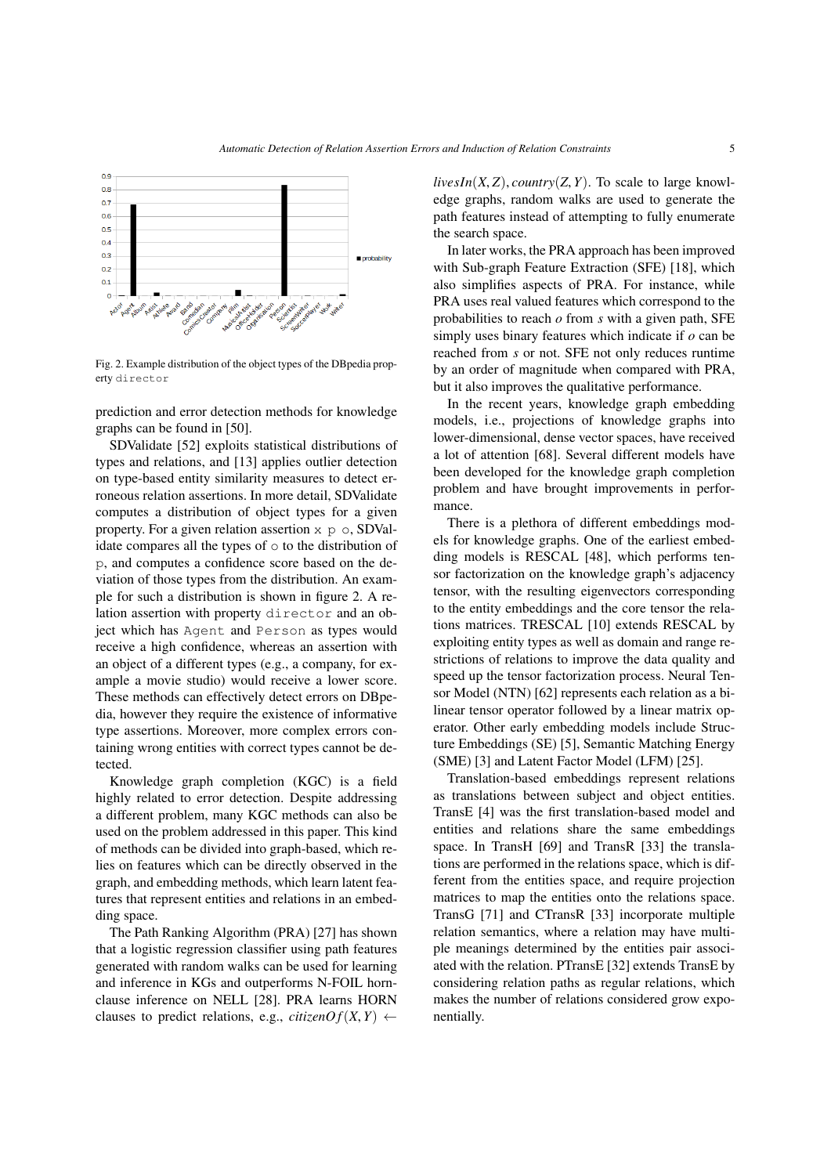<span id="page-4-0"></span>

Fig. 2. Example distribution of the object types of the DBpedia property director

prediction and error detection methods for knowledge graphs can be found in [\[50\]](#page-28-6).

SDValidate [\[52\]](#page-28-1) exploits statistical distributions of types and relations, and [\[13\]](#page-26-0) applies outlier detection on type-based entity similarity measures to detect erroneous relation assertions. In more detail, SDValidate computes a distribution of object types for a given property. For a given relation assertion  $x \, p \, o$ , SDValidate compares all the types of o to the distribution of p, and computes a confidence score based on the deviation of those types from the distribution. An example for such a distribution is shown in figure [2.](#page-4-0) A relation assertion with property director and an object which has Agent and Person as types would receive a high confidence, whereas an assertion with an object of a different types (e.g., a company, for example a movie studio) would receive a lower score. These methods can effectively detect errors on DBpedia, however they require the existence of informative type assertions. Moreover, more complex errors containing wrong entities with correct types cannot be detected.

Knowledge graph completion (KGC) is a field highly related to error detection. Despite addressing a different problem, many KGC methods can also be used on the problem addressed in this paper. This kind of methods can be divided into graph-based, which relies on features which can be directly observed in the graph, and embedding methods, which learn latent features that represent entities and relations in an embedding space.

The Path Ranking Algorithm (PRA) [\[27\]](#page-27-1) has shown that a logistic regression classifier using path features generated with random walks can be used for learning and inference in KGs and outperforms N-FOIL hornclause inference on NELL [\[28\]](#page-27-6). PRA learns HORN clauses to predict relations, e.g., *citizenOf(X,Y)*  $\leftarrow$ 

*livesIn*(*X, Z*), *country*(*Z, Y*). To scale to large knowledge graphs, random walks are used to generate the path features instead of attempting to fully enumerate the search space.

In later works, the PRA approach has been improved with Sub-graph Feature Extraction (SFE) [\[18\]](#page-26-1), which also simplifies aspects of PRA. For instance, while PRA uses real valued features which correspond to the probabilities to reach *o* from *s* with a given path, SFE simply uses binary features which indicate if *o* can be reached from *s* or not. SFE not only reduces runtime by an order of magnitude when compared with PRA, but it also improves the qualitative performance.

In the recent years, knowledge graph embedding models, i.e., projections of knowledge graphs into lower-dimensional, dense vector spaces, have received a lot of attention [\[68\]](#page-28-7). Several different models have been developed for the knowledge graph completion problem and have brought improvements in performance.

There is a plethora of different embeddings models for knowledge graphs. One of the earliest embedding models is RESCAL [\[48\]](#page-27-7), which performs tensor factorization on the knowledge graph's adjacency tensor, with the resulting eigenvectors corresponding to the entity embeddings and the core tensor the relations matrices. TRESCAL [\[10\]](#page-26-4) extends RESCAL by exploiting entity types as well as domain and range restrictions of relations to improve the data quality and speed up the tensor factorization process. Neural Tensor Model (NTN) [\[62\]](#page-28-8) represents each relation as a bilinear tensor operator followed by a linear matrix operator. Other early embedding models include Structure Embeddings (SE) [\[5\]](#page-26-5), Semantic Matching Energy (SME) [\[3\]](#page-26-6) and Latent Factor Model (LFM) [\[25\]](#page-27-8).

Translation-based embeddings represent relations as translations between subject and object entities. TransE [\[4\]](#page-26-7) was the first translation-based model and entities and relations share the same embeddings space. In TransH [\[69\]](#page-28-9) and TransR [\[33\]](#page-27-9) the translations are performed in the relations space, which is different from the entities space, and require projection matrices to map the entities onto the relations space. TransG [\[71\]](#page-28-10) and CTransR [\[33\]](#page-27-9) incorporate multiple relation semantics, where a relation may have multiple meanings determined by the entities pair associated with the relation. PTransE [\[32\]](#page-27-10) extends TransE by considering relation paths as regular relations, which makes the number of relations considered grow exponentially.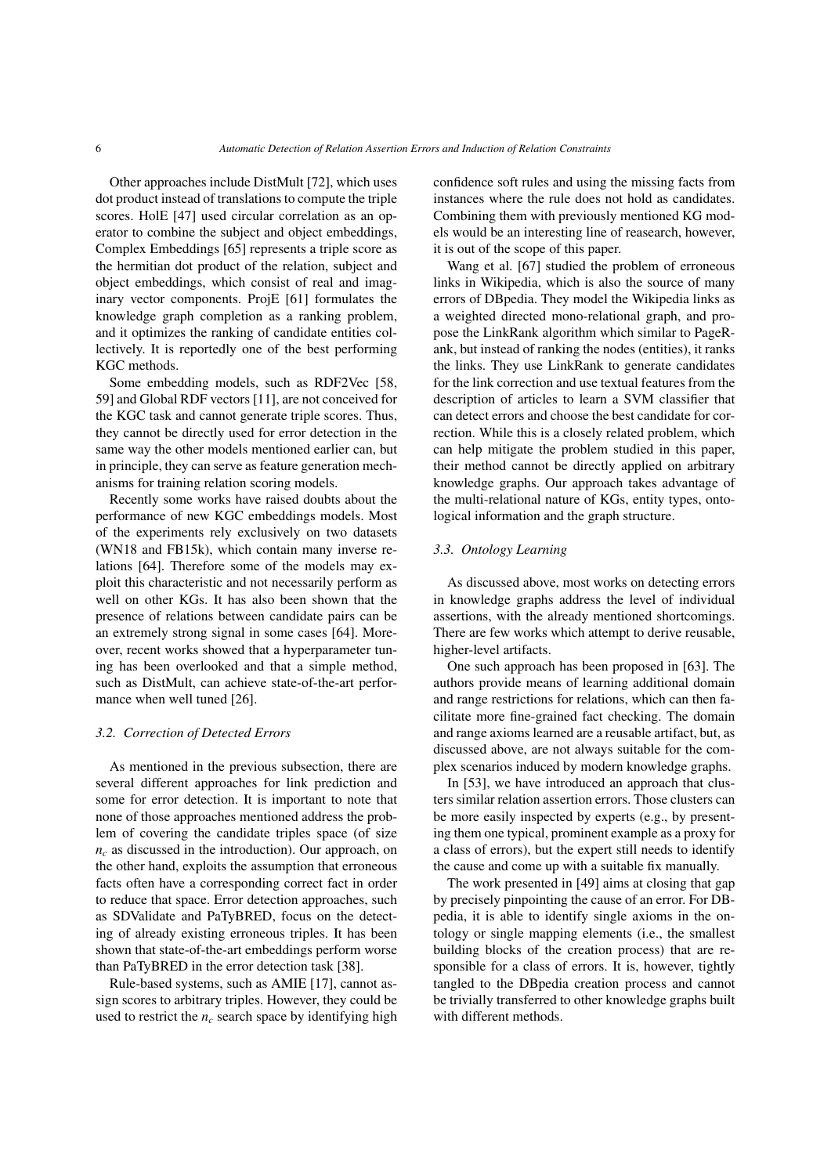Other approaches include DistMult [\[72\]](#page-28-11), which uses dot product instead of translations to compute the triple scores. HolE [\[47\]](#page-27-11) used circular correlation as an operator to combine the subject and object embeddings, Complex Embeddings [\[65\]](#page-28-12) represents a triple score as the hermitian dot product of the relation, subject and object embeddings, which consist of real and imaginary vector components. ProjE [\[61\]](#page-28-13) formulates the knowledge graph completion as a ranking problem, and it optimizes the ranking of candidate entities collectively. It is reportedly one of the best performing KGC methods.

Some embedding models, such as RDF2Vec [\[58,](#page-28-14) [59\]](#page-28-15) and Global RDF vectors [\[11\]](#page-26-8), are not conceived for the KGC task and cannot generate triple scores. Thus, they cannot be directly used for error detection in the same way the other models mentioned earlier can, but in principle, they can serve as feature generation mechanisms for training relation scoring models.

Recently some works have raised doubts about the performance of new KGC embeddings models. Most of the experiments rely exclusively on two datasets (WN18 and FB15k), which contain many inverse relations [\[64\]](#page-28-16). Therefore some of the models may exploit this characteristic and not necessarily perform as well on other KGs. It has also been shown that the presence of relations between candidate pairs can be an extremely strong signal in some cases [\[64\]](#page-28-16). Moreover, recent works showed that a hyperparameter tuning has been overlooked and that a simple method, such as DistMult, can achieve state-of-the-art performance when well tuned [\[26\]](#page-27-12).

#### *3.2. Correction of Detected Errors*

As mentioned in the previous subsection, there are several different approaches for link prediction and some for error detection. It is important to note that none of those approaches mentioned address the problem of covering the candidate triples space (of size *n<sup>c</sup>* as discussed in the introduction). Our approach, on the other hand, exploits the assumption that erroneous facts often have a corresponding correct fact in order to reduce that space. Error detection approaches, such as SDValidate and PaTyBRED, focus on the detecting of already existing erroneous triples. It has been shown that state-of-the-art embeddings perform worse than PaTyBRED in the error detection task [\[38\]](#page-27-4).

Rule-based systems, such as AMIE [\[17\]](#page-26-2), cannot assign scores to arbitrary triples. However, they could be used to restrict the  $n_c$  search space by identifying high confidence soft rules and using the missing facts from instances where the rule does not hold as candidates. Combining them with previously mentioned KG models would be an interesting line of reasearch, however, it is out of the scope of this paper.

Wang et al. [\[67\]](#page-28-17) studied the problem of erroneous links in Wikipedia, which is also the source of many errors of DBpedia. They model the Wikipedia links as a weighted directed mono-relational graph, and propose the LinkRank algorithm which similar to PageRank, but instead of ranking the nodes (entities), it ranks the links. They use LinkRank to generate candidates for the link correction and use textual features from the description of articles to learn a SVM classifier that can detect errors and choose the best candidate for correction. While this is a closely related problem, which can help mitigate the problem studied in this paper, their method cannot be directly applied on arbitrary knowledge graphs. Our approach takes advantage of the multi-relational nature of KGs, entity types, ontological information and the graph structure.

#### *3.3. Ontology Learning*

As discussed above, most works on detecting errors in knowledge graphs address the level of individual assertions, with the already mentioned shortcomings. There are few works which attempt to derive reusable, higher-level artifacts.

One such approach has been proposed in [\[63\]](#page-28-18). The authors provide means of learning additional domain and range restrictions for relations, which can then facilitate more fine-grained fact checking. The domain and range axioms learned are a reusable artifact, but, as discussed above, are not always suitable for the complex scenarios induced by modern knowledge graphs.

In [\[53\]](#page-28-2), we have introduced an approach that clusters similar relation assertion errors. Those clusters can be more easily inspected by experts (e.g., by presenting them one typical, prominent example as a proxy for a class of errors), but the expert still needs to identify the cause and come up with a suitable fix manually.

The work presented in [\[49\]](#page-28-3) aims at closing that gap by precisely pinpointing the cause of an error. For DBpedia, it is able to identify single axioms in the ontology or single mapping elements (i.e., the smallest building blocks of the creation process) that are responsible for a class of errors. It is, however, tightly tangled to the DBpedia creation process and cannot be trivially transferred to other knowledge graphs built with different methods.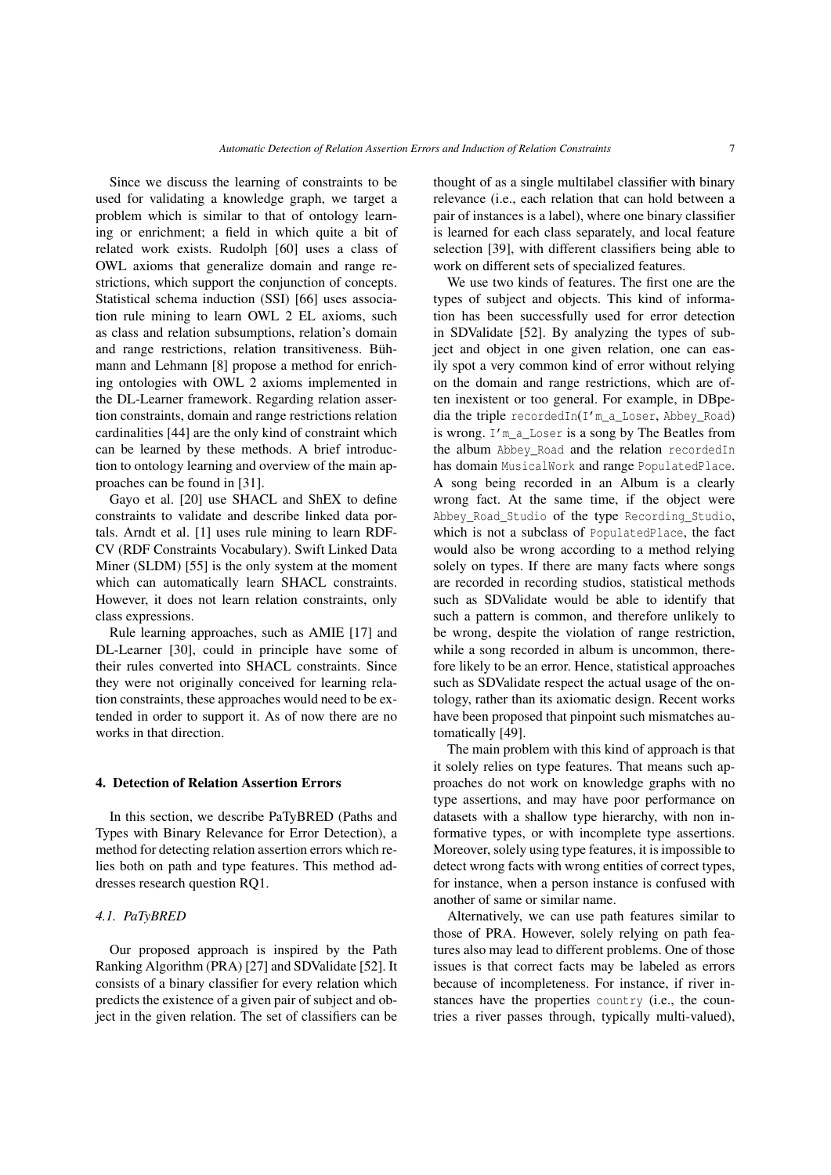Since we discuss the learning of constraints to be used for validating a knowledge graph, we target a problem which is similar to that of ontology learning or enrichment; a field in which quite a bit of related work exists. Rudolph [\[60\]](#page-28-19) uses a class of OWL axioms that generalize domain and range restrictions, which support the conjunction of concepts. Statistical schema induction (SSI) [\[66\]](#page-28-4) uses association rule mining to learn OWL 2 EL axioms, such as class and relation subsumptions, relation's domain and range restrictions, relation transitiveness. Bühmann and Lehmann [\[8\]](#page-26-3) propose a method for enriching ontologies with OWL 2 axioms implemented in the DL-Learner framework. Regarding relation assertion constraints, domain and range restrictions relation cardinalities [\[44\]](#page-27-13) are the only kind of constraint which can be learned by these methods. A brief introduction to ontology learning and overview of the main approaches can be found in [\[31\]](#page-27-14).

Gayo et al. [\[20\]](#page-26-9) use SHACL and ShEX to define constraints to validate and describe linked data portals. Arndt et al. [\[1\]](#page-26-10) uses rule mining to learn RDF-CV (RDF Constraints Vocabulary). Swift Linked Data Miner (SLDM) [\[55\]](#page-28-20) is the only system at the moment which can automatically learn SHACL constraints. However, it does not learn relation constraints, only class expressions.

Rule learning approaches, such as AMIE [\[17\]](#page-26-2) and DL-Learner [\[30\]](#page-27-15), could in principle have some of their rules converted into SHACL constraints. Since they were not originally conceived for learning relation constraints, these approaches would need to be extended in order to support it. As of now there are no works in that direction.

#### 4. Detection of Relation Assertion Errors

In this section, we describe PaTyBRED (Paths and Types with Binary Relevance for Error Detection), a method for detecting relation assertion errors which relies both on path and type features. This method addresses research question RQ1.

## *4.1. PaTyBRED*

Our proposed approach is inspired by the Path Ranking Algorithm (PRA) [\[27\]](#page-27-1) and SDValidate [\[52\]](#page-28-1). It consists of a binary classifier for every relation which predicts the existence of a given pair of subject and object in the given relation. The set of classifiers can be thought of as a single multilabel classifier with binary relevance (i.e., each relation that can hold between a pair of instances is a label), where one binary classifier is learned for each class separately, and local feature selection [\[39\]](#page-27-16), with different classifiers being able to work on different sets of specialized features.

We use two kinds of features. The first one are the types of subject and objects. This kind of information has been successfully used for error detection in SDValidate [\[52\]](#page-28-1). By analyzing the types of subject and object in one given relation, one can easily spot a very common kind of error without relying on the domain and range restrictions, which are often inexistent or too general. For example, in DBpedia the triple recordedIn(I'm\_a\_Loser, Abbey\_Road) is wrong. I'm\_a\_Loser is a song by The Beatles from the album Abbey\_Road and the relation recordedIn has domain MusicalWork and range PopulatedPlace. A song being recorded in an Album is a clearly wrong fact. At the same time, if the object were Abbey Road Studio of the type Recording Studio, which is not a subclass of PopulatedPlace, the fact would also be wrong according to a method relying solely on types. If there are many facts where songs are recorded in recording studios, statistical methods such as SDValidate would be able to identify that such a pattern is common, and therefore unlikely to be wrong, despite the violation of range restriction, while a song recorded in album is uncommon, therefore likely to be an error. Hence, statistical approaches such as SDValidate respect the actual usage of the ontology, rather than its axiomatic design. Recent works have been proposed that pinpoint such mismatches automatically [\[49\]](#page-28-3).

The main problem with this kind of approach is that it solely relies on type features. That means such approaches do not work on knowledge graphs with no type assertions, and may have poor performance on datasets with a shallow type hierarchy, with non informative types, or with incomplete type assertions. Moreover, solely using type features, it is impossible to detect wrong facts with wrong entities of correct types, for instance, when a person instance is confused with another of same or similar name.

Alternatively, we can use path features similar to those of PRA. However, solely relying on path features also may lead to different problems. One of those issues is that correct facts may be labeled as errors because of incompleteness. For instance, if river instances have the properties country (i.e., the countries a river passes through, typically multi-valued),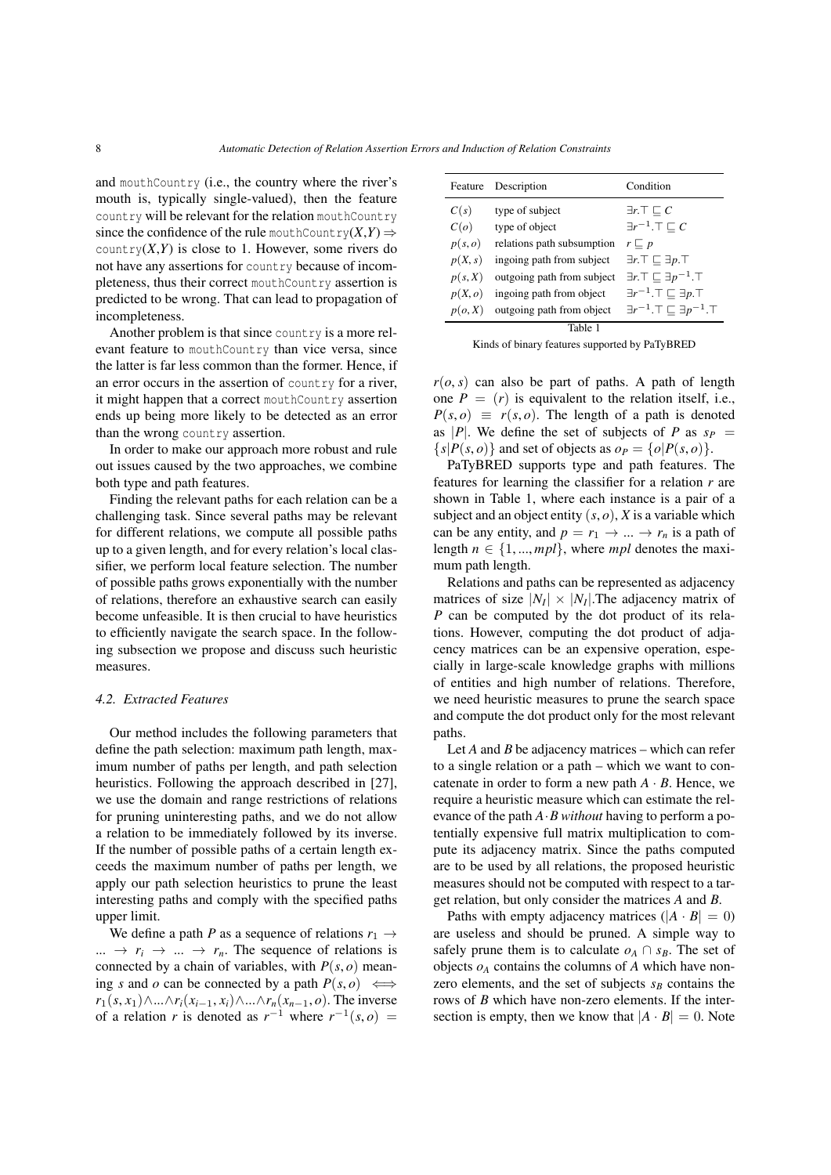and mouthCountry (i.e., the country where the river's mouth is, typically single-valued), then the feature country will be relevant for the relation mouthCountry since the confidence of the rule mouthCountry $(X, Y) \Rightarrow$ country $(X, Y)$  is close to 1. However, some rivers do not have any assertions for country because of incompleteness, thus their correct mouthCountry assertion is predicted to be wrong. That can lead to propagation of incompleteness.

Another problem is that since country is a more relevant feature to mouthCountry than vice versa, since the latter is far less common than the former. Hence, if an error occurs in the assertion of country for a river, it might happen that a correct mouthCountry assertion ends up being more likely to be detected as an error than the wrong country assertion.

In order to make our approach more robust and rule out issues caused by the two approaches, we combine both type and path features.

Finding the relevant paths for each relation can be a challenging task. Since several paths may be relevant for different relations, we compute all possible paths up to a given length, and for every relation's local classifier, we perform local feature selection. The number of possible paths grows exponentially with the number of relations, therefore an exhaustive search can easily become unfeasible. It is then crucial to have heuristics to efficiently navigate the search space. In the following subsection we propose and discuss such heuristic measures.

#### <span id="page-7-1"></span>*4.2. Extracted Features*

Our method includes the following parameters that define the path selection: maximum path length, maximum number of paths per length, and path selection heuristics. Following the approach described in [\[27\]](#page-27-1), we use the domain and range restrictions of relations for pruning uninteresting paths, and we do not allow a relation to be immediately followed by its inverse. If the number of possible paths of a certain length exceeds the maximum number of paths per length, we apply our path selection heuristics to prune the least interesting paths and comply with the specified paths upper limit.

We define a path *P* as a sequence of relations  $r_1 \rightarrow$  $\ldots \rightarrow r_i \rightarrow \ldots \rightarrow r_n$ . The sequence of relations is connected by a chain of variables, with  $P(s, o)$  meaning *s* and *o* can be connected by a path  $P(s, o) \iff$ *r*<sub>1</sub>(*s*, *x*<sub>1</sub>)∧...∧*r*<sub>*i*</sub>(*x*<sub>*i*-1</sub>, *x*<sub>*i*</sub>)∧...∧*r*<sub>*n*</sub>(*x*<sub>*n*-1</sub>, *o*). The inverse of a relation *r* is denoted as  $r^{-1}$  where  $r^{-1}(s, o)$  =

<span id="page-7-0"></span>

| Feature | Description                | Condition                                           |
|---------|----------------------------|-----------------------------------------------------|
| C(s)    | type of subject            | $\exists r. \top \sqsubset C$                       |
| C(o)    | type of object             | $\exists r^{-1}.\top \sqsubseteq C$                 |
| p(s, o) | relations path subsumption | $r \sqsubset p$                                     |
| p(X, s) | ingoing path from subject  | $\exists r. \top \sqsubset \exists p. \top$         |
| p(s, X) | outgoing path from subject | $\exists r.\top \sqsubseteq \exists p^{-1}.\top$    |
| p(X,o)  | ingoing path from object   | $\exists r^{-1}.\top \sqsubset \exists p.\top$      |
| p(o, X) | outgoing path from object  | $\exists r^{-1}.\top \sqsubset \exists p^{-1}.\top$ |
|         | Table 1                    |                                                     |

Kinds of binary features supported by PaTyBRED

 $r(o, s)$  can also be part of paths. A path of length one  $P = (r)$  is equivalent to the relation itself, i.e.,  $P(s, o) \equiv r(s, o)$ . The length of a path is denoted as |*P*|. We define the set of subjects of *P* as  $s_p$  =  ${s|P(s, o)}$  and set of objects as  $o_P = {o|P(s, o)}$ .

PaTyBRED supports type and path features. The features for learning the classifier for a relation *r* are shown in Table [1,](#page-7-0) where each instance is a pair of a subject and an object entity  $(s, o)$ ,  $X$  is a variable which can be any entity, and  $p = r_1 \rightarrow ... \rightarrow r_n$  is a path of length  $n \in \{1, ..., mpl\}$ , where *mpl* denotes the maximum path length.

Relations and paths can be represented as adjacency matrices of size  $|N_I| \times |N_I|$ . The adjacency matrix of *P* can be computed by the dot product of its relations. However, computing the dot product of adjacency matrices can be an expensive operation, especially in large-scale knowledge graphs with millions of entities and high number of relations. Therefore, we need heuristic measures to prune the search space and compute the dot product only for the most relevant paths.

Let *A* and *B* be adjacency matrices – which can refer to a single relation or a path – which we want to concatenate in order to form a new path  $A \cdot B$ . Hence, we require a heuristic measure which can estimate the relevance of the path *A*·*B without* having to perform a potentially expensive full matrix multiplication to compute its adjacency matrix. Since the paths computed are to be used by all relations, the proposed heuristic measures should not be computed with respect to a target relation, but only consider the matrices *A* and *B*.

Paths with empty adjacency matrices  $(|A \cdot B| = 0)$ are useless and should be pruned. A simple way to safely prune them is to calculate  $o_A \cap s_B$ . The set of objects  $o_A$  contains the columns of  $A$  which have nonzero elements, and the set of subjects  $s_B$  contains the rows of *B* which have non-zero elements. If the intersection is empty, then we know that  $|A \cdot B| = 0$ . Note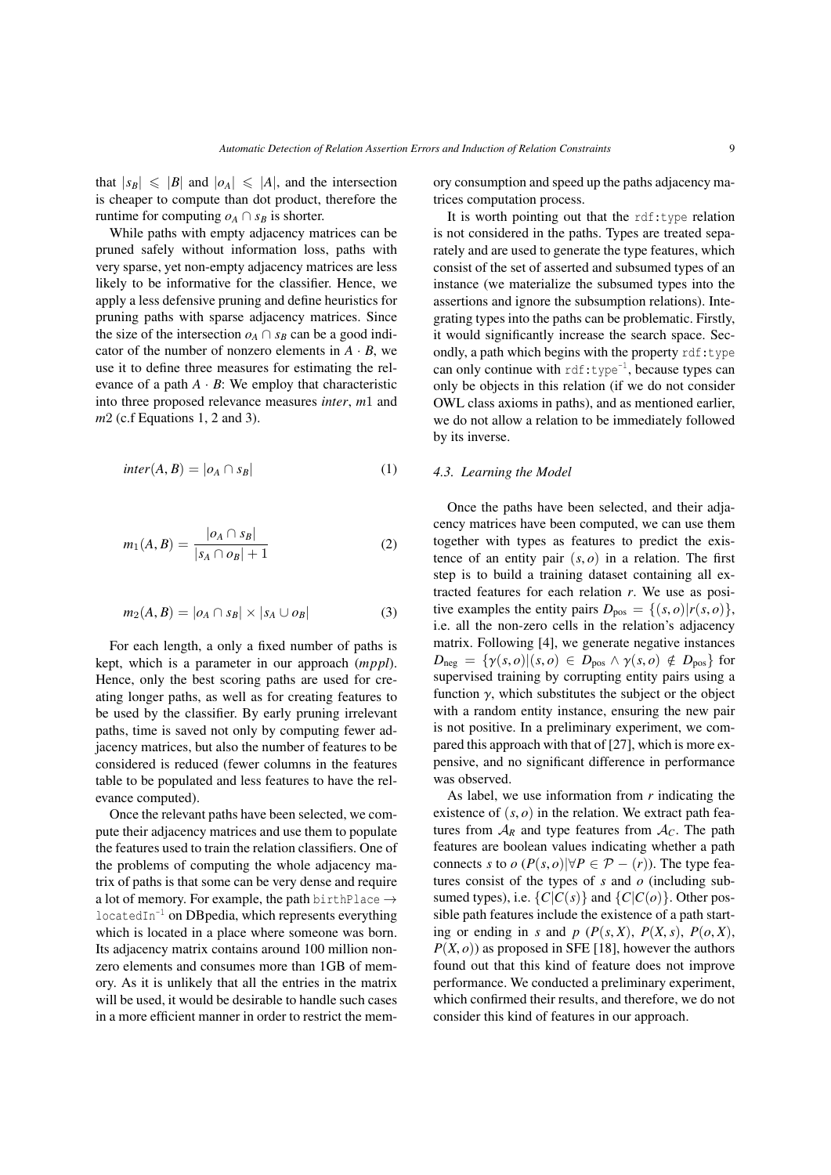that  $|s_B| \leq |B|$  and  $|o_A| \leq |A|$ , and the intersection is cheaper to compute than dot product, therefore the runtime for computing  $o_A \cap s_B$  is shorter.

While paths with empty adjacency matrices can be pruned safely without information loss, paths with very sparse, yet non-empty adjacency matrices are less likely to be informative for the classifier. Hence, we apply a less defensive pruning and define heuristics for pruning paths with sparse adjacency matrices. Since the size of the intersection  $o_A \cap s_B$  can be a good indicator of the number of nonzero elements in  $A \cdot B$ , we use it to define three measures for estimating the relevance of a path  $A \cdot B$ : We employ that characteristic into three proposed relevance measures *inter*, *m*1 and *m*2 (c.f Equations [1,](#page-8-0) [2](#page-8-1) and [3\)](#page-8-2).

<span id="page-8-1"></span><span id="page-8-0"></span>
$$
inter(A, B) = |o_A \cap s_B|
$$
 (1)

$$
m_1(A, B) = \frac{|o_A \cap s_B|}{|s_A \cap o_B| + 1} \tag{2}
$$

<span id="page-8-2"></span>
$$
m_2(A, B) = |o_A \cap s_B| \times |s_A \cup o_B| \tag{3}
$$

For each length, a only a fixed number of paths is kept, which is a parameter in our approach (*mppl*). Hence, only the best scoring paths are used for creating longer paths, as well as for creating features to be used by the classifier. By early pruning irrelevant paths, time is saved not only by computing fewer adjacency matrices, but also the number of features to be considered is reduced (fewer columns in the features table to be populated and less features to have the relevance computed).

Once the relevant paths have been selected, we compute their adjacency matrices and use them to populate the features used to train the relation classifiers. One of the problems of computing the whole adjacency matrix of paths is that some can be very dense and require a lot of memory. For example, the path birthPlace  $\rightarrow$  $locatedIn^{-1}$  on DB pedia, which represents everything which is located in a place where someone was born. Its adjacency matrix contains around 100 million nonzero elements and consumes more than 1GB of memory. As it is unlikely that all the entries in the matrix will be used, it would be desirable to handle such cases in a more efficient manner in order to restrict the memory consumption and speed up the paths adjacency matrices computation process.

It is worth pointing out that the rdf:type relation is not considered in the paths. Types are treated separately and are used to generate the type features, which consist of the set of asserted and subsumed types of an instance (we materialize the subsumed types into the assertions and ignore the subsumption relations). Integrating types into the paths can be problematic. Firstly, it would significantly increase the search space. Secondly, a path which begins with the property  $\text{rdf:type}$ can only continue with  $\text{rdf:type}^{-1}$ , because types can only be objects in this relation (if we do not consider OWL class axioms in paths), and as mentioned earlier, we do not allow a relation to be immediately followed by its inverse.

#### *4.3. Learning the Model*

Once the paths have been selected, and their adjacency matrices have been computed, we can use them together with types as features to predict the existence of an entity pair  $(s, o)$  in a relation. The first step is to build a training dataset containing all extracted features for each relation *r*. We use as positive examples the entity pairs  $D_{\text{pos}} = \{(s, o) | r(s, o) \},\$ i.e. all the non-zero cells in the relation's adjacency matrix. Following [\[4\]](#page-26-7), we generate negative instances  $D_{\text{neg}} = \{ \gamma(s, o) | (s, o) \in D_{\text{pos}} \land \gamma(s, o) \notin D_{\text{pos}} \}$  for supervised training by corrupting entity pairs using a function  $\gamma$ , which substitutes the subject or the object with a random entity instance, ensuring the new pair is not positive. In a preliminary experiment, we compared this approach with that of [\[27\]](#page-27-1), which is more expensive, and no significant difference in performance was observed.

As label, we use information from *r* indicating the existence of  $(s, o)$  in the relation. We extract path features from  $A_R$  and type features from  $A_C$ . The path features are boolean values indicating whether a path connects *s* to *o* ( $P(s, o)$ ) $\forall P \in \mathcal{P} - (r)$ ). The type features consist of the types of *s* and *o* (including subsumed types), i.e.  $\{C|C(s)\}\$  and  $\{C|C(o)\}\$ . Other possible path features include the existence of a path starting or ending in *s* and *p* ( $P(s, X)$ ,  $P(X, s)$ ,  $P(o, X)$ ,  $P(X, o)$ ) as proposed in SFE [\[18\]](#page-26-1), however the authors found out that this kind of feature does not improve performance. We conducted a preliminary experiment, which confirmed their results, and therefore, we do not consider this kind of features in our approach.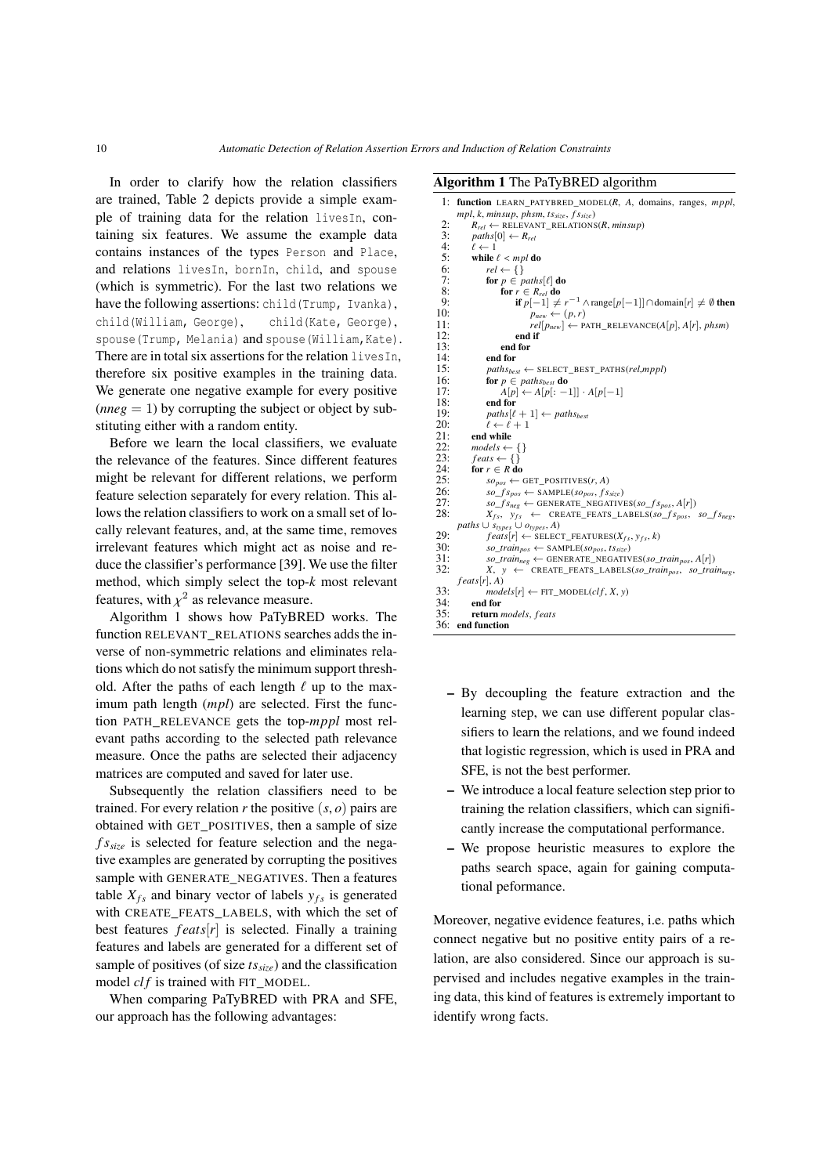In order to clarify how the relation classifiers are trained, Table [2](#page-10-0) depicts provide a simple example of training data for the relation livesIn, containing six features. We assume the example data contains instances of the types Person and Place, and relations livesIn, bornIn, child, and spouse (which is symmetric). For the last two relations we have the following assertions: child(Trump, Ivanka), child(William, George), child(Kate, George), spouse(Trump, Melania) and spouse(William, Kate). There are in total six assertions for the relation livesIn, therefore six positive examples in the training data. We generate one negative example for every positive  $(nneg = 1)$  by corrupting the subject or object by substituting either with a random entity.

Before we learn the local classifiers, we evaluate the relevance of the features. Since different features might be relevant for different relations, we perform feature selection separately for every relation. This allows the relation classifiers to work on a small set of locally relevant features, and, at the same time, removes irrelevant features which might act as noise and reduce the classifier's performance [\[39\]](#page-27-16). We use the filter method, which simply select the top-*k* most relevant features, with  $\chi^2$  as relevance measure.<br>Algorithm 1 shows how PaTvBPE

Algorithm [1](#page-9-0) shows how PaTyBRED works. The function RELEVANT\_RELATIONS searches adds the inverse of non-symmetric relations and eliminates relations which do not satisfy the minimum support threshold. After the paths of each length  $\ell$  up to the maximum path length (*mpl*) are selected. First the function PATH\_RELEVANCE gets the top-*mppl* most relevant paths according to the selected path relevance measure. Once the paths are selected their adjacency matrices are computed and saved for later use.

Subsequently the relation classifiers need to be trained. For every relation  $r$  the positive  $(s, o)$  pairs are obtained with GET\_POSITIVES, then a sample of size *f ssize* is selected for feature selection and the negative examples are generated by corrupting the positives sample with GENERATE\_NEGATIVES. Then a features table  $X_{fs}$  and binary vector of labels  $y_{fs}$  is generated with CREATE\_FEATS\_LABELS, with which the set of best features *f eats*[*r*] is selected. Finally a training features and labels are generated for a different set of sample of positives (of size *tssize*) and the classification model *cl f* is trained with FIT\_MODEL.

When comparing PaTyBRED with PRA and SFE, our approach has the following advantages:

## <span id="page-9-0"></span>Algorithm 1 The PaTyBRED algorithm

```
1: function LEARN_PATYBRED_MODEL(R, A, domains, ranges, mppl,
         mpl, k, minsup, phsm, tssize, f ssize)
  2: R_{rel} \leftarrow \text{RELEVANT\_RELATIONS}(R, minsup)<br>3: paths[0] \leftarrow R_{rel}3: paths[0] \leftarrow R_{rel}<br>
4: \ell \leftarrow 1<br>
5: while \ell \leftarrow mpl5: while \ell < mpl do 6: rel \leftarrow \{\}6: rel \leftarrow {\begin{matrix} \} \\ \} \\ \text{for } n \in \mathbb{R} \end{matrix}}7: for p \in paths[\ell] do<br>8. for r \in R_{n} do
  8: for r \in R_{rel} do<br>9: if n[-1] \neq9: if p[-1] \neq r^{-1} \land \text{range}[p[-1]] \cap \text{domain}[r] \neq \emptyset then
10: p_{new} \leftarrow (p, r)<br>11: rel[p_{new}] \leftarrow P11: rel[p_{new}] \leftarrow \text{PATH\_RELEVANCE}(A[p], A[r], phsm)<br>12: end if
12: end if<br>13: end for
13: end for<br>14: end for
14: end for 15:
15: paths_{best} \leftarrow \text{SELECT\_BEST\_PATHS}(\text{rel},mppl)<br>16: for p \in paths_{best} do
16: for p \in paths_{best} do<br>17: A[p] \leftarrow A[p]: -
17: A[p] \leftarrow A[p] : A[p-1]<br>18: end for
18: end for<br>19: paths[\ell<br>20: \ell \leftarrow \ellpaths[\ell + 1] \leftarrow paths_{best}<br>\ell \leftarrow \ell + 120: \ell \leftarrow \ell + 1<br>21: end while
22: models \leftarrow \{\}<br>23: feats \leftarrow \{\}23: feats \leftarrow \{\}<br>24: for r \in R de
24: for r \in R do<br>25: \frac{50}{25}25: so_{pos} \leftarrow \text{GET\_POSITIVES}(r, A)<br>26: so\text{ fs} \leftarrow \text{SAMPLE}(so\text{ fs})26: so\_ f s_{pos} \leftarrow \text{SAMPLE}(so_{pos}, fs_{size})<br>
27· so\_ f s_{rec} \leftarrow \text{GENERATE NEGATIVE}27: so\_fs_{neg} \leftarrow \text{GENERALTE-NEGATIVES}(so\_fs_{pos}, A[r])<br>
28: X_{fs}, y_{fs} \leftarrow \text{CREATE} FEATS LABELS(so f Spos,
28: X_{fs}, y_{fs} ← CREATE_FEATS_LABELS(so_f s<sub>pos</sub>, so_f s<sub>neg</sub>, paths ∪ s<sub>types</sub> ∪ o<sub>types</sub>, A)
29: f eats [r] \leftarrow SELECT_FEATURES(X_{fs}, y_{fs}, k)<br>30: a \tan \theta \leftarrow SAMPLE(se, ts, s)
30: so\_train_{pos} \leftarrow \text{SAMPLE}(so_{pos}, ts_{size})<br>31: so\_train_{neg} \leftarrow \text{GENERALF} \text{ NEGATIV}31: so\_train_{neg} \leftarrow \text{GENERALE\_NEGATIVES}(so\_train_{pos}, A[r])<br>32: X, y \leftarrow \text{CREATE FEATS} \text{LABELS}(so\ train_{neg}, so\ train_{neg})X, y \leftarrow CREATE_FEATS_LABELS(so_train<sub>pos</sub>, so_train<sub>neg</sub>,
         f eats[r], A)
33: \frac{models[r] \rightarrow \text{FIT}\_\text{MODEL}(clf, X, y)}{end for}34: end for<br>35: return
35: return models, feats 36: end function
        end function
```
- By decoupling the feature extraction and the learning step, we can use different popular classifiers to learn the relations, and we found indeed that logistic regression, which is used in PRA and SFE, is not the best performer.
- We introduce a local feature selection step prior to training the relation classifiers, which can significantly increase the computational performance.
- We propose heuristic measures to explore the paths search space, again for gaining computational peformance.

Moreover, negative evidence features, i.e. paths which connect negative but no positive entity pairs of a relation, are also considered. Since our approach is supervised and includes negative examples in the training data, this kind of features is extremely important to identify wrong facts.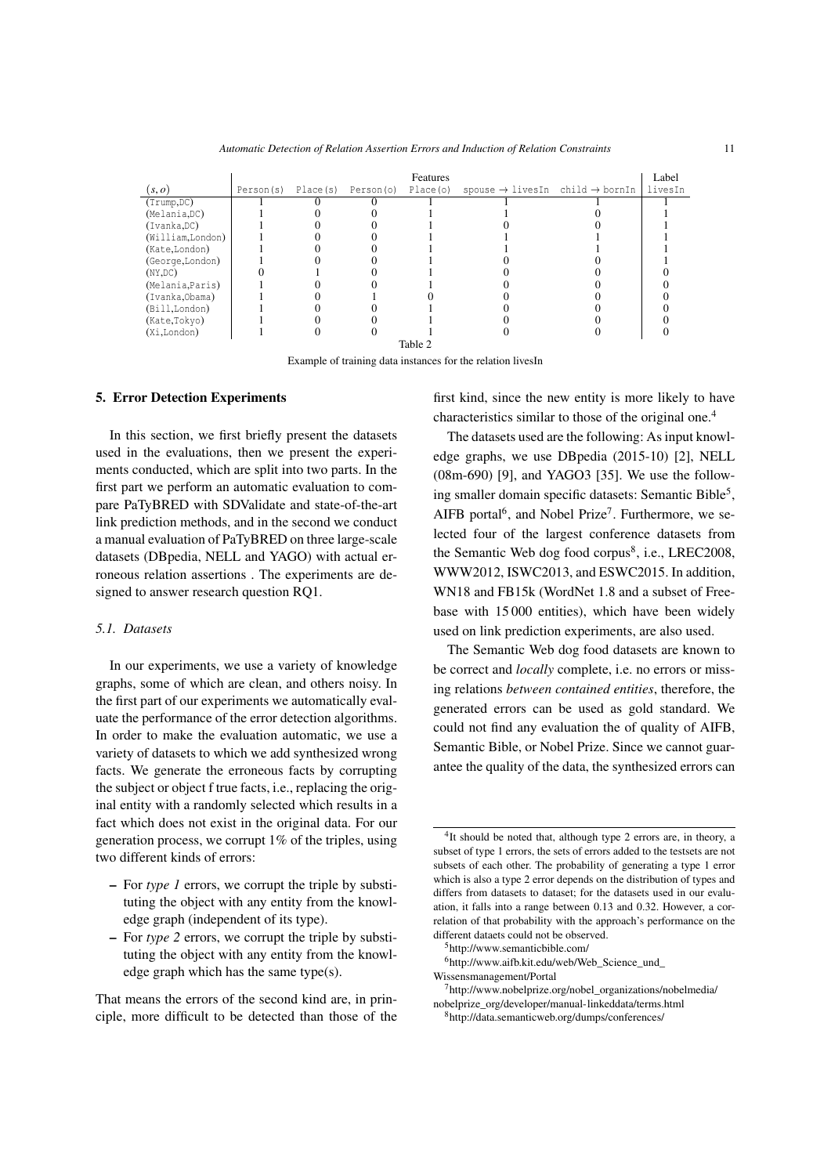<span id="page-10-0"></span>

|                  |           |           |            | Features  |                                                           |  | Label   |
|------------------|-----------|-----------|------------|-----------|-----------------------------------------------------------|--|---------|
| (s, o)           | Person(s) | Place (s) | Person (o) | Place (o) | spouse $\rightarrow$ lives In child $\rightarrow$ born In |  | livesIn |
| (Trump, DC)      |           |           |            |           |                                                           |  |         |
| (Melania, DC)    |           |           |            |           |                                                           |  |         |
| (Ivanka,DC)      |           |           |            |           |                                                           |  |         |
| (William,London) |           |           |            |           |                                                           |  |         |
| (Kate,London)    |           |           |            |           |                                                           |  |         |
| (George, London) |           |           |            |           |                                                           |  |         |
| (NY,DC)          |           |           |            |           |                                                           |  |         |
| (Melania, Paris) |           |           |            |           |                                                           |  |         |
| (Ivanka, Obama)  |           |           |            |           |                                                           |  |         |
| (Bill,London)    |           |           |            |           |                                                           |  |         |
| (Kate,Tokyo)     |           |           |            |           |                                                           |  |         |
| (Xi.London)      |           |           |            |           |                                                           |  |         |
| Table 2          |           |           |            |           |                                                           |  |         |

Example of training data instances for the relation livesIn

#### 5. Error Detection Experiments

In this section, we first briefly present the datasets used in the evaluations, then we present the experiments conducted, which are split into two parts. In the first part we perform an automatic evaluation to compare PaTyBRED with SDValidate and state-of-the-art link prediction methods, and in the second we conduct a manual evaluation of PaTyBRED on three large-scale datasets (DBpedia, NELL and YAGO) with actual erroneous relation assertions . The experiments are designed to answer research question RQ1.

## <span id="page-10-6"></span>*5.1. Datasets*

In our experiments, we use a variety of knowledge graphs, some of which are clean, and others noisy. In the first part of our experiments we automatically evaluate the performance of the error detection algorithms. In order to make the evaluation automatic, we use a variety of datasets to which we add synthesized wrong facts. We generate the erroneous facts by corrupting the subject or object f true facts, i.e., replacing the original entity with a randomly selected which results in a fact which does not exist in the original data. For our generation process, we corrupt 1% of the triples, using two different kinds of errors:

- For *type 1* errors, we corrupt the triple by substituting the object with any entity from the knowledge graph (independent of its type).
- For *type 2* errors, we corrupt the triple by substituting the object with any entity from the knowledge graph which has the same type(s).

That means the errors of the second kind are, in principle, more difficult to be detected than those of the first kind, since the new entity is more likely to have characteristics similar to those of the original one.[4](#page-10-1)

The datasets used are the following: As input knowledge graphs, we use DBpedia (2015-10) [\[2\]](#page-26-11), NELL (08m-690) [\[9\]](#page-26-12), and YAGO3 [\[35\]](#page-27-17). We use the follow-ing smaller domain specific datasets: Semantic Bible<sup>[5](#page-10-2)</sup>, AIFB portal<sup>[6](#page-10-3)</sup>, and Nobel Prize<sup>[7](#page-10-4)</sup>. Furthermore, we selected four of the largest conference datasets from the Semantic Web dog food corpus<sup>[8](#page-10-5)</sup>, i.e., LREC2008, WWW2012, ISWC2013, and ESWC2015. In addition, WN18 and FB15k (WordNet 1.8 and a subset of Freebase with 15 000 entities), which have been widely used on link prediction experiments, are also used.

The Semantic Web dog food datasets are known to be correct and *locally* complete, i.e. no errors or missing relations *between contained entities*, therefore, the generated errors can be used as gold standard. We could not find any evaluation the of quality of AIFB, Semantic Bible, or Nobel Prize. Since we cannot guarantee the quality of the data, the synthesized errors can

<sup>6</sup>[http://www.aifb.kit.edu/web/Web\\_Science\\_und\\_](http://www.aifb.kit.edu/web/Web_Science_und_Wissensmanagement/Portal)

[Wissensmanagement/Portal](http://www.aifb.kit.edu/web/Web_Science_und_Wissensmanagement/Portal)

<span id="page-10-4"></span><sup>7</sup>[http://www.nobelprize.org/nobel\\_organizations/nobelmedia/](http://www.nobelprize.org/nobel_organizations/nobelmedia/nobelprize_org/developer/manual-linkeddata/terms.html) [nobelprize\\_org/developer/manual-linkeddata/terms.html](http://www.nobelprize.org/nobel_organizations/nobelmedia/nobelprize_org/developer/manual-linkeddata/terms.html)

<span id="page-10-1"></span><sup>4</sup> It should be noted that, although type 2 errors are, in theory, a subset of type 1 errors, the sets of errors added to the testsets are not subsets of each other. The probability of generating a type 1 error which is also a type 2 error depends on the distribution of types and differs from datasets to dataset; for the datasets used in our evaluation, it falls into a range between 0.13 and 0.32. However, a correlation of that probability with the approach's performance on the different dataets could not be observed.

<span id="page-10-3"></span><span id="page-10-2"></span><sup>5</sup><http://www.semanticbible.com/>

<span id="page-10-5"></span><sup>8</sup><http://data.semanticweb.org/dumps/conferences/>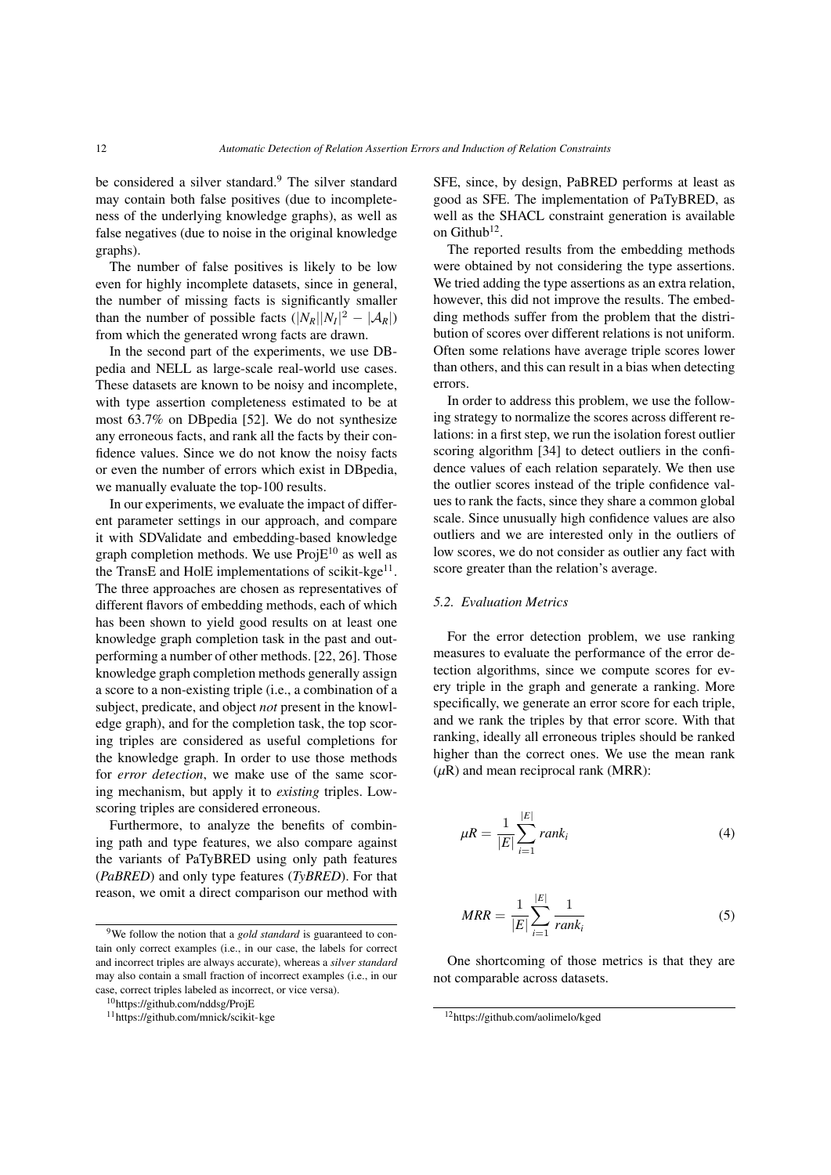be considered a silver standard.<sup>[9](#page-11-0)</sup> The silver standard may contain both false positives (due to incompleteness of the underlying knowledge graphs), as well as false negatives (due to noise in the original knowledge graphs).

The number of false positives is likely to be low even for highly incomplete datasets, since in general, the number of missing facts is significantly smaller than the number of possible facts  $(|N_R||N_I|^2 - |\mathcal{A}_R|)$ from which the generated wrong facts are drawn.

In the second part of the experiments, we use DBpedia and NELL as large-scale real-world use cases. These datasets are known to be noisy and incomplete, with type assertion completeness estimated to be at most 63.7% on DBpedia [\[52\]](#page-28-1). We do not synthesize any erroneous facts, and rank all the facts by their confidence values. Since we do not know the noisy facts or even the number of errors which exist in DBpedia, we manually evaluate the top-100 results.

In our experiments, we evaluate the impact of different parameter settings in our approach, and compare it with SDValidate and embedding-based knowledge graph completion methods. We use  $\text{Proj}E^{10}$  $\text{Proj}E^{10}$  $\text{Proj}E^{10}$  as well as the TransE and HolE implementations of scikit-kge<sup>[11](#page-11-2)</sup>. The three approaches are chosen as representatives of different flavors of embedding methods, each of which has been shown to yield good results on at least one knowledge graph completion task in the past and outperforming a number of other methods. [\[22,](#page-27-18) [26\]](#page-27-12). Those knowledge graph completion methods generally assign a score to a non-existing triple (i.e., a combination of a subject, predicate, and object *not* present in the knowledge graph), and for the completion task, the top scoring triples are considered as useful completions for the knowledge graph. In order to use those methods for *error detection*, we make use of the same scoring mechanism, but apply it to *existing* triples. Lowscoring triples are considered erroneous.

Furthermore, to analyze the benefits of combining path and type features, we also compare against the variants of PaTyBRED using only path features (*PaBRED*) and only type features (*TyBRED*). For that reason, we omit a direct comparison our method with SFE, since, by design, PaBRED performs at least as good as SFE. The implementation of PaTyBRED, as well as the SHACL constraint generation is available on Github<sup>[12](#page-11-3)</sup>.

The reported results from the embedding methods were obtained by not considering the type assertions. We tried adding the type assertions as an extra relation, however, this did not improve the results. The embedding methods suffer from the problem that the distribution of scores over different relations is not uniform. Often some relations have average triple scores lower than others, and this can result in a bias when detecting errors.

In order to address this problem, we use the following strategy to normalize the scores across different relations: in a first step, we run the isolation forest outlier scoring algorithm [\[34\]](#page-27-19) to detect outliers in the confidence values of each relation separately. We then use the outlier scores instead of the triple confidence values to rank the facts, since they share a common global scale. Since unusually high confidence values are also outliers and we are interested only in the outliers of low scores, we do not consider as outlier any fact with score greater than the relation's average.

## *5.2. Evaluation Metrics*

For the error detection problem, we use ranking measures to evaluate the performance of the error detection algorithms, since we compute scores for every triple in the graph and generate a ranking. More specifically, we generate an error score for each triple, and we rank the triples by that error score. With that ranking, ideally all erroneous triples should be ranked higher than the correct ones. We use the mean rank  $(\mu R)$  and mean reciprocal rank (MRR):

$$
\mu R = \frac{1}{|E|} \sum_{i=1}^{|E|} rank_i
$$
 (4)

$$
MRR = \frac{1}{|E|} \sum_{i=1}^{|E|} \frac{1}{rank_i}
$$
 (5)

One shortcoming of those metrics is that they are not comparable across datasets.

<span id="page-11-0"></span><sup>9</sup>We follow the notion that a *gold standard* is guaranteed to contain only correct examples (i.e., in our case, the labels for correct and incorrect triples are always accurate), whereas a *silver standard* may also contain a small fraction of incorrect examples (i.e., in our case, correct triples labeled as incorrect, or vice versa).

<span id="page-11-1"></span><sup>10</sup><https://github.com/nddsg/ProjE>

<span id="page-11-2"></span><sup>11</sup><https://github.com/mnick/scikit-kge>

<span id="page-11-3"></span><sup>12</sup><https://github.com/aolimelo/kged>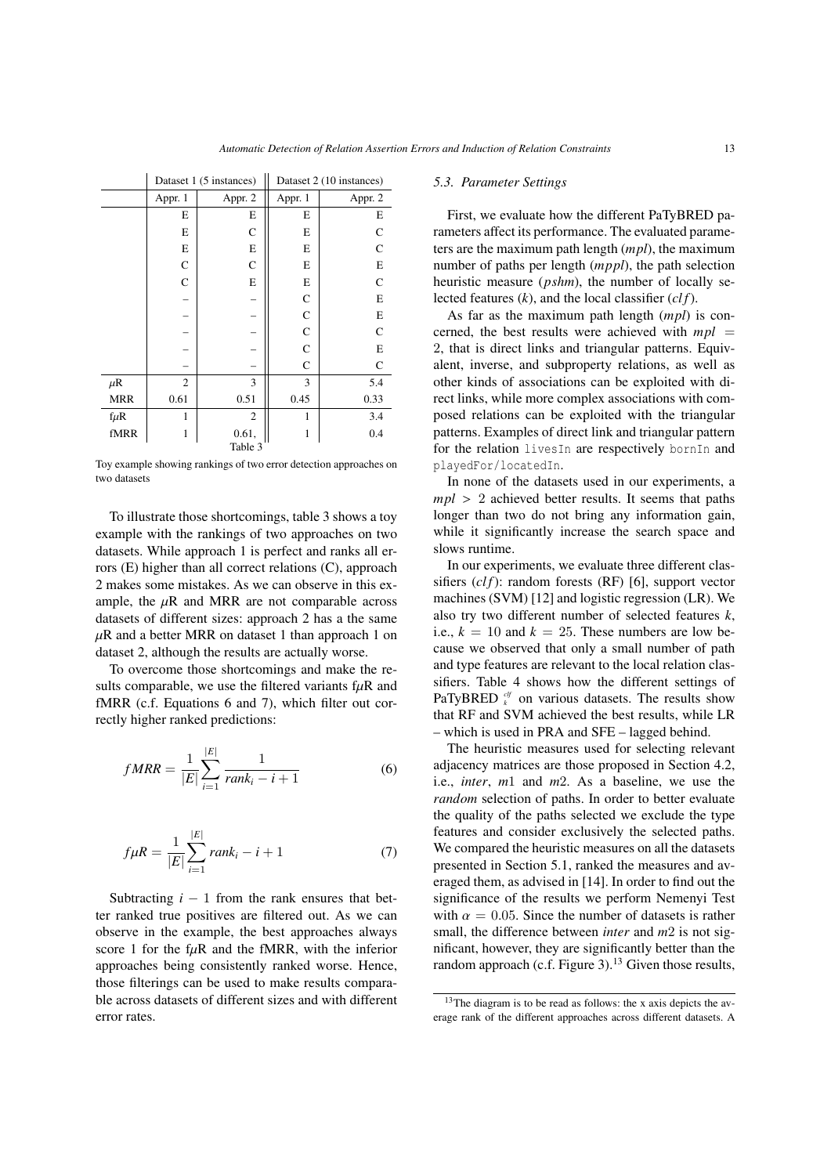<span id="page-12-0"></span>

|            |              | Dataset 1 (5 instances) | Dataset 2 (10 instances) |              |  |
|------------|--------------|-------------------------|--------------------------|--------------|--|
|            | Appr. 1      | Appr. 2                 | Appr. 1                  | Appr. 2      |  |
|            | Е            | E                       | E                        | E            |  |
|            | E            | C                       | E                        | $\mathsf{C}$ |  |
|            | E            | E                       | Е                        | $\mathbf C$  |  |
|            | $\mathsf{C}$ | $\mathsf{C}$            | Е                        | E            |  |
|            | $\mathsf{C}$ | Е                       | E                        | $\mathbf C$  |  |
|            |              |                         | $\mathsf{C}$             | E            |  |
|            |              |                         | $\mathbf C$              | $\mathbf E$  |  |
|            |              |                         | $\mathbf C$              | $\mathsf{C}$ |  |
|            |              |                         | $\mathbf C$              | E            |  |
|            |              |                         | $\mathsf{C}$             | $\mathsf{C}$ |  |
| $\mu$ R    | 2            | 3                       | 3                        | 5.4          |  |
| <b>MRR</b> | 0.61         | 0.51                    | 0.45                     | 0.33         |  |
| $f\mu R$   | 1            | 2                       | 1                        | 3.4          |  |
| fMRR       | 1            | 0.61,                   | 1                        | 0.4          |  |
|            |              | Table 3                 |                          |              |  |

Toy example showing rankings of two error detection approaches on two datasets

To illustrate those shortcomings, table [3](#page-12-0) shows a toy example with the rankings of two approaches on two datasets. While approach 1 is perfect and ranks all errors (E) higher than all correct relations (C), approach 2 makes some mistakes. As we can observe in this example, the  $\mu$ R and MRR are not comparable across datasets of different sizes: approach 2 has a the same  $\mu$ R and a better MRR on dataset 1 than approach 1 on dataset 2, although the results are actually worse.

To overcome those shortcomings and make the results comparable, we use the filtered variants  $f_{\mu}R$  and fMRR (c.f. Equations [6](#page-12-1) and [7\)](#page-12-2), which filter out correctly higher ranked predictions:

$$
fMRR = \frac{1}{|E|} \sum_{i=1}^{|E|} \frac{1}{rank_i - i + 1}
$$
 (6)

<span id="page-12-2"></span>
$$
f\mu R = \frac{1}{|E|} \sum_{i=1}^{|E|} rank_i - i + 1 \tag{7}
$$

Subtracting  $i - 1$  from the rank ensures that better ranked true positives are filtered out. As we can observe in the example, the best approaches always score 1 for the f $\mu$ R and the fMRR, with the inferior approaches being consistently ranked worse. Hence, those filterings can be used to make results comparable across datasets of different sizes and with different error rates.

#### *5.3. Parameter Settings*

First, we evaluate how the different PaTyBRED parameters affect its performance. The evaluated parameters are the maximum path length (*mpl*), the maximum number of paths per length (*mppl*), the path selection heuristic measure (*pshm*), the number of locally selected features (*k*), and the local classifier (*cl f*).

As far as the maximum path length (*mpl*) is concerned, the best results were achieved with  $mpl =$ 2, that is direct links and triangular patterns. Equivalent, inverse, and subproperty relations, as well as other kinds of associations can be exploited with direct links, while more complex associations with composed relations can be exploited with the triangular patterns. Examples of direct link and triangular pattern for the relation livesIn are respectively bornIn and playedFor/locatedIn.

In none of the datasets used in our experiments, a *mpl* > <sup>2</sup> achieved better results. It seems that paths longer than two do not bring any information gain, while it significantly increase the search space and slows runtime.

In our experiments, we evaluate three different classifiers (*clf*): random forests (RF) [\[6\]](#page-26-13), support vector machines (SVM) [\[12\]](#page-26-14) and logistic regression (LR). We also try two different number of selected features *k*, i.e.,  $k = 10$  and  $k = 25$ . These numbers are low because we observed that only a small number of path and type features are relevant to the local relation classifiers. Table [4](#page-13-0) shows how the different settings of PaTyBRED  $c^{tf}$  on various datasets. The results show that RF and SVM achieved the best results, while LR – which is used in PRA and SFE – lagged behind.

<span id="page-12-1"></span>The heuristic measures used for selecting relevant adjacency matrices are those proposed in Section [4.2,](#page-7-1) i.e., *inter*, *m*1 and *m*2. As a baseline, we use the *random* selection of paths. In order to better evaluate the quality of the paths selected we exclude the type features and consider exclusively the selected paths. We compared the heuristic measures on all the datasets presented in Section [5.1,](#page-10-6) ranked the measures and averaged them, as advised in [\[14\]](#page-26-15). In order to find out the significance of the results we perform Nemenyi Test with  $\alpha = 0.05$ . Since the number of datasets is rather small, the difference between *inter* and *m*2 is not significant, however, they are significantly better than the random approach (c.f. Figure [3\)](#page-13-1).<sup>[13](#page-12-3)</sup> Given those results,

<span id="page-12-3"></span> $13$ The diagram is to be read as follows: the x axis depicts the average rank of the different approaches across different datasets. A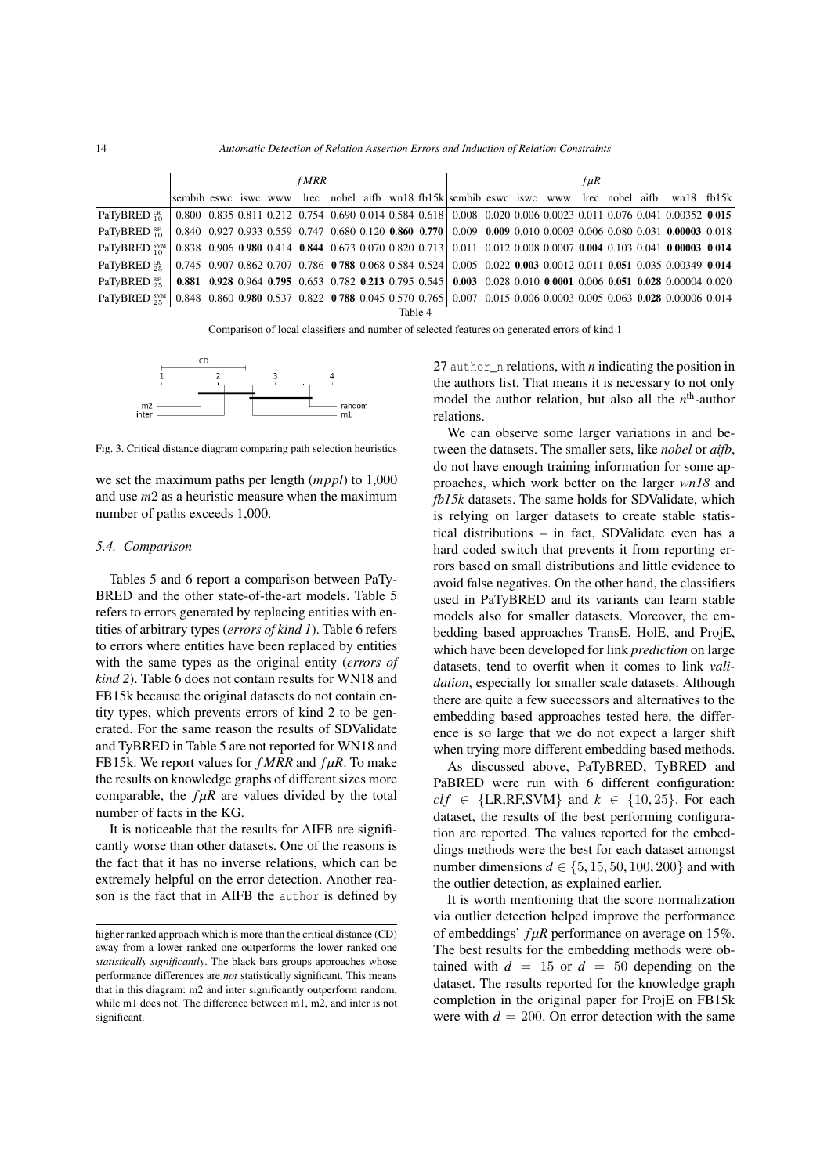14 *Automatic Detection of Relation Assertion Errors and Induction of Relation Constraints*

<span id="page-13-0"></span>

|                                                                                                                                              | fMRR |  |  |  |  |  |         | fuR |  |  |  |  |  |  |                                                                                                                                     |  |
|----------------------------------------------------------------------------------------------------------------------------------------------|------|--|--|--|--|--|---------|-----|--|--|--|--|--|--|-------------------------------------------------------------------------------------------------------------------------------------|--|
|                                                                                                                                              |      |  |  |  |  |  |         |     |  |  |  |  |  |  | sembib eswe iswe www lree nobel aifb wn18 fb15k sembib eswe iswe www lree nobel aifb wn18 fb15k                                     |  |
| PaTyBRED $_{10}^{LR}$                                                                                                                        |      |  |  |  |  |  |         |     |  |  |  |  |  |  | 0.800 0.835 0.811 0.212 0.754 0.690 0.014 0.584 0.618 0.008 0.020 0.006 0.0023 0.011 0.076 0.041 0.00352 0.015                      |  |
| PaTyBRED <sup>RF</sup>                                                                                                                       |      |  |  |  |  |  |         |     |  |  |  |  |  |  | $\mid$ 0.840 $\mid$ 0.927 0.933 0.559 0.747 0.680 0.120 0.860 0.770 $\mid$ 0.009 0.009 0.010 0.0003 0.006 0.080 0.031 0.00003 0.018 |  |
| PaTyBRED $_{10}^{\text{SVM}}$                                                                                                                |      |  |  |  |  |  |         |     |  |  |  |  |  |  | 0.838 0.906 0.980 0.414 0.844 0.673 0.070 0.820 0.713 0.011 0.012 0.008 0.0007 0.004 0.103 0.041 0.00003 0.014                      |  |
| PaTyBRED $\frac{LR}{2E}$                                                                                                                     |      |  |  |  |  |  |         |     |  |  |  |  |  |  | $0.745$ 0.907 0.862 0.707 0.786 0.788 0.068 0.584 0.524 0.005 0.022 0.003 0.0012 0.011 0.051 0.035 0.00349 0.014                    |  |
| PaTyBRED $_{25}^{\text{RF}}$                                                                                                                 |      |  |  |  |  |  |         |     |  |  |  |  |  |  | 0.881 0.928 0.964 0.795 0.653 0.782 0.213 0.795 0.545 0.003 0.028 0.010 0.0001 0.006 0.051 0.028 0.00004 0.020                      |  |
| PaTyBRED $_{25}^{\text{sym}}$ 0.848 0.860 0.980 0.537 0.822 0.788 0.045 0.570 0.765 0.007 0.015 0.006 0.0003 0.005 0.063 0.028 0.00006 0.014 |      |  |  |  |  |  |         |     |  |  |  |  |  |  |                                                                                                                                     |  |
|                                                                                                                                              |      |  |  |  |  |  | Table 4 |     |  |  |  |  |  |  |                                                                                                                                     |  |

Comparison of local classifiers and number of selected features on generated errors of kind 1

<span id="page-13-1"></span>

Fig. 3. Critical distance diagram comparing path selection heuristics

we set the maximum paths per length (*mppl*) to 1,000 and use *m*2 as a heuristic measure when the maximum number of paths exceeds 1,000.

## *5.4. Comparison*

Tables [5](#page-14-0) and [6](#page-14-1) report a comparison between PaTy-BRED and the other state-of-the-art models. Table [5](#page-14-0) refers to errors generated by replacing entities with entities of arbitrary types (*errors of kind 1*). Table [6](#page-14-1) refers to errors where entities have been replaced by entities with the same types as the original entity (*errors of kind 2*). Table [6](#page-14-1) does not contain results for WN18 and FB15k because the original datasets do not contain entity types, which prevents errors of kind 2 to be generated. For the same reason the results of SDValidate and TyBRED in Table [5](#page-14-0) are not reported for WN18 and FB15k. We report values for  $fMRR$  and  $f\mu R$ . To make the results on knowledge graphs of different sizes more comparable, the  $f\mu R$  are values divided by the total number of facts in the KG.

It is noticeable that the results for AIFB are significantly worse than other datasets. One of the reasons is the fact that it has no inverse relations, which can be extremely helpful on the error detection. Another reason is the fact that in AIFB the author is defined by 27 author  $n$  relations, with  $n$  indicating the position in the authors list. That means it is necessary to not only model the author relation, but also all the  $n<sup>th</sup>$ -author relations.

We can observe some larger variations in and between the datasets. The smaller sets, like *nobel* or *aifb*, do not have enough training information for some approaches, which work better on the larger *wn18* and *fb15k* datasets. The same holds for SDValidate, which is relying on larger datasets to create stable statistical distributions – in fact, SDValidate even has a hard coded switch that prevents it from reporting errors based on small distributions and little evidence to avoid false negatives. On the other hand, the classifiers used in PaTyBRED and its variants can learn stable models also for smaller datasets. Moreover, the embedding based approaches TransE, HolE, and ProjE, which have been developed for link *prediction* on large datasets, tend to overfit when it comes to link *validation*, especially for smaller scale datasets. Although there are quite a few successors and alternatives to the embedding based approaches tested here, the difference is so large that we do not expect a larger shift when trying more different embedding based methods.

As discussed above, PaTyBRED, TyBRED and PaBRED were run with 6 different configuration:  $clf \in \{LR, RF, SVM\}$  and  $k \in \{10, 25\}$ . For each dataset, the results of the best performing configuration are reported. The values reported for the embeddings methods were the best for each dataset amongst number dimensions  $d \in \{5, 15, 50, 100, 200\}$  and with the outlier detection, as explained earlier.

It is worth mentioning that the score normalization via outlier detection helped improve the performance of embeddings'  $f\mu R$  performance on average on 15%. The best results for the embedding methods were obtained with  $d = 15$  or  $d = 50$  depending on the dataset. The results reported for the knowledge graph completion in the original paper for ProjE on FB15k were with  $d = 200$ . On error detection with the same

higher ranked approach which is more than the critical distance (CD) away from a lower ranked one outperforms the lower ranked one *statistically significantly*. The black bars groups approaches whose performance differences are *not* statistically significant. This means that in this diagram: m2 and inter significantly outperform random, while m1 does not. The difference between m1, m2, and inter is not significant.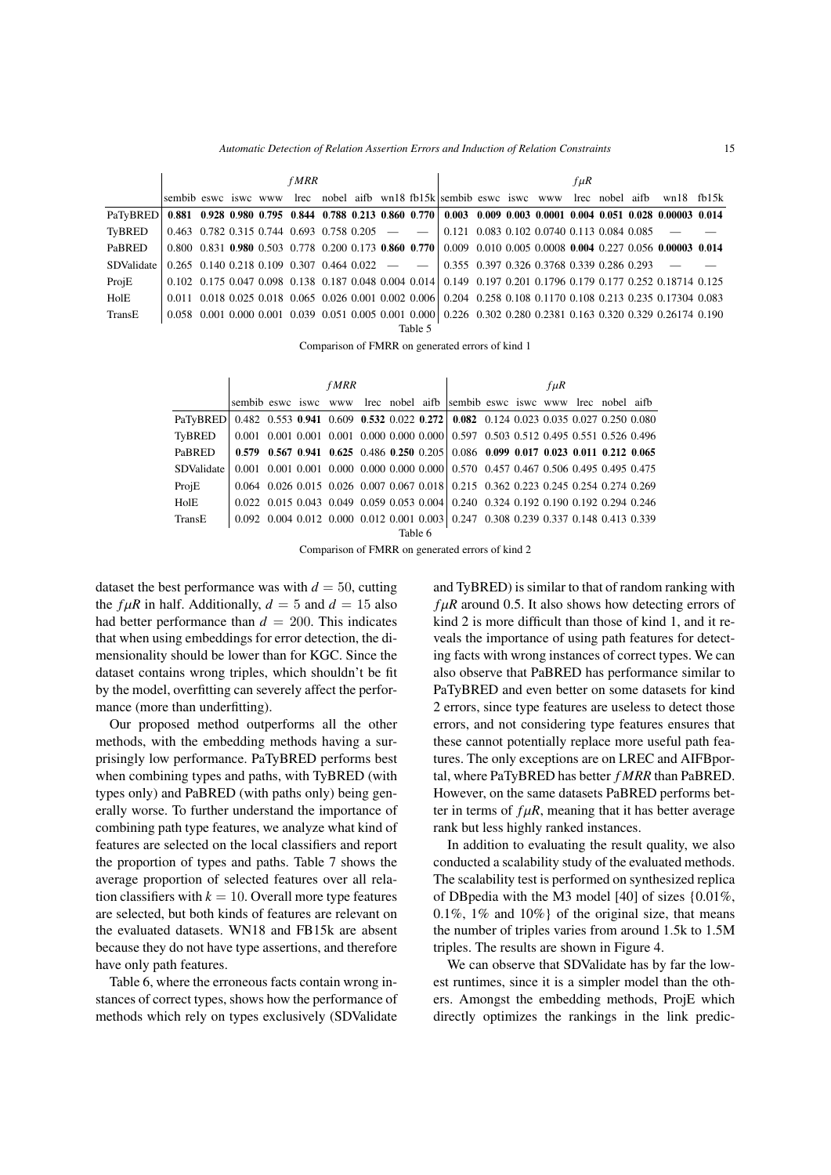*Automatic Detection of Relation Assertion Errors and Induction of Relation Constraints* 15

<span id="page-14-0"></span>

|            |                                                       | fMRR |  |  |  |  |  | $f\mu R$ |                                                                                                                        |  |  |  |  |  |                                                                                                                                                    |  |
|------------|-------------------------------------------------------|------|--|--|--|--|--|----------|------------------------------------------------------------------------------------------------------------------------|--|--|--|--|--|----------------------------------------------------------------------------------------------------------------------------------------------------|--|
|            |                                                       |      |  |  |  |  |  |          |                                                                                                                        |  |  |  |  |  | sembib eswe iswe www lree nobel aifb wn18 fb15k sembib eswe iswe www lree nobel aifb wn18 fb15k                                                    |  |
| PaTvBRED   |                                                       |      |  |  |  |  |  |          |                                                                                                                        |  |  |  |  |  | $0.881$ $0.928$ $0.980$ $0.795$ $0.844$ $0.788$ $0.213$ $0.860$ $0.770$ $0.003$ $0.009$ $0.003$ $0.0001$ $0.004$ $0.051$ $0.028$ $0.00003$ $0.014$ |  |
| TyBRED     |                                                       |      |  |  |  |  |  |          | $0.463$ $0.782$ $0.315$ $0.744$ $0.693$ $0.758$ $0.205$ $  0.121$ $0.083$ $0.102$ $0.0740$ $0.113$ $0.084$ $0.085$ $-$ |  |  |  |  |  |                                                                                                                                                    |  |
| PaBRED     | 0.800 0.831 0.980 0.503 0.778 0.200 0.173 0.860 0.770 |      |  |  |  |  |  |          |                                                                                                                        |  |  |  |  |  | $0.009$ 0.010 0.005 0.0008 0.004 0.227 0.056 0.00003 0.014                                                                                         |  |
| SDValidate |                                                       |      |  |  |  |  |  |          | $0.265$ $0.140$ $0.218$ $0.109$ $0.307$ $0.464$ $0.022$ $  0.355$ $0.397$ $0.326$ $0.3768$ $0.339$ $0.286$ $0.293$ $-$ |  |  |  |  |  |                                                                                                                                                    |  |
| ProjE      |                                                       |      |  |  |  |  |  |          |                                                                                                                        |  |  |  |  |  | $0.102$ $0.175$ $0.047$ $0.098$ $0.138$ $0.187$ $0.048$ $0.004$ $0.014$ $0.149$ $0.197$ $0.201$ $0.1796$ $0.179$ $0.177$ $0.252$ $0.18714$ $0.125$ |  |
| HolE       |                                                       |      |  |  |  |  |  |          |                                                                                                                        |  |  |  |  |  | 0.011 0.018 0.025 0.018 0.065 0.026 0.001 0.002 0.006 0.204 0.258 0.108 0.1170 0.108 0.213 0.235 0.17304 0.083                                     |  |
| TransE     |                                                       |      |  |  |  |  |  |          |                                                                                                                        |  |  |  |  |  | 0.058 0.001 0.000 0.001 0.039 0.051 0.005 0.001 0.000 0.226 0.302 0.280 0.2381 0.163 0.320 0.329 0.26174 0.190                                     |  |
|            |                                                       |      |  |  |  |  |  | Table 5  |                                                                                                                        |  |  |  |  |  |                                                                                                                                                    |  |

Comparison of FMRR on generated errors of kind 1

<span id="page-14-1"></span>

|                                                                                              |         |  |  | fMRR |  |  |  |                                                                                                                 |  |  | $f\mu R$ |  |  |
|----------------------------------------------------------------------------------------------|---------|--|--|------|--|--|--|-----------------------------------------------------------------------------------------------------------------|--|--|----------|--|--|
|                                                                                              |         |  |  |      |  |  |  | sembib eswe iswe www lree nobel aifb sembib eswe iswe www lree nobel aifb                                       |  |  |          |  |  |
| PaTyBRED 0.482 0.553 0.941 0.609 0.532 0.022 0.272 0.082 0.124 0.023 0.025 0.027 0.250 0.080 |         |  |  |      |  |  |  |                                                                                                                 |  |  |          |  |  |
| TyBRED                                                                                       |         |  |  |      |  |  |  | $\mid$ 0.001 0.001 0.001 0.001 0.000 0.000 0.000 0.597 0.503 0.512 0.495 0.551 0.526 0.496                      |  |  |          |  |  |
| PaBRED                                                                                       |         |  |  |      |  |  |  | $\vert$ 0.579 0.567 0.941 0.625 0.486 0.250 0.205 0.086 0.099 0.017 0.023 0.011 0.212 0.065                     |  |  |          |  |  |
| SDValidate                                                                                   |         |  |  |      |  |  |  | 0.001 0.001 0.001 0.000 0.000 0.000 0.000 0.570 0.457 0.467 0.506 0.495 0.495 0.475                             |  |  |          |  |  |
| ProjE                                                                                        |         |  |  |      |  |  |  | $0.064$ $0.026$ $0.015$ $0.026$ $0.007$ $0.067$ $0.018$ $0.215$ $0.362$ $0.223$ $0.245$ $0.254$ $0.274$ $0.269$ |  |  |          |  |  |
| HolE                                                                                         |         |  |  |      |  |  |  | $0.022$ $0.015$ $0.043$ $0.049$ $0.059$ $0.053$ $0.004$ $0.240$ $0.324$ $0.192$ $0.190$ $0.192$ $0.294$ $0.246$ |  |  |          |  |  |
| TransE                                                                                       |         |  |  |      |  |  |  | 0.092 0.004 0.012 0.000 0.012 0.001 0.003 0.247 0.308 0.239 0.337 0.148 0.413 0.339                             |  |  |          |  |  |
|                                                                                              | Table 6 |  |  |      |  |  |  |                                                                                                                 |  |  |          |  |  |

Comparison of FMRR on generated errors of kind 2

dataset the best performance was with  $d = 50$ , cutting the *fuR* in half. Additionally,  $d = 5$  and  $d = 15$  also had better performance than  $d = 200$ . This indicates that when using embeddings for error detection, the dimensionality should be lower than for KGC. Since the dataset contains wrong triples, which shouldn't be fit by the model, overfitting can severely affect the performance (more than underfitting).

Our proposed method outperforms all the other methods, with the embedding methods having a surprisingly low performance. PaTyBRED performs best when combining types and paths, with TyBRED (with types only) and PaBRED (with paths only) being generally worse. To further understand the importance of combining path type features, we analyze what kind of features are selected on the local classifiers and report the proportion of types and paths. Table [7](#page-15-0) shows the average proportion of selected features over all relation classifiers with  $k = 10$ . Overall more type features are selected, but both kinds of features are relevant on the evaluated datasets. WN18 and FB15k are absent because they do not have type assertions, and therefore have only path features.

Table [6,](#page-14-1) where the erroneous facts contain wrong instances of correct types, shows how the performance of methods which rely on types exclusively (SDValidate and TyBRED) is similar to that of random ranking with  $f \mu R$  around 0.5. It also shows how detecting errors of kind 2 is more difficult than those of kind 1, and it reveals the importance of using path features for detecting facts with wrong instances of correct types. We can also observe that PaBRED has performance similar to PaTyBRED and even better on some datasets for kind 2 errors, since type features are useless to detect those errors, and not considering type features ensures that these cannot potentially replace more useful path features. The only exceptions are on LREC and AIFBportal, where PaTyBRED has better *f MRR* than PaBRED. However, on the same datasets PaBRED performs better in terms of  $f\mu R$ , meaning that it has better average rank but less highly ranked instances.

In addition to evaluating the result quality, we also conducted a scalability study of the evaluated methods. The scalability test is performed on synthesized replica of DBpedia with the M3 model [\[40\]](#page-27-20) of sizes {0.01%, 0.1%, 1% and 10%} of the original size, that means the number of triples varies from around 1.5k to 1.5M triples. The results are shown in Figure [4.](#page-15-1)

We can observe that SDValidate has by far the lowest runtimes, since it is a simpler model than the others. Amongst the embedding methods, ProjE which directly optimizes the rankings in the link predic-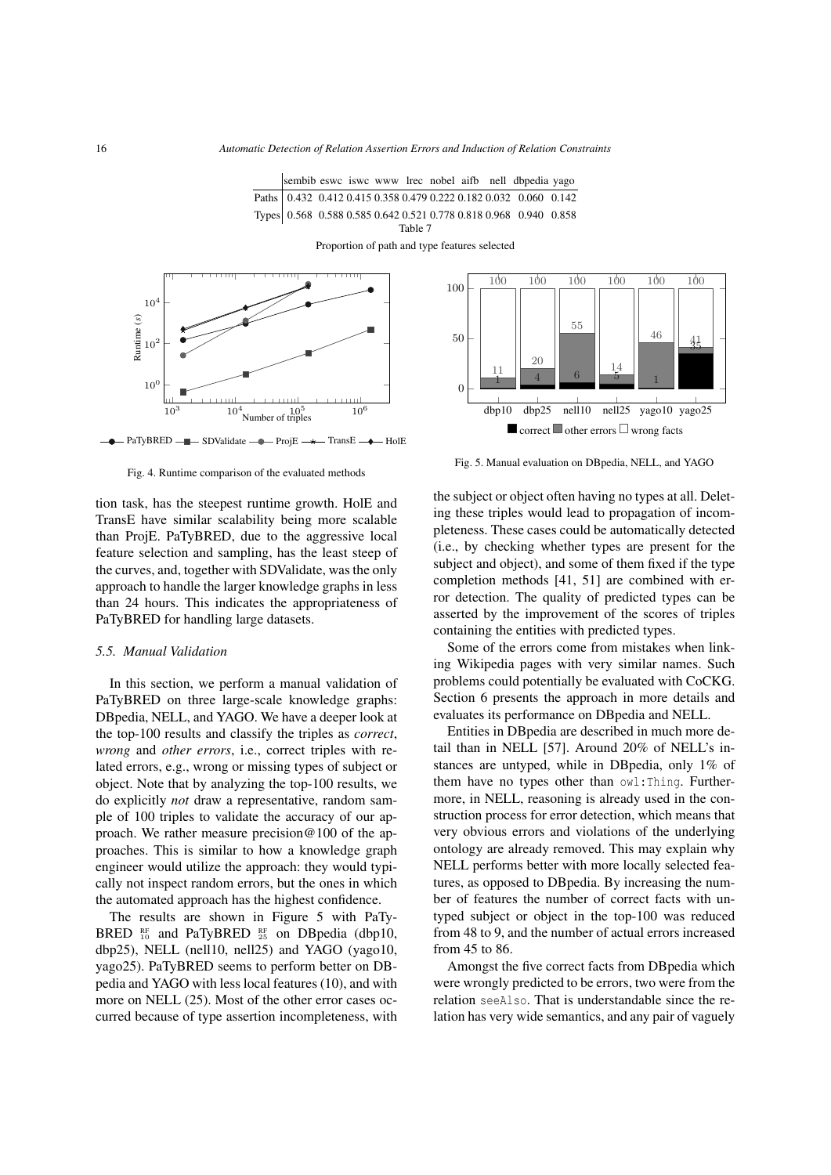

Proportion of path and type features selected

<span id="page-15-1"></span><span id="page-15-0"></span>

 $\rightarrow$  PaTyBRED  $\rightarrow$  SDValidate  $\rightarrow$  ProjE  $\rightarrow$  TransE  $\rightarrow$  HolE

Fig. 4. Runtime comparison of the evaluated methods

tion task, has the steepest runtime growth. HolE and TransE have similar scalability being more scalable than ProjE. PaTyBRED, due to the aggressive local feature selection and sampling, has the least steep of the curves, and, together with SDValidate, was the only approach to handle the larger knowledge graphs in less than 24 hours. This indicates the appropriateness of PaTyBRED for handling large datasets.

## *5.5. Manual Validation*

In this section, we perform a manual validation of PaTyBRED on three large-scale knowledge graphs: DBpedia, NELL, and YAGO. We have a deeper look at the top-100 results and classify the triples as *correct*, *wrong* and *other errors*, i.e., correct triples with related errors, e.g., wrong or missing types of subject or object. Note that by analyzing the top-100 results, we do explicitly *not* draw a representative, random sample of 100 triples to validate the accuracy of our approach. We rather measure precision@100 of the approaches. This is similar to how a knowledge graph engineer would utilize the approach: they would typically not inspect random errors, but the ones in which the automated approach has the highest confidence.

The results are shown in Figure [5](#page-15-2) with PaTy-BRED  $_{10}^{RF}$  and PaTyBRED  $_{25}^{RF}$  on DBpedia (dbp10, dbp25), NELL (nell10, nell25) and YAGO (yago10, yago25). PaTyBRED seems to perform better on DBpedia and YAGO with less local features (10), and with more on NELL (25). Most of the other error cases occurred because of type assertion incompleteness, with

<span id="page-15-2"></span>

Fig. 5. Manual evaluation on DBpedia, NELL, and YAGO

the subject or object often having no types at all. Deleting these triples would lead to propagation of incompleteness. These cases could be automatically detected (i.e., by checking whether types are present for the subject and object), and some of them fixed if the type completion methods [\[41,](#page-27-21) [51\]](#page-28-21) are combined with error detection. The quality of predicted types can be asserted by the improvement of the scores of triples containing the entities with predicted types.

Some of the errors come from mistakes when linking Wikipedia pages with very similar names. Such problems could potentially be evaluated with CoCKG. Section [6](#page-16-0) presents the approach in more details and evaluates its performance on DBpedia and NELL.

Entities in DBpedia are described in much more detail than in NELL [\[57\]](#page-28-22). Around 20% of NELL's instances are untyped, while in DBpedia, only 1% of them have no types other than owl:Thing. Furthermore, in NELL, reasoning is already used in the construction process for error detection, which means that very obvious errors and violations of the underlying ontology are already removed. This may explain why NELL performs better with more locally selected features, as opposed to DBpedia. By increasing the number of features the number of correct facts with untyped subject or object in the top-100 was reduced from 48 to 9, and the number of actual errors increased from 45 to 86.

Amongst the five correct facts from DBpedia which were wrongly predicted to be errors, two were from the relation seeAlso. That is understandable since the relation has very wide semantics, and any pair of vaguely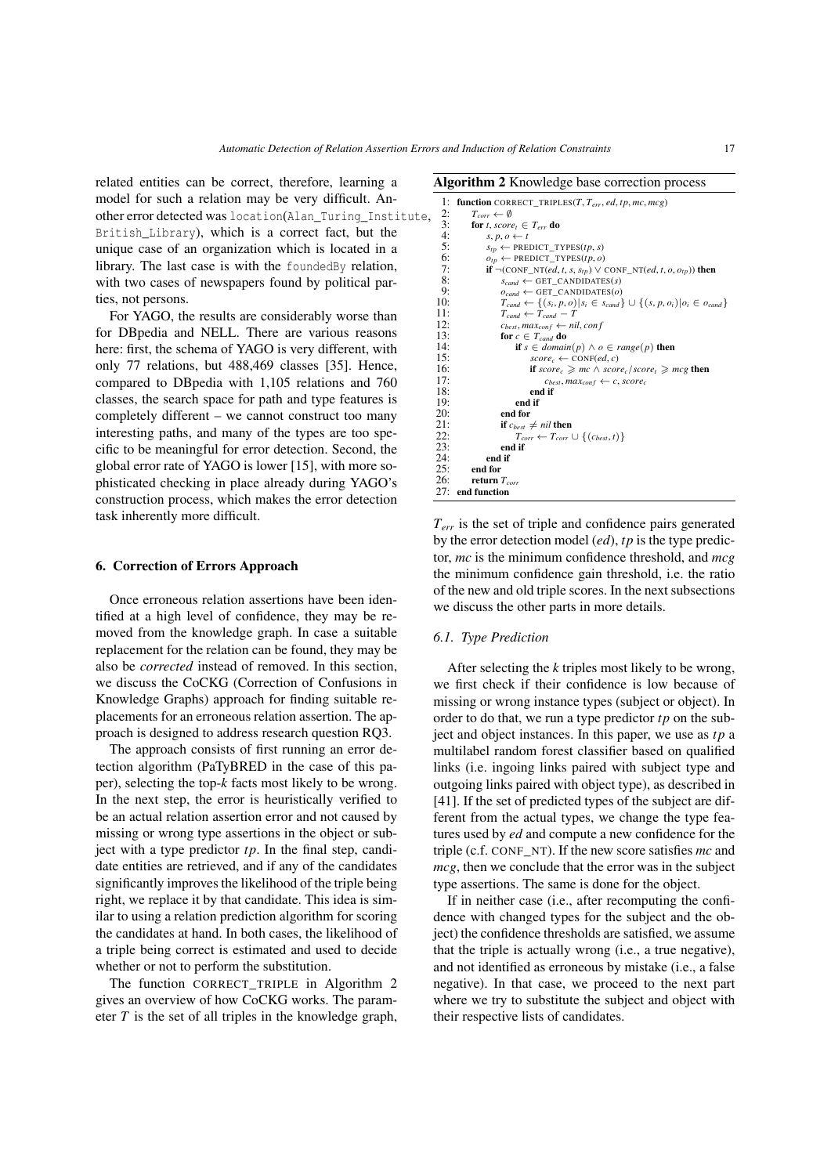related entities can be correct, therefore, learning a model for such a relation may be very difficult. Another error detected was location(Alan\_Turing\_Institute, British\_Library), which is a correct fact, but the unique case of an organization which is located in a library. The last case is with the foundedBy relation, with two cases of newspapers found by political parties, not persons.

For YAGO, the results are considerably worse than for DBpedia and NELL. There are various reasons here: first, the schema of YAGO is very different, with only 77 relations, but 488,469 classes [\[35\]](#page-27-17). Hence, compared to DBpedia with 1,105 relations and 760 classes, the search space for path and type features is completely different – we cannot construct too many interesting paths, and many of the types are too specific to be meaningful for error detection. Second, the global error rate of YAGO is lower [\[15\]](#page-26-16), with more sophisticated checking in place already during YAGO's construction process, which makes the error detection task inherently more difficult.

## <span id="page-16-0"></span>6. Correction of Errors Approach

Once erroneous relation assertions have been identified at a high level of confidence, they may be removed from the knowledge graph. In case a suitable replacement for the relation can be found, they may be also be *corrected* instead of removed. In this section, we discuss the CoCKG (Correction of Confusions in Knowledge Graphs) approach for finding suitable replacements for an erroneous relation assertion. The approach is designed to address research question RQ3.

The approach consists of first running an error detection algorithm (PaTyBRED in the case of this paper), selecting the top-*k* facts most likely to be wrong. In the next step, the error is heuristically verified to be an actual relation assertion error and not caused by missing or wrong type assertions in the object or subject with a type predictor *tp*. In the final step, candidate entities are retrieved, and if any of the candidates significantly improves the likelihood of the triple being right, we replace it by that candidate. This idea is similar to using a relation prediction algorithm for scoring the candidates at hand. In both cases, the likelihood of a triple being correct is estimated and used to decide whether or not to perform the substitution.

The function CORRECT\_TRIPLE in Algorithm [2](#page-16-1) gives an overview of how CoCKG works. The parameter *T* is the set of all triples in the knowledge graph,

<span id="page-16-1"></span>Algorithm 2 Knowledge base correction process

| 1:  | <b>function</b> CORRECT_TRIPLES( <i>T</i> , $T_{err}$ , <i>ed</i> , <i>tp</i> , $mc$ , $mcg$ )                          |
|-----|-------------------------------------------------------------------------------------------------------------------------|
| 2:  | $T_{corr} \leftarrow \emptyset$                                                                                         |
| 3:  | for t, score <sub>t</sub> $\in T_{err}$ do                                                                              |
| 4:  | $s, p, o \leftarrow t$                                                                                                  |
| 5:  | $s_{tp} \leftarrow \text{PREDICT_TYPES}(tp, s)$                                                                         |
| 6:  | $o_{tp} \leftarrow \text{PREDICT_TYPES}(tp, o)$                                                                         |
| 7:  | <b>if</b> $\neg$ (CONF_NT(ed, t, s, s <sub>tp</sub> ) $\vee$ CONF_NT(ed, t, o, o <sub>tp</sub> )) then                  |
| 8:  | $s_{cand} \leftarrow$ GET_CANDIDATES(s)                                                                                 |
| 9:  | $o_{cand} \leftarrow$ GET_CANDIDATES( <i>o</i> )                                                                        |
| 10: | $T_{cand} \leftarrow \{(s_i, p, o)   s_i \in s_{cand}\} \cup \{(s, p, o_i)   o_i \in o_{cand}\}\$                       |
| 11: | $T_{cand} \leftarrow T_{cand} - T$                                                                                      |
| 12: | $c_{best}$ , max <sub>conf</sub> $\leftarrow$ nil, conf                                                                 |
| 13: | for $c \in T_{cond}$ do                                                                                                 |
| 14: | if $s \in domain(p) \land o \in range(p)$ then                                                                          |
| 15: | $score_c \leftarrow \text{CONF}(ed, c)$                                                                                 |
| 16: | <b>if</b> score <sub>c</sub> $\geqslant$ mc $\wedge$ score <sub>c</sub> /score <sub>t</sub> $\geqslant$ mcg <b>then</b> |
| 17: | $c_{best}$ , ma $x_{conf} \leftarrow c$ , score <sub>c</sub>                                                            |
| 18: | end if                                                                                                                  |
| 19: | end if                                                                                                                  |
| 20: | end for                                                                                                                 |
| 21: | <b>if</b> $c_{best} \neq nil$ then                                                                                      |
| 22: | $T_{corr} \leftarrow T_{corr} \cup \{(c_{best}, t)\}\$                                                                  |
| 23: | end if                                                                                                                  |
| 24: | end if                                                                                                                  |
| 25: | end for                                                                                                                 |
| 26: | return $T_{corr}$                                                                                                       |
| 27: | end function                                                                                                            |

*Terr* is the set of triple and confidence pairs generated by the error detection model (*ed*), *tp* is the type predictor, *mc* is the minimum confidence threshold, and *mcg* the minimum confidence gain threshold, i.e. the ratio of the new and old triple scores. In the next subsections we discuss the other parts in more details.

## *6.1. Type Prediction*

After selecting the *k* triples most likely to be wrong, we first check if their confidence is low because of missing or wrong instance types (subject or object). In order to do that, we run a type predictor *tp* on the subject and object instances. In this paper, we use as *tp* a multilabel random forest classifier based on qualified links (i.e. ingoing links paired with subject type and outgoing links paired with object type), as described in [\[41\]](#page-27-21). If the set of predicted types of the subject are different from the actual types, we change the type features used by *ed* and compute a new confidence for the triple (c.f. CONF\_NT). If the new score satisfies *mc* and *mcg*, then we conclude that the error was in the subject type assertions. The same is done for the object.

If in neither case (i.e., after recomputing the confidence with changed types for the subject and the object) the confidence thresholds are satisfied, we assume that the triple is actually wrong (i.e., a true negative), and not identified as erroneous by mistake (i.e., a false negative). In that case, we proceed to the next part where we try to substitute the subject and object with their respective lists of candidates.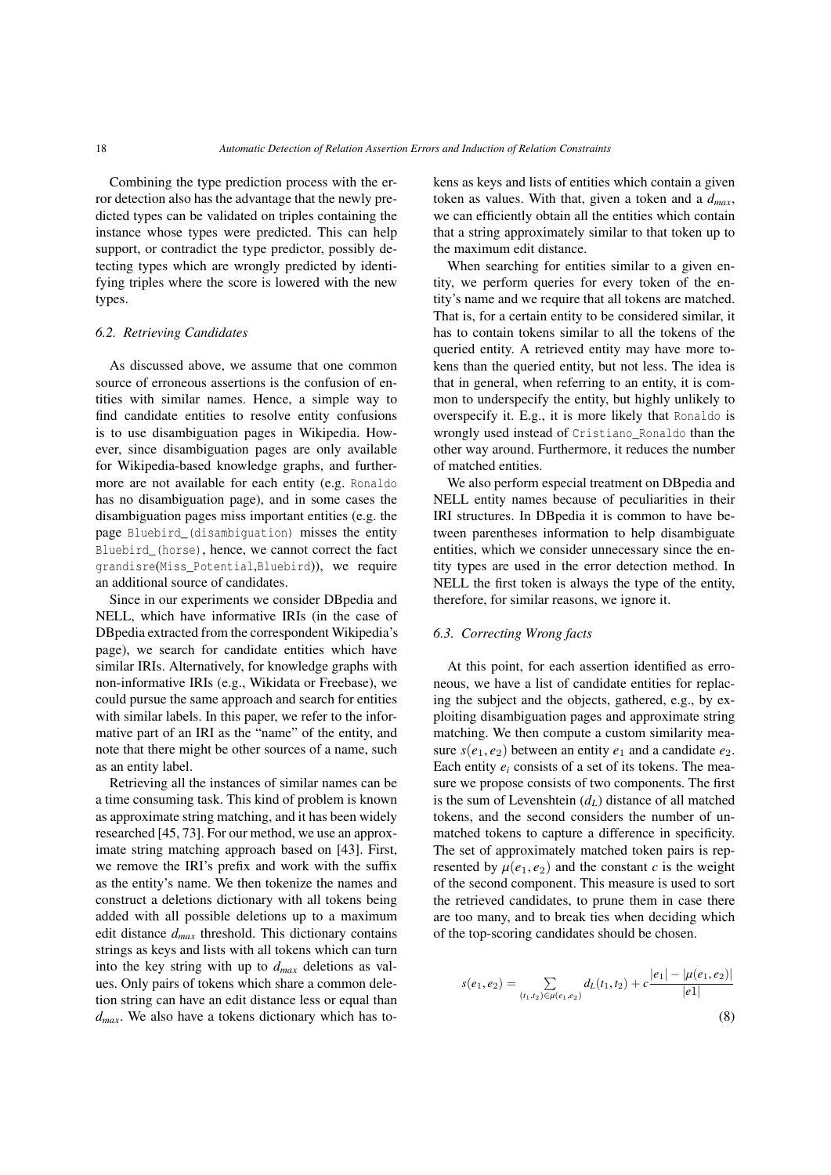Combining the type prediction process with the error detection also has the advantage that the newly predicted types can be validated on triples containing the instance whose types were predicted. This can help support, or contradict the type predictor, possibly detecting types which are wrongly predicted by identifying triples where the score is lowered with the new types.

## *6.2. Retrieving Candidates*

As discussed above, we assume that one common source of erroneous assertions is the confusion of entities with similar names. Hence, a simple way to find candidate entities to resolve entity confusions is to use disambiguation pages in Wikipedia. However, since disambiguation pages are only available for Wikipedia-based knowledge graphs, and furthermore are not available for each entity (e.g. Ronaldo has no disambiguation page), and in some cases the disambiguation pages miss important entities (e.g. the page Bluebird\_(disambiguation) misses the entity Bluebird\_(horse), hence, we cannot correct the fact grandisre(Miss\_Potential,Bluebird)), we require an additional source of candidates.

Since in our experiments we consider DBpedia and NELL, which have informative IRIs (in the case of DBpedia extracted from the correspondent Wikipedia's page), we search for candidate entities which have similar IRIs. Alternatively, for knowledge graphs with non-informative IRIs (e.g., Wikidata or Freebase), we could pursue the same approach and search for entities with similar labels. In this paper, we refer to the informative part of an IRI as the "name" of the entity, and note that there might be other sources of a name, such as an entity label.

Retrieving all the instances of similar names can be a time consuming task. This kind of problem is known as approximate string matching, and it has been widely researched [\[45,](#page-27-22) [73\]](#page-28-23). For our method, we use an approximate string matching approach based on [\[43\]](#page-27-23). First, we remove the IRI's prefix and work with the suffix as the entity's name. We then tokenize the names and construct a deletions dictionary with all tokens being added with all possible deletions up to a maximum edit distance *dmax* threshold. This dictionary contains strings as keys and lists with all tokens which can turn into the key string with up to *dmax* deletions as values. Only pairs of tokens which share a common deletion string can have an edit distance less or equal than *dmax*. We also have a tokens dictionary which has tokens as keys and lists of entities which contain a given token as values. With that, given a token and a *dmax*, we can efficiently obtain all the entities which contain that a string approximately similar to that token up to the maximum edit distance.

When searching for entities similar to a given entity, we perform queries for every token of the entity's name and we require that all tokens are matched. That is, for a certain entity to be considered similar, it has to contain tokens similar to all the tokens of the queried entity. A retrieved entity may have more tokens than the queried entity, but not less. The idea is that in general, when referring to an entity, it is common to underspecify the entity, but highly unlikely to overspecify it. E.g., it is more likely that Ronaldo is wrongly used instead of Cristiano\_Ronaldo than the other way around. Furthermore, it reduces the number of matched entities.

We also perform especial treatment on DBpedia and NELL entity names because of peculiarities in their IRI structures. In DBpedia it is common to have between parentheses information to help disambiguate entities, which we consider unnecessary since the entity types are used in the error detection method. In NELL the first token is always the type of the entity, therefore, for similar reasons, we ignore it.

## *6.3. Correcting Wrong facts*

At this point, for each assertion identified as erroneous, we have a list of candidate entities for replacing the subject and the objects, gathered, e.g., by exploiting disambiguation pages and approximate string matching. We then compute a custom similarity measure  $s(e_1, e_2)$  between an entity  $e_1$  and a candidate  $e_2$ . Each entity *e<sup>i</sup>* consists of a set of its tokens. The measure we propose consists of two components. The first is the sum of Levenshtein  $(d_L)$  distance of all matched tokens, and the second considers the number of unmatched tokens to capture a difference in specificity. The set of approximately matched token pairs is represented by  $\mu(e_1, e_2)$  and the constant *c* is the weight of the second component. This measure is used to sort the retrieved candidates, to prune them in case there are too many, and to break ties when deciding which of the top-scoring candidates should be chosen.

$$
s(e_1, e_2) = \sum_{(t_1, t_2) \in \mu(e_1, e_2)} d_L(t_1, t_2) + c \frac{|e_1| - |\mu(e_1, e_2)|}{|e_1|}
$$
\n(8)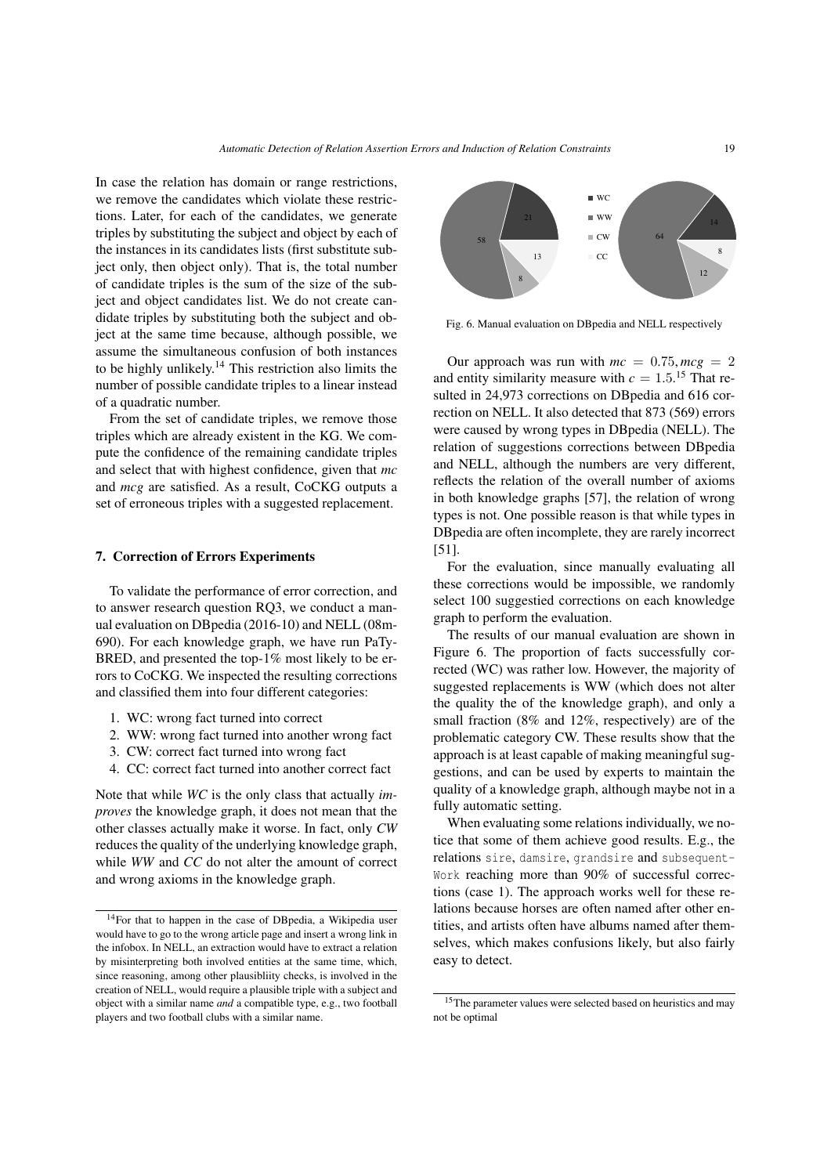In case the relation has domain or range restrictions, we remove the candidates which violate these restrictions. Later, for each of the candidates, we generate triples by substituting the subject and object by each of the instances in its candidates lists (first substitute subject only, then object only). That is, the total number of candidate triples is the sum of the size of the subject and object candidates list. We do not create candidate triples by substituting both the subject and object at the same time because, although possible, we assume the simultaneous confusion of both instances to be highly unlikely.[14](#page-18-0) This restriction also limits the number of possible candidate triples to a linear instead of a quadratic number.

From the set of candidate triples, we remove those triples which are already existent in the KG. We compute the confidence of the remaining candidate triples and select that with highest confidence, given that *mc* and *mcg* are satisfied. As a result, CoCKG outputs a set of erroneous triples with a suggested replacement.

## 7. Correction of Errors Experiments

To validate the performance of error correction, and to answer research question RQ3, we conduct a manual evaluation on DBpedia (2016-10) and NELL (08m-690). For each knowledge graph, we have run PaTy-BRED, and presented the top-1% most likely to be errors to CoCKG. We inspected the resulting corrections and classified them into four different categories:

- 1. WC: wrong fact turned into correct
- 2. WW: wrong fact turned into another wrong fact
- 3. CW: correct fact turned into wrong fact
- 4. CC: correct fact turned into another correct fact

Note that while *WC* is the only class that actually *improves* the knowledge graph, it does not mean that the other classes actually make it worse. In fact, only *CW* reduces the quality of the underlying knowledge graph, while *WW* and *CC* do not alter the amount of correct and wrong axioms in the knowledge graph.

<span id="page-18-2"></span>

Fig. 6. Manual evaluation on DBpedia and NELL respectively

Our approach was run with  $mc = 0.75$ ,  $mcg = 2$ and entity similarity measure with  $c = 1.5$ .<sup>[15](#page-18-1)</sup> That re-<br>sulted in 24.973 corrections on DB pedia and 616 corsulted in 24,973 corrections on DBpedia and 616 correction on NELL. It also detected that 873 (569) errors were caused by wrong types in DBpedia (NELL). The relation of suggestions corrections between DBpedia and NELL, although the numbers are very different, reflects the relation of the overall number of axioms in both knowledge graphs [\[57\]](#page-28-22), the relation of wrong types is not. One possible reason is that while types in DBpedia are often incomplete, they are rarely incorrect [\[51\]](#page-28-21).

For the evaluation, since manually evaluating all these corrections would be impossible, we randomly select 100 suggestied corrections on each knowledge graph to perform the evaluation.

The results of our manual evaluation are shown in Figure [6.](#page-18-2) The proportion of facts successfully corrected (WC) was rather low. However, the majority of suggested replacements is WW (which does not alter the quality the of the knowledge graph), and only a small fraction (8% and 12%, respectively) are of the problematic category CW. These results show that the approach is at least capable of making meaningful suggestions, and can be used by experts to maintain the quality of a knowledge graph, although maybe not in a fully automatic setting.

When evaluating some relations individually, we notice that some of them achieve good results. E.g., the relations sire, damsire, grandsire and subsequent-Work reaching more than 90% of successful corrections (case 1). The approach works well for these relations because horses are often named after other entities, and artists often have albums named after themselves, which makes confusions likely, but also fairly easy to detect.

<span id="page-18-0"></span><sup>14</sup>For that to happen in the case of DBpedia, a Wikipedia user would have to go to the wrong article page and insert a wrong link in the infobox. In NELL, an extraction would have to extract a relation by misinterpreting both involved entities at the same time, which, since reasoning, among other plausibliity checks, is involved in the creation of NELL, would require a plausible triple with a subject and object with a similar name *and* a compatible type, e.g., two football players and two football clubs with a similar name.

<span id="page-18-1"></span><sup>&</sup>lt;sup>15</sup>The parameter values were selected based on heuristics and may not be optimal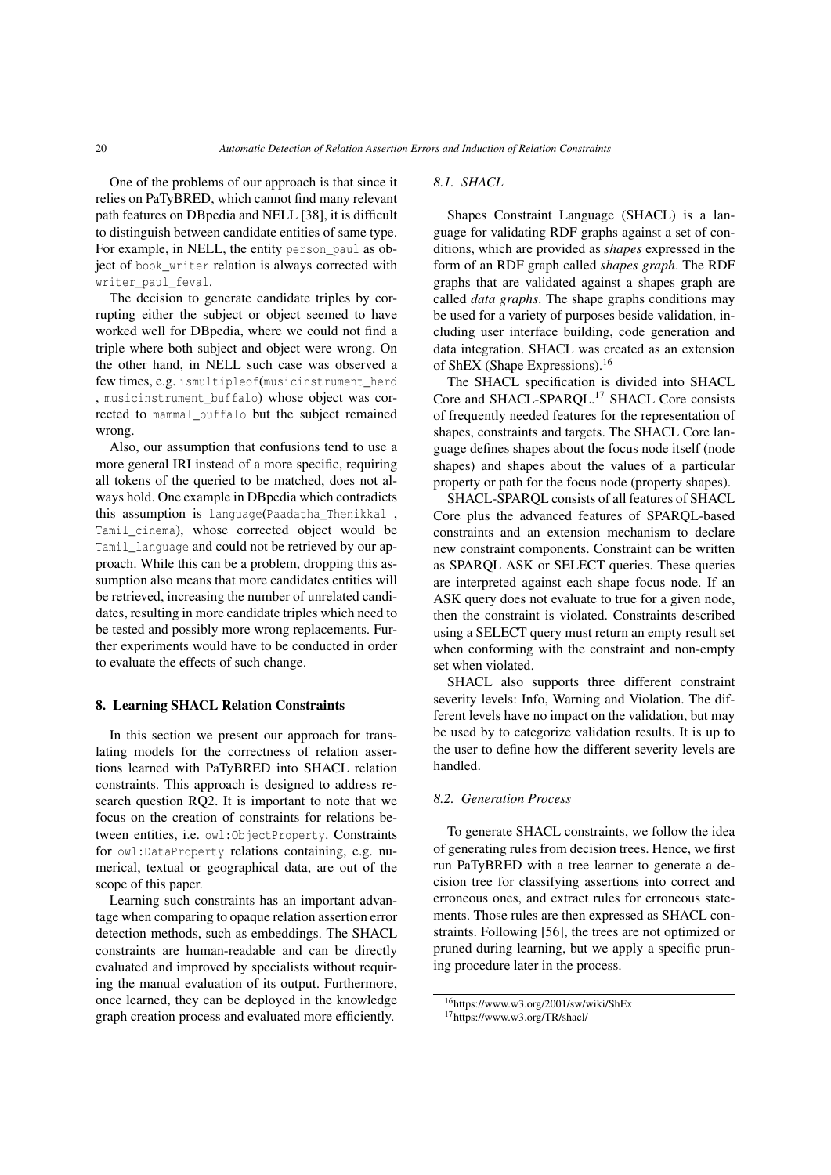One of the problems of our approach is that since it relies on PaTyBRED, which cannot find many relevant path features on DBpedia and NELL [\[38\]](#page-27-4), it is difficult to distinguish between candidate entities of same type. For example, in NELL, the entity person\_paul as object of book\_writer relation is always corrected with writer paul feval.

The decision to generate candidate triples by corrupting either the subject or object seemed to have worked well for DBpedia, where we could not find a triple where both subject and object were wrong. On the other hand, in NELL such case was observed a few times, e.g. ismultipleof(musicinstrument\_herd , musicinstrument\_buffalo) whose object was corrected to mammal\_buffalo but the subject remained wrong.

Also, our assumption that confusions tend to use a more general IRI instead of a more specific, requiring all tokens of the queried to be matched, does not always hold. One example in DBpedia which contradicts this assumption is language(Paadatha\_Thenikkal , Tamil\_cinema), whose corrected object would be Tamil language and could not be retrieved by our approach. While this can be a problem, dropping this assumption also means that more candidates entities will be retrieved, increasing the number of unrelated candidates, resulting in more candidate triples which need to be tested and possibly more wrong replacements. Further experiments would have to be conducted in order to evaluate the effects of such change.

#### 8. Learning SHACL Relation Constraints

In this section we present our approach for translating models for the correctness of relation assertions learned with PaTyBRED into SHACL relation constraints. This approach is designed to address research question RQ2. It is important to note that we focus on the creation of constraints for relations between entities, i.e. owl:ObjectProperty. Constraints for owl:DataProperty relations containing, e.g. numerical, textual or geographical data, are out of the scope of this paper.

Learning such constraints has an important advantage when comparing to opaque relation assertion error detection methods, such as embeddings. The SHACL constraints are human-readable and can be directly evaluated and improved by specialists without requiring the manual evaluation of its output. Furthermore, once learned, they can be deployed in the knowledge graph creation process and evaluated more efficiently.

## *8.1. SHACL*

Shapes Constraint Language (SHACL) is a language for validating RDF graphs against a set of conditions, which are provided as *shapes* expressed in the form of an RDF graph called *shapes graph*. The RDF graphs that are validated against a shapes graph are called *data graphs*. The shape graphs conditions may be used for a variety of purposes beside validation, including user interface building, code generation and data integration. SHACL was created as an extension of ShEX (Shape Expressions).[16](#page-19-0)

The SHACL specification is divided into SHACL Core and SHACL-SPARQL.[17](#page-19-1) SHACL Core consists of frequently needed features for the representation of shapes, constraints and targets. The SHACL Core language defines shapes about the focus node itself (node shapes) and shapes about the values of a particular property or path for the focus node (property shapes).

SHACL-SPARQL consists of all features of SHACL Core plus the advanced features of SPARQL-based constraints and an extension mechanism to declare new constraint components. Constraint can be written as SPARQL ASK or SELECT queries. These queries are interpreted against each shape focus node. If an ASK query does not evaluate to true for a given node, then the constraint is violated. Constraints described using a SELECT query must return an empty result set when conforming with the constraint and non-empty set when violated.

SHACL also supports three different constraint severity levels: Info, Warning and Violation. The different levels have no impact on the validation, but may be used by to categorize validation results. It is up to the user to define how the different severity levels are handled.

### *8.2. Generation Process*

To generate SHACL constraints, we follow the idea of generating rules from decision trees. Hence, we first run PaTyBRED with a tree learner to generate a decision tree for classifying assertions into correct and erroneous ones, and extract rules for erroneous statements. Those rules are then expressed as SHACL constraints. Following [\[56\]](#page-28-24), the trees are not optimized or pruned during learning, but we apply a specific pruning procedure later in the process.

<span id="page-19-0"></span><sup>16</sup><https://www.w3.org/2001/sw/wiki/ShEx>

<span id="page-19-1"></span><sup>17</sup><https://www.w3.org/TR/shacl/>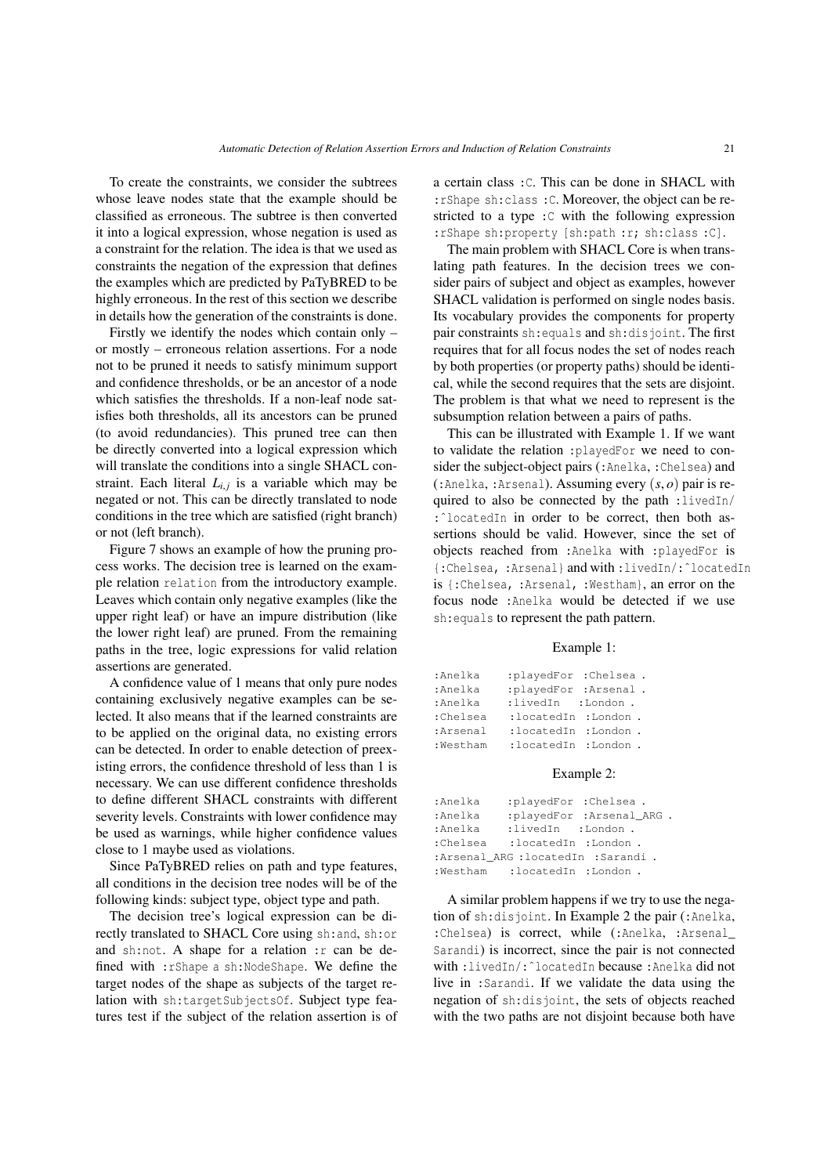To create the constraints, we consider the subtrees whose leave nodes state that the example should be classified as erroneous. The subtree is then converted it into a logical expression, whose negation is used as a constraint for the relation. The idea is that we used as constraints the negation of the expression that defines the examples which are predicted by PaTyBRED to be highly erroneous. In the rest of this section we describe in details how the generation of the constraints is done.

Firstly we identify the nodes which contain only – or mostly – erroneous relation assertions. For a node not to be pruned it needs to satisfy minimum support and confidence thresholds, or be an ancestor of a node which satisfies the thresholds. If a non-leaf node satisfies both thresholds, all its ancestors can be pruned (to avoid redundancies). This pruned tree can then be directly converted into a logical expression which will translate the conditions into a single SHACL constraint. Each literal  $L_{i,j}$  is a variable which may be negated or not. This can be directly translated to node negated or not. This can be directly translated to node conditions in the tree which are satisfied (right branch) or not (left branch).

Figure [7](#page-21-0) shows an example of how the pruning process works. The decision tree is learned on the example relation relation from the introductory example. Leaves which contain only negative examples (like the upper right leaf) or have an impure distribution (like the lower right leaf) are pruned. From the remaining paths in the tree, logic expressions for valid relation assertions are generated.

A confidence value of 1 means that only pure nodes containing exclusively negative examples can be selected. It also means that if the learned constraints are to be applied on the original data, no existing errors can be detected. In order to enable detection of preexisting errors, the confidence threshold of less than 1 is necessary. We can use different confidence thresholds to define different SHACL constraints with different severity levels. Constraints with lower confidence may be used as warnings, while higher confidence values close to 1 maybe used as violations.

Since PaTyBRED relies on path and type features, all conditions in the decision tree nodes will be of the following kinds: subject type, object type and path.

The decision tree's logical expression can be directly translated to SHACL Core using sh:and, sh:or and sh:not. A shape for a relation :r can be defined with :rShape a sh:NodeShape. We define the target nodes of the shape as subjects of the target relation with sh:targetSubjectsOf. Subject type features test if the subject of the relation assertion is of a certain class :C. This can be done in SHACL with :rShape sh:class :C. Moreover, the object can be restricted to a type : C with the following expression :rShape sh:property [sh:path :r; sh:class :C].

The main problem with SHACL Core is when translating path features. In the decision trees we consider pairs of subject and object as examples, however SHACL validation is performed on single nodes basis. Its vocabulary provides the components for property pair constraints sh:equals and sh:disjoint. The first requires that for all focus nodes the set of nodes reach by both properties (or property paths) should be identical, while the second requires that the sets are disjoint. The problem is that what we need to represent is the subsumption relation between a pairs of paths.

This can be illustrated with Example 1. If we want to validate the relation :playedFor we need to consider the subject-object pairs (:Anelka, :Chelsea) and (:Anelka, :Arsenal). Assuming every (*s*, *<sup>o</sup>*) pair is required to also be connected by the path :livedIn/ :ˆlocatedIn in order to be correct, then both assertions should be valid. However, since the set of objects reached from :Anelka with :playedFor is {:Chelsea, :Arsenal} and with :livedIn/:ˆlocatedIn is {:Chelsea, :Arsenal, :Westham}, an error on the focus node :Anelka would be detected if we use sh:equals to represent the path pattern.

## Example 1:

| :Anelka  | :playedFor | :Chelsea . |
|----------|------------|------------|
| :Anelka  | :playedFor | :Arsenal.  |
| :Anelka  | :livedIn   | :London.   |
| :Chelsea | :locatedIn | :London.   |
| :Arsenal | :locatedIn | :London.   |
| :Westham | :locatedIn | :London.   |

#### Example 2:

| :Anelka  | :playedFor : Chelsea.     |                                  |
|----------|---------------------------|----------------------------------|
| :Anelka  |                           | :playedFor :Arsenal ARG.         |
| :Anelka  | :livedIn :London.         |                                  |
| :Chelsea | $:$ locatedIn $:$ London. |                                  |
|          |                           | :Arsenal_ARG:locatedIn :Sarandi. |
| :Westham | :locatedIn :London .      |                                  |

A similar problem happens if we try to use the negation of sh:disjoint. In Example 2 the pair (:Anelka, :Chelsea) is correct, while (:Anelka, :Arsenal\_ Sarandi) is incorrect, since the pair is not connected with :livedIn/:ˆlocatedIn because :Anelka did not live in :Sarandi. If we validate the data using the negation of sh:disjoint, the sets of objects reached with the two paths are not disjoint because both have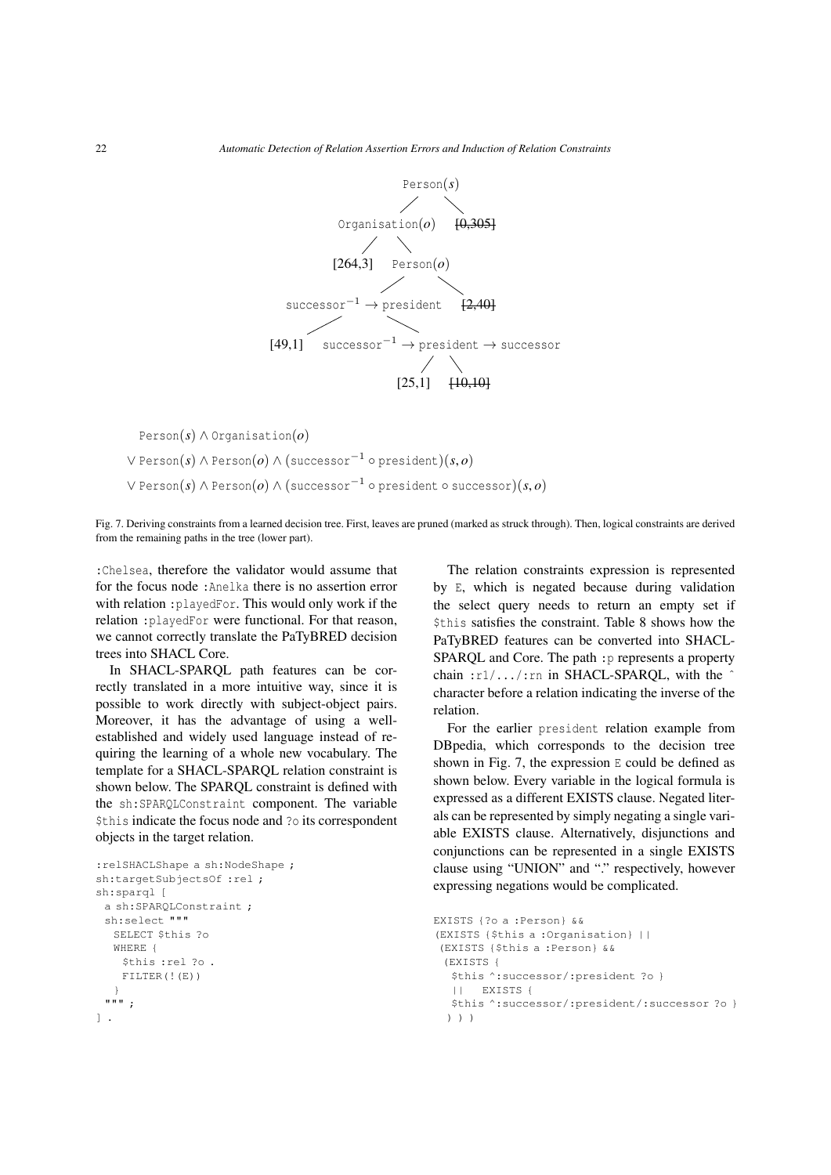<span id="page-21-0"></span>

Person(*s*) ∧ Organisation(*o*) ∨ Person(*s*) ∧ Person(*o*) ∧ (successor−<sup>1</sup> ◦ president)(*s*, *<sup>o</sup>*) ∨ Person(*s*) ∧ Person(*o*) ∧ (successor−<sup>1</sup> ◦ president ◦ successor)(*s*, *<sup>o</sup>*)

Fig. 7. Deriving constraints from a learned decision tree. First, leaves are pruned (marked as struck through). Then, logical constraints are derived from the remaining paths in the tree (lower part).

:Chelsea, therefore the validator would assume that for the focus node :Anelka there is no assertion error with relation :playedFor. This would only work if the relation :playedFor were functional. For that reason, we cannot correctly translate the PaTyBRED decision trees into SHACL Core.

In SHACL-SPARQL path features can be correctly translated in a more intuitive way, since it is possible to work directly with subject-object pairs. Moreover, it has the advantage of using a wellestablished and widely used language instead of requiring the learning of a whole new vocabulary. The template for a SHACL-SPARQL relation constraint is shown below. The SPARQL constraint is defined with the sh:SPARQLConstraint component. The variable \$this indicate the focus node and ?o its correspondent objects in the target relation.

```
:relSHACLShape a sh:NodeShape ;
sh:targetSubjectsOf :rel ;
sh:sparql [
 a sh:SPARQLConstraint ;
 sh:select """
  SELECT $this ?o
  WHERE {
    $this :rel ?o .
    FILTER(!(E))
   }
 """ ;
] .
```
The relation constraints expression is represented by E, which is negated because during validation the select query needs to return an empty set if \$this satisfies the constraint. Table [8](#page-22-0) shows how the PaTyBRED features can be converted into SHACL-SPARQL and Core. The path : p represents a property chain :r1/.../:rn in SHACL-SPARQL, with the  $\check{\phantom{a}}$ character before a relation indicating the inverse of the relation.

For the earlier president relation example from DBpedia, which corresponds to the decision tree shown in Fig. [7,](#page-21-0) the expression  $E$  could be defined as shown below. Every variable in the logical formula is expressed as a different EXISTS clause. Negated literals can be represented by simply negating a single variable EXISTS clause. Alternatively, disjunctions and conjunctions can be represented in a single EXISTS clause using "UNION" and "." respectively, however expressing negations would be complicated.

```
EXISTS {?o a :Person} &&
(EXISTS {$this a :Organisation} ||
(EXISTS {$this a :Person} &&
 (EXISTS {
  $this ^:successor/:president ?o }
  || EXISTS {
  $this ^:successor/:president/:successor ?o }
  ) ) )
```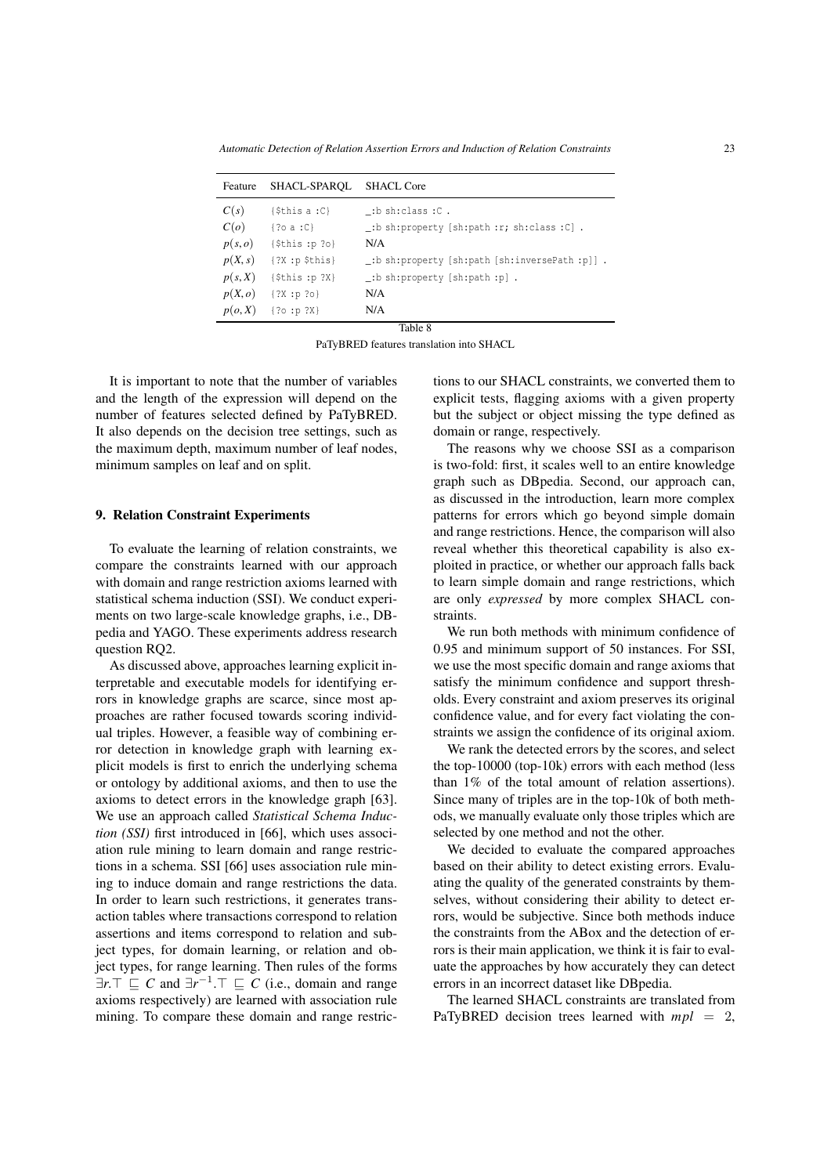*Automatic Detection of Relation Assertion Errors and Induction of Relation Constraints* 23

<span id="page-22-0"></span>

| Feature | SHACL-SPAROL SHACL Core   |                                                         |  |  |  |  |  |
|---------|---------------------------|---------------------------------------------------------|--|--|--|--|--|
| C(s)    | $\{\text{sthis a :C}\}\$  | :b sh:class :C .                                        |  |  |  |  |  |
| C(o)    | $\{?\circ a :: C\}$       | $\_:b$ sh:property [sh:path :r; sh:class :C].           |  |  |  |  |  |
|         | $p(s, o)$ {\$this: p ? o} | N/A                                                     |  |  |  |  |  |
|         | $p(X, s)$ {?X :p \$this}  | $\lfloor$ :b sh:property [sh:path [sh:inversePath :p]]. |  |  |  |  |  |
|         | $p(s, X)$ {\$this: p ?X}  | $\_:b$ sh:property [sh:path :p].                        |  |  |  |  |  |
| p(X,o)  | $\{?X : p ?o\}$           | N/A                                                     |  |  |  |  |  |
|         | $p(o, X)$ {?o : p ?X}     | N/A                                                     |  |  |  |  |  |
|         | Table 8                   |                                                         |  |  |  |  |  |

PaTyBRED features translation into SHACL

It is important to note that the number of variables and the length of the expression will depend on the number of features selected defined by PaTyBRED. It also depends on the decision tree settings, such as the maximum depth, maximum number of leaf nodes, minimum samples on leaf and on split.

#### 9. Relation Constraint Experiments

To evaluate the learning of relation constraints, we compare the constraints learned with our approach with domain and range restriction axioms learned with statistical schema induction (SSI). We conduct experiments on two large-scale knowledge graphs, i.e., DBpedia and YAGO. These experiments address research question RQ2.

As discussed above, approaches learning explicit interpretable and executable models for identifying errors in knowledge graphs are scarce, since most approaches are rather focused towards scoring individual triples. However, a feasible way of combining error detection in knowledge graph with learning explicit models is first to enrich the underlying schema or ontology by additional axioms, and then to use the axioms to detect errors in the knowledge graph [\[63\]](#page-28-18). We use an approach called *Statistical Schema Induction (SSI)* first introduced in [\[66\]](#page-28-4), which uses association rule mining to learn domain and range restrictions in a schema. SSI [\[66\]](#page-28-4) uses association rule mining to induce domain and range restrictions the data. In order to learn such restrictions, it generates transaction tables where transactions correspond to relation assertions and items correspond to relation and subject types, for domain learning, or relation and object types, for range learning. Then rules of the forms  $\exists r.\top \sqsubseteq C$  and  $\exists r^{-1}.\top \sqsubseteq C$  (i.e., domain and range<br>avioms respectively) are learned with association rule axioms respectively) are learned with association rule mining. To compare these domain and range restrictions to our SHACL constraints, we converted them to explicit tests, flagging axioms with a given property but the subject or object missing the type defined as domain or range, respectively.

The reasons why we choose SSI as a comparison is two-fold: first, it scales well to an entire knowledge graph such as DBpedia. Second, our approach can, as discussed in the introduction, learn more complex patterns for errors which go beyond simple domain and range restrictions. Hence, the comparison will also reveal whether this theoretical capability is also exploited in practice, or whether our approach falls back to learn simple domain and range restrictions, which are only *expressed* by more complex SHACL constraints.

We run both methods with minimum confidence of 0.95 and minimum support of 50 instances. For SSI, we use the most specific domain and range axioms that satisfy the minimum confidence and support thresholds. Every constraint and axiom preserves its original confidence value, and for every fact violating the constraints we assign the confidence of its original axiom.

We rank the detected errors by the scores, and select the top-10000 (top-10k) errors with each method (less than 1% of the total amount of relation assertions). Since many of triples are in the top-10k of both methods, we manually evaluate only those triples which are selected by one method and not the other.

We decided to evaluate the compared approaches based on their ability to detect existing errors. Evaluating the quality of the generated constraints by themselves, without considering their ability to detect errors, would be subjective. Since both methods induce the constraints from the ABox and the detection of errors is their main application, we think it is fair to evaluate the approaches by how accurately they can detect errors in an incorrect dataset like DBpedia.

The learned SHACL constraints are translated from PaTyBRED decision trees learned with *mpl* = 2,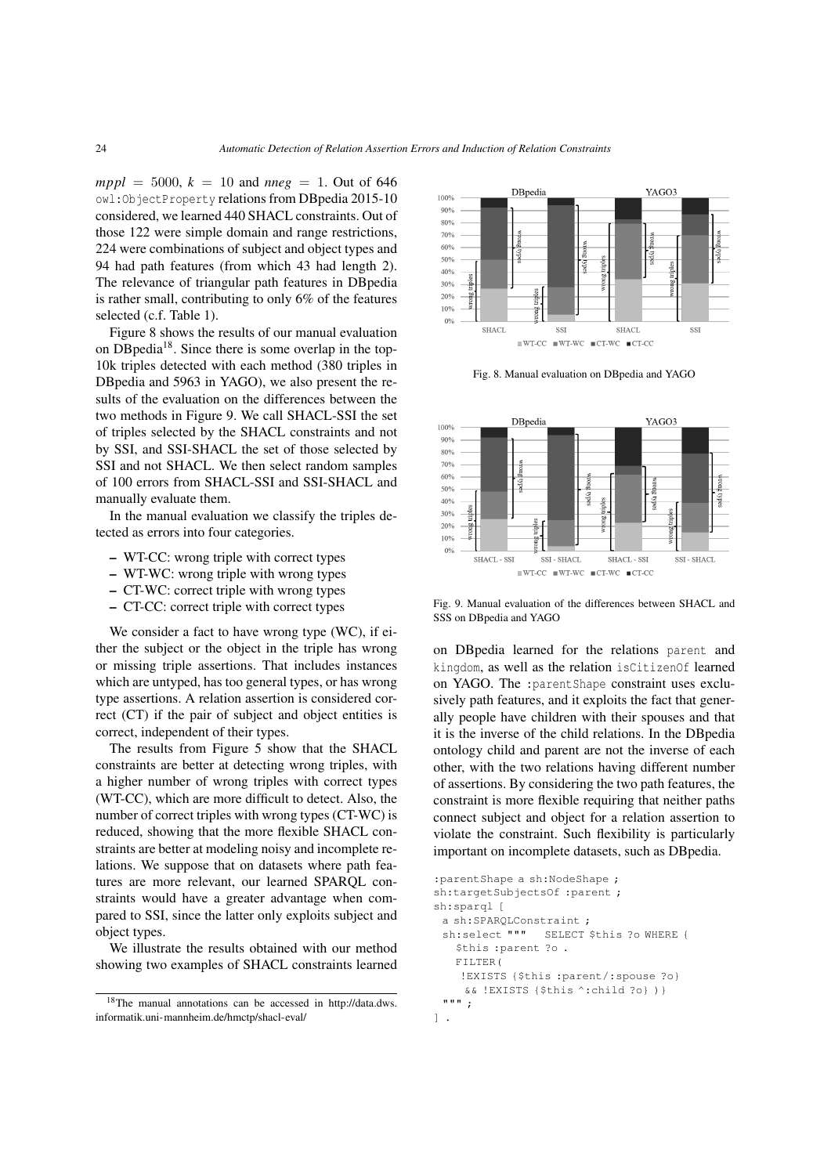$mppl = 5000, k = 10$  and  $nneg = 1$ . Out of 646 owl:ObjectProperty relations from DBpedia 2015-10 considered, we learned 440 SHACL constraints. Out of those 122 were simple domain and range restrictions, 224 were combinations of subject and object types and 94 had path features (from which 43 had length 2). The relevance of triangular path features in DBpedia is rather small, contributing to only 6% of the features selected (c.f. Table [1\)](#page-7-0).

Figure [8](#page-23-0) shows the results of our manual evaluation on DBpedia[18](#page-23-1). Since there is some overlap in the top-10k triples detected with each method (380 triples in DBpedia and 5963 in YAGO), we also present the results of the evaluation on the differences between the two methods in Figure [9.](#page-23-2) We call SHACL-SSI the set of triples selected by the SHACL constraints and not by SSI, and SSI-SHACL the set of those selected by SSI and not SHACL. We then select random samples of 100 errors from SHACL-SSI and SSI-SHACL and manually evaluate them.

In the manual evaluation we classify the triples detected as errors into four categories.

- WT-CC: wrong triple with correct types
- WT-WC: wrong triple with wrong types
- CT-WC: correct triple with wrong types
- CT-CC: correct triple with correct types

We consider a fact to have wrong type (WC), if either the subject or the object in the triple has wrong or missing triple assertions. That includes instances which are untyped, has too general types, or has wrong type assertions. A relation assertion is considered correct (CT) if the pair of subject and object entities is correct, independent of their types.

The results from Figure [5](#page-15-2) show that the SHACL constraints are better at detecting wrong triples, with a higher number of wrong triples with correct types (WT-CC), which are more difficult to detect. Also, the number of correct triples with wrong types (CT-WC) is reduced, showing that the more flexible SHACL constraints are better at modeling noisy and incomplete relations. We suppose that on datasets where path features are more relevant, our learned SPARQL constraints would have a greater advantage when compared to SSI, since the latter only exploits subject and object types.

We illustrate the results obtained with our method showing two examples of SHACL constraints learned

<span id="page-23-0"></span>

Fig. 8. Manual evaluation on DBpedia and YAGO

<span id="page-23-2"></span>

Fig. 9. Manual evaluation of the differences between SHACL and SSS on DBpedia and YAGO

on DBpedia learned for the relations parent and kingdom, as well as the relation isCitizenOf learned on YAGO. The :parentShape constraint uses exclusively path features, and it exploits the fact that generally people have children with their spouses and that it is the inverse of the child relations. In the DBpedia ontology child and parent are not the inverse of each other, with the two relations having different number of assertions. By considering the two path features, the constraint is more flexible requiring that neither paths connect subject and object for a relation assertion to violate the constraint. Such flexibility is particularly important on incomplete datasets, such as DBpedia.

```
:parentShape a sh:NodeShape ;
sh:targetSubjectsOf :parent ;
sh:sparql [
 a sh:SPARQLConstraint ;
 sh:select """ SELECT $this ?o WHERE {
   $this :parent ?o .
   FILTER(
    !EXISTS {$this :parent/:spouse ?o}
     && !EXISTS {$this ^:child ?o} )}
 """ ;
] .
```
<span id="page-23-1"></span><sup>18</sup>The manual annotations can be accessed in [http://data.dws.](http://data.dws.informatik.uni-mannheim.de/hmctp/shacl-eval/) [informatik.uni-mannheim.de/hmctp/shacl-eval/](http://data.dws.informatik.uni-mannheim.de/hmctp/shacl-eval/)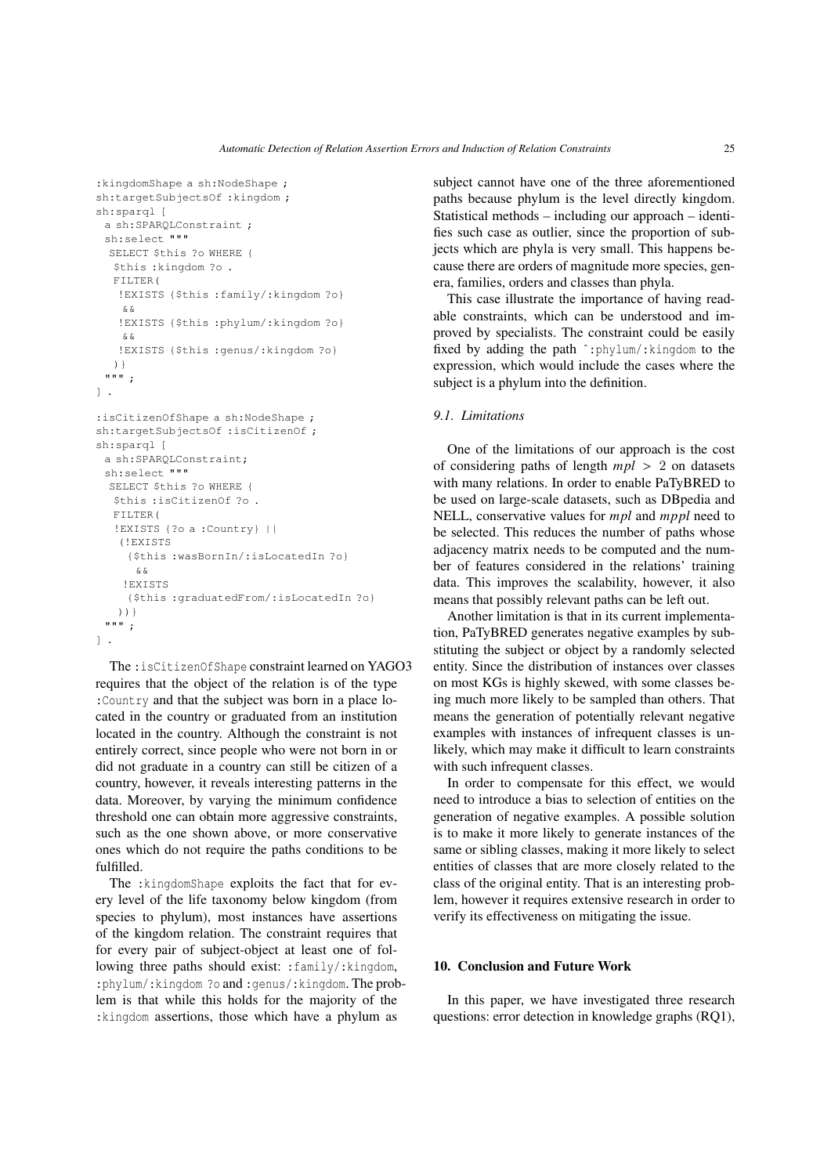```
: kingdomShape a sh: NodeShape ;
sh:targetSubjectsOf :kingdom ;
sh:sparql [
 a sh:SPARQLConstraint ;
 sh:select """
 SELECT $this ?o WHERE {
  $this :kingdom ?o .
  FILTER(
   !EXISTS {$this :family/:kingdom ?o}
    \& \&!EXISTS {$this :phylum/:kingdom ?o}
    \delta \delta!EXISTS {$this :genus/:kingdom ?o}
  )}
 """ ;
] .
```

```
:isCitizenOfShape a sh:NodeShape ;
sh:targetSubjectsOf :isCitizenOf ;
sh:sparql [
 a sh:SPARQLConstraint;
 sh:select """
 SELECT $this ?o WHERE {
   $this :isCitizenOf ?o .
  FILTER(
  !EXISTS {?o a :Country} ||
   (!EXISTS
     {$this :wasBornIn/:isLocatedIn ?o}
      \&\&!EXISTS
     {$this :graduatedFrom/:isLocatedIn ?o}
   ))}
 """ ;
] .
```
The :isCitizenOfShape constraint learned on YAGO3 requires that the object of the relation is of the type :Country and that the subject was born in a place located in the country or graduated from an institution located in the country. Although the constraint is not entirely correct, since people who were not born in or did not graduate in a country can still be citizen of a country, however, it reveals interesting patterns in the data. Moreover, by varying the minimum confidence threshold one can obtain more aggressive constraints, such as the one shown above, or more conservative ones which do not require the paths conditions to be fulfilled.

The :kingdomShape exploits the fact that for every level of the life taxonomy below kingdom (from species to phylum), most instances have assertions of the kingdom relation. The constraint requires that for every pair of subject-object at least one of following three paths should exist: :family/:kingdom, :phylum/:kingdom ?o and: qenus/:kingdom. The problem is that while this holds for the majority of the :kingdom assertions, those which have a phylum as

subject cannot have one of the three aforementioned paths because phylum is the level directly kingdom. Statistical methods – including our approach – identifies such case as outlier, since the proportion of subjects which are phyla is very small. This happens because there are orders of magnitude more species, genera, families, orders and classes than phyla.

This case illustrate the importance of having readable constraints, which can be understood and improved by specialists. The constraint could be easily fixed by adding the path ˆ:phylum/:kingdom to the expression, which would include the cases where the subject is a phylum into the definition.

## *9.1. Limitations*

One of the limitations of our approach is the cost of considering paths of length *mpl* > <sup>2</sup> on datasets with many relations. In order to enable PaTyBRED to be used on large-scale datasets, such as DBpedia and NELL, conservative values for *mpl* and *mppl* need to be selected. This reduces the number of paths whose adjacency matrix needs to be computed and the number of features considered in the relations' training data. This improves the scalability, however, it also means that possibly relevant paths can be left out.

Another limitation is that in its current implementation, PaTyBRED generates negative examples by substituting the subject or object by a randomly selected entity. Since the distribution of instances over classes on most KGs is highly skewed, with some classes being much more likely to be sampled than others. That means the generation of potentially relevant negative examples with instances of infrequent classes is unlikely, which may make it difficult to learn constraints with such infrequent classes.

In order to compensate for this effect, we would need to introduce a bias to selection of entities on the generation of negative examples. A possible solution is to make it more likely to generate instances of the same or sibling classes, making it more likely to select entities of classes that are more closely related to the class of the original entity. That is an interesting problem, however it requires extensive research in order to verify its effectiveness on mitigating the issue.

## 10. Conclusion and Future Work

In this paper, we have investigated three research questions: error detection in knowledge graphs (RQ1),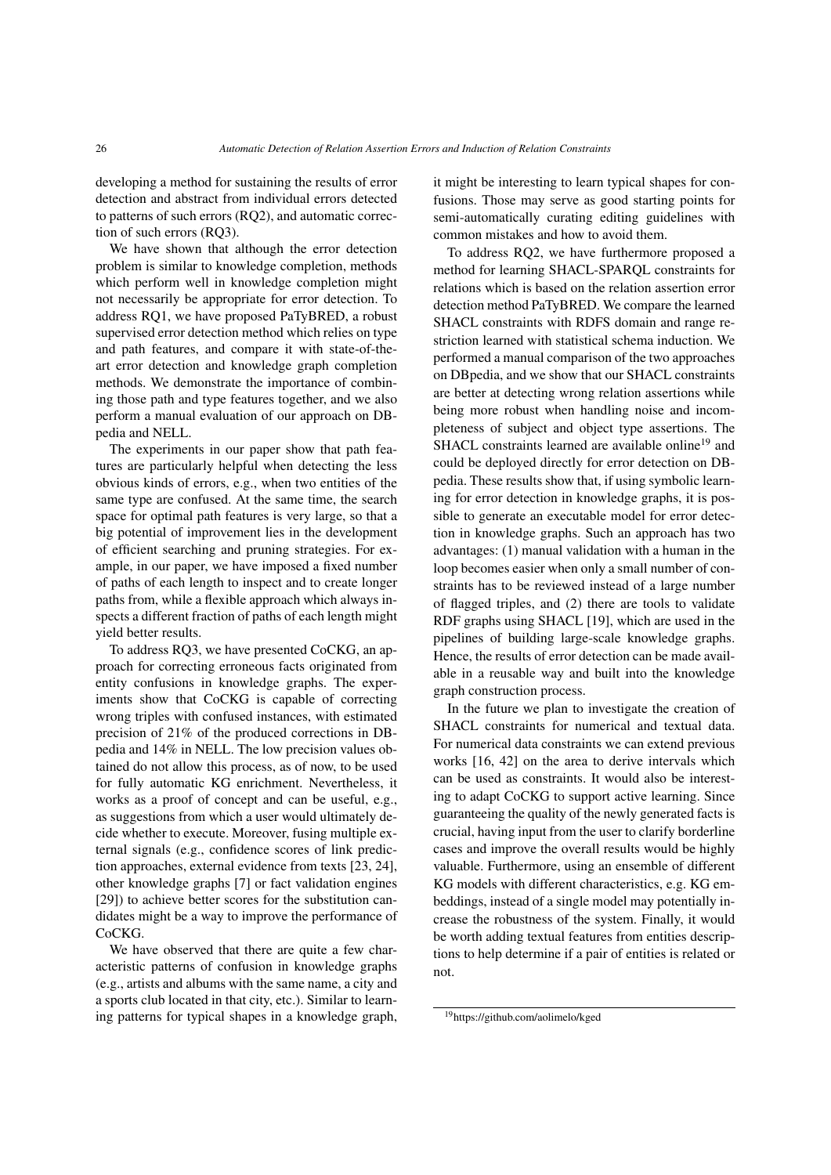developing a method for sustaining the results of error detection and abstract from individual errors detected to patterns of such errors (RQ2), and automatic correction of such errors (RQ3).

We have shown that although the error detection problem is similar to knowledge completion, methods which perform well in knowledge completion might not necessarily be appropriate for error detection. To address RQ1, we have proposed PaTyBRED, a robust supervised error detection method which relies on type and path features, and compare it with state-of-theart error detection and knowledge graph completion methods. We demonstrate the importance of combining those path and type features together, and we also perform a manual evaluation of our approach on DBpedia and NELL.

The experiments in our paper show that path features are particularly helpful when detecting the less obvious kinds of errors, e.g., when two entities of the same type are confused. At the same time, the search space for optimal path features is very large, so that a big potential of improvement lies in the development of efficient searching and pruning strategies. For example, in our paper, we have imposed a fixed number of paths of each length to inspect and to create longer paths from, while a flexible approach which always inspects a different fraction of paths of each length might yield better results.

To address RQ3, we have presented CoCKG, an approach for correcting erroneous facts originated from entity confusions in knowledge graphs. The experiments show that CoCKG is capable of correcting wrong triples with confused instances, with estimated precision of 21% of the produced corrections in DBpedia and 14% in NELL. The low precision values obtained do not allow this process, as of now, to be used for fully automatic KG enrichment. Nevertheless, it works as a proof of concept and can be useful, e.g., as suggestions from which a user would ultimately decide whether to execute. Moreover, fusing multiple external signals (e.g., confidence scores of link prediction approaches, external evidence from texts [\[23,](#page-27-24) [24\]](#page-27-25), other knowledge graphs [\[7\]](#page-26-17) or fact validation engines [\[29\]](#page-27-26)) to achieve better scores for the substitution candidates might be a way to improve the performance of CoCKG.

We have observed that there are quite a few characteristic patterns of confusion in knowledge graphs (e.g., artists and albums with the same name, a city and a sports club located in that city, etc.). Similar to learning patterns for typical shapes in a knowledge graph, it might be interesting to learn typical shapes for confusions. Those may serve as good starting points for semi-automatically curating editing guidelines with common mistakes and how to avoid them.

To address RQ2, we have furthermore proposed a method for learning SHACL-SPARQL constraints for relations which is based on the relation assertion error detection method PaTyBRED. We compare the learned SHACL constraints with RDFS domain and range restriction learned with statistical schema induction. We performed a manual comparison of the two approaches on DBpedia, and we show that our SHACL constraints are better at detecting wrong relation assertions while being more robust when handling noise and incompleteness of subject and object type assertions. The SHACL constraints learned are available online<sup>[19](#page-25-0)</sup> and could be deployed directly for error detection on DBpedia. These results show that, if using symbolic learning for error detection in knowledge graphs, it is possible to generate an executable model for error detection in knowledge graphs. Such an approach has two advantages: (1) manual validation with a human in the loop becomes easier when only a small number of constraints has to be reviewed instead of a large number of flagged triples, and (2) there are tools to validate RDF graphs using SHACL [\[19\]](#page-26-18), which are used in the pipelines of building large-scale knowledge graphs. Hence, the results of error detection can be made available in a reusable way and built into the knowledge graph construction process.

In the future we plan to investigate the creation of SHACL constraints for numerical and textual data. For numerical data constraints we can extend previous works [\[16,](#page-26-19) [42\]](#page-27-27) on the area to derive intervals which can be used as constraints. It would also be interesting to adapt CoCKG to support active learning. Since guaranteeing the quality of the newly generated facts is crucial, having input from the user to clarify borderline cases and improve the overall results would be highly valuable. Furthermore, using an ensemble of different KG models with different characteristics, e.g. KG embeddings, instead of a single model may potentially increase the robustness of the system. Finally, it would be worth adding textual features from entities descriptions to help determine if a pair of entities is related or not.

<span id="page-25-0"></span><sup>19</sup><https://github.com/aolimelo/kged>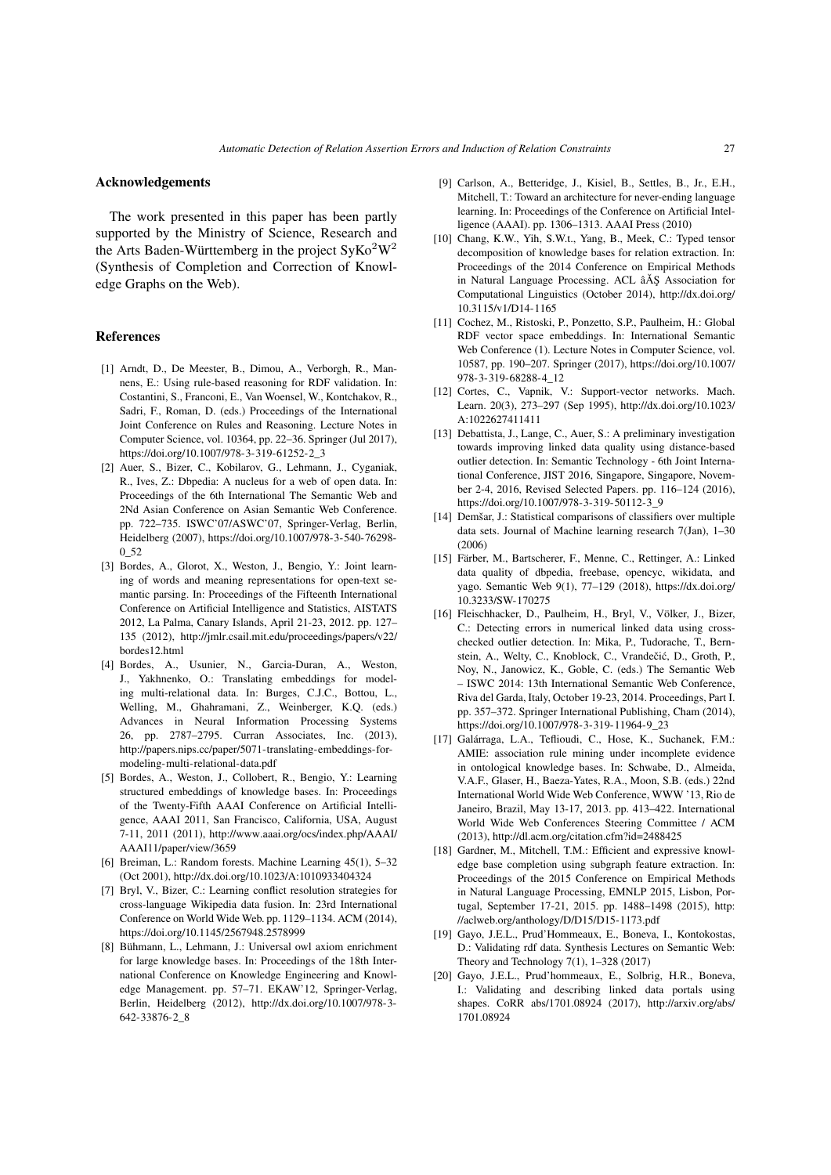#### Acknowledgements

The work presented in this paper has been partly supported by the Ministry of Science, Research and the Arts Baden-Württemberg in the project  $SyKo^2W^2$ (Synthesis of Completion and Correction of Knowledge Graphs on the Web).

### References

- <span id="page-26-10"></span>[1] Arndt, D., De Meester, B., Dimou, A., Verborgh, R., Mannens, E.: Using rule-based reasoning for RDF validation. In: Costantini, S., Franconi, E., Van Woensel, W., Kontchakov, R., Sadri, F., Roman, D. (eds.) Proceedings of the International Joint Conference on Rules and Reasoning. Lecture Notes in Computer Science, vol. 10364, pp. 22–36. Springer (Jul 2017), https://doi.org/10.[1007/978-3-319-61252-2\\_3](https://doi.org/10.1007/978-3-319-61252-2_3)
- <span id="page-26-11"></span>[2] Auer, S., Bizer, C., Kobilarov, G., Lehmann, J., Cyganiak, R., Ives, Z.: Dbpedia: A nucleus for a web of open data. In: Proceedings of the 6th International The Semantic Web and 2Nd Asian Conference on Asian Semantic Web Conference. pp. 722–735. ISWC'07/ASWC'07, Springer-Verlag, Berlin, Heidelberg (2007), https://doi.org/10.[1007/978-3-540-76298-](https://doi.org/10.1007/978-3-540-76298-0_52) [0\\_52](https://doi.org/10.1007/978-3-540-76298-0_52)
- <span id="page-26-6"></span>[3] Bordes, A., Glorot, X., Weston, J., Bengio, Y.: Joint learning of words and meaning representations for open-text semantic parsing. In: Proceedings of the Fifteenth International Conference on Artificial Intelligence and Statistics, AISTATS 2012, La Palma, Canary Islands, April 21-23, 2012. pp. 127– 135 (2012), http://jmlr.csail.mit.[edu/proceedings/papers/v22/](http://jmlr.csail.mit.edu/proceedings/papers/v22/bordes12.html) [bordes12](http://jmlr.csail.mit.edu/proceedings/papers/v22/bordes12.html).html
- <span id="page-26-7"></span>[4] Bordes, A., Usunier, N., Garcia-Duran, A., Weston, J., Yakhnenko, O.: Translating embeddings for modeling multi-relational data. In: Burges, C.J.C., Bottou, L., Welling, M., Ghahramani, Z., Weinberger, K.Q. (eds.) Advances in Neural Information Processing Systems 26, pp. 2787–2795. Curran Associates, Inc. (2013), http://papers.nips.[cc/paper/5071-translating-embeddings-for](http://papers.nips.cc/paper/5071-translating-embeddings-for-modeling-multi-relational-data.pdf)[modeling-multi-relational-data](http://papers.nips.cc/paper/5071-translating-embeddings-for-modeling-multi-relational-data.pdf).pdf
- <span id="page-26-5"></span>[5] Bordes, A., Weston, J., Collobert, R., Bengio, Y.: Learning structured embeddings of knowledge bases. In: Proceedings of the Twenty-Fifth AAAI Conference on Artificial Intelligence, AAAI 2011, San Francisco, California, USA, August 7-11, 2011 (2011), http://www.aaai.[org/ocs/index](http://www.aaai.org/ocs/index.php/AAAI/AAAI11/paper/view/3659).php/AAAI/ [AAAI11/paper/view/3659](http://www.aaai.org/ocs/index.php/AAAI/AAAI11/paper/view/3659)
- <span id="page-26-13"></span>[6] Breiman, L.: Random forests. Machine Learning 45(1), 5–32 (Oct 2001), http://dx.doi.org/10.[1023/A:1010933404324](http://dx.doi.org/10.1023/A:1010933404324)
- <span id="page-26-17"></span>[7] Bryl, V., Bizer, C.: Learning conflict resolution strategies for cross-language Wikipedia data fusion. In: 23rd International Conference on World Wide Web. pp. 1129–1134. ACM (2014), https://doi.org/10.[1145/2567948](https://doi.org/10.1145/2567948.2578999).<sup>2578999</sup>
- <span id="page-26-3"></span>[8] Bühmann, L., Lehmann, J.: Universal owl axiom enrichment for large knowledge bases. In: Proceedings of the 18th International Conference on Knowledge Engineering and Knowledge Management. pp. 57–71. EKAW'12, Springer-Verlag, Berlin, Heidelberg (2012), http://dx.doi.org/10.[1007/978-3-](http://dx.doi.org/10.1007/978-3-642-33876-2_8) [642-33876-2\\_8](http://dx.doi.org/10.1007/978-3-642-33876-2_8)
- <span id="page-26-12"></span>[9] Carlson, A., Betteridge, J., Kisiel, B., Settles, B., Jr., E.H., Mitchell, T.: Toward an architecture for never-ending language learning. In: Proceedings of the Conference on Artificial Intelligence (AAAI). pp. 1306–1313. AAAI Press (2010)
- <span id="page-26-4"></span>[10] Chang, K.W., Yih, S.W.t., Yang, B., Meek, C.: Typed tensor decomposition of knowledge bases for relation extraction. In: Proceedings of the 2014 Conference on Empirical Methods in Natural Language Processing. ACL â $\AA$ S Association for Computational Linguistics (October 2014), [http://dx](http://dx.doi.org/10.3115/v1/D14-1165).doi.org/ <sup>10</sup>.[3115/v1/D14-1165](http://dx.doi.org/10.3115/v1/D14-1165)
- <span id="page-26-8"></span>[11] Cochez, M., Ristoski, P., Ponzetto, S.P., Paulheim, H.: Global RDF vector space embeddings. In: International Semantic Web Conference (1). Lecture Notes in Computer Science, vol. 10587, pp. 190–207. Springer (2017), [https://doi](https://doi.org/10.1007/978-3-319-68288-4_12).org/10.1007/ [978-3-319-68288-4\\_12](https://doi.org/10.1007/978-3-319-68288-4_12)
- <span id="page-26-14"></span>[12] Cortes, C., Vapnik, V.: Support-vector networks. Mach. Learn. 20(3), 273–297 (Sep 1995), [http://dx](http://dx.doi.org/10.1023/A:1022627411411).doi.org/10.1023/ [A:1022627411411](http://dx.doi.org/10.1023/A:1022627411411)
- <span id="page-26-0"></span>[13] Debattista, J., Lange, C., Auer, S.: A preliminary investigation towards improving linked data quality using distance-based outlier detection. In: Semantic Technology - 6th Joint International Conference, JIST 2016, Singapore, Singapore, November 2-4, 2016, Revised Selected Papers. pp. 116–124 (2016), https://doi.org/10.[1007/978-3-319-50112-3\\_9](https://doi.org/10.1007/978-3-319-50112-3_9)
- <span id="page-26-15"></span>[14] Demšar, J.: Statistical comparisons of classifiers over multiple data sets. Journal of Machine learning research 7(Jan), 1–30 (2006)
- <span id="page-26-16"></span>[15] Färber, M., Bartscherer, F., Menne, C., Rettinger, A.: Linked data quality of dbpedia, freebase, opencyc, wikidata, and yago. Semantic Web 9(1), 77–129 (2018), [https://dx](https://dx.doi.org/10.3233/SW-170275).doi.org/ <sup>10</sup>.[3233/SW-170275](https://dx.doi.org/10.3233/SW-170275)
- <span id="page-26-19"></span>[16] Fleischhacker, D., Paulheim, H., Bryl, V., Völker, J., Bizer, C.: Detecting errors in numerical linked data using crosschecked outlier detection. In: Mika, P., Tudorache, T., Bernstein, A., Welty, C., Knoblock, C., Vrandečić, D., Groth, P., Noy, N., Janowicz, K., Goble, C. (eds.) The Semantic Web – ISWC 2014: 13th International Semantic Web Conference, Riva del Garda, Italy, October 19-23, 2014. Proceedings, Part I. pp. 357–372. Springer International Publishing, Cham (2014), https://doi.org/10.[1007/978-3-319-11964-9\\_23](https://doi.org/10.1007/978-3-319-11964-9_23)
- <span id="page-26-2"></span>[17] Galárraga, L.A., Teflioudi, C., Hose, K., Suchanek, F.M.: AMIE: association rule mining under incomplete evidence in ontological knowledge bases. In: Schwabe, D., Almeida, V.A.F., Glaser, H., Baeza-Yates, R.A., Moon, S.B. (eds.) 22nd International World Wide Web Conference, WWW '13, Rio de Janeiro, Brazil, May 13-17, 2013. pp. 413–422. International World Wide Web Conferences Steering Committee / ACM (2013), http://dl.acm.org/citation.[cfm?id=2488425](http://dl.acm.org/citation.cfm?id=2488425)
- <span id="page-26-1"></span>[18] Gardner, M., Mitchell, T.M.: Efficient and expressive knowledge base completion using subgraph feature extraction. In: Proceedings of the 2015 Conference on Empirical Methods in Natural Language Processing, EMNLP 2015, Lisbon, Portugal, September 17-21, 2015. pp. 1488–1498 (2015), [http:](http://aclweb.org/anthology/D/D15/D15-1173.pdf) //aclweb.[org/anthology/D/D15/D15-1173](http://aclweb.org/anthology/D/D15/D15-1173.pdf).pdf
- <span id="page-26-18"></span>[19] Gayo, J.E.L., Prud'Hommeaux, E., Boneva, I., Kontokostas, D.: Validating rdf data. Synthesis Lectures on Semantic Web: Theory and Technology 7(1), 1–328 (2017)
- <span id="page-26-9"></span>[20] Gayo, J.E.L., Prud'hommeaux, E., Solbrig, H.R., Boneva, I.: Validating and describing linked data portals using shapes. CoRR abs/1701.08924 (2017), [http://arxiv](http://arxiv.org/abs/1701.08924).org/abs/ <sup>1701</sup>.[08924](http://arxiv.org/abs/1701.08924)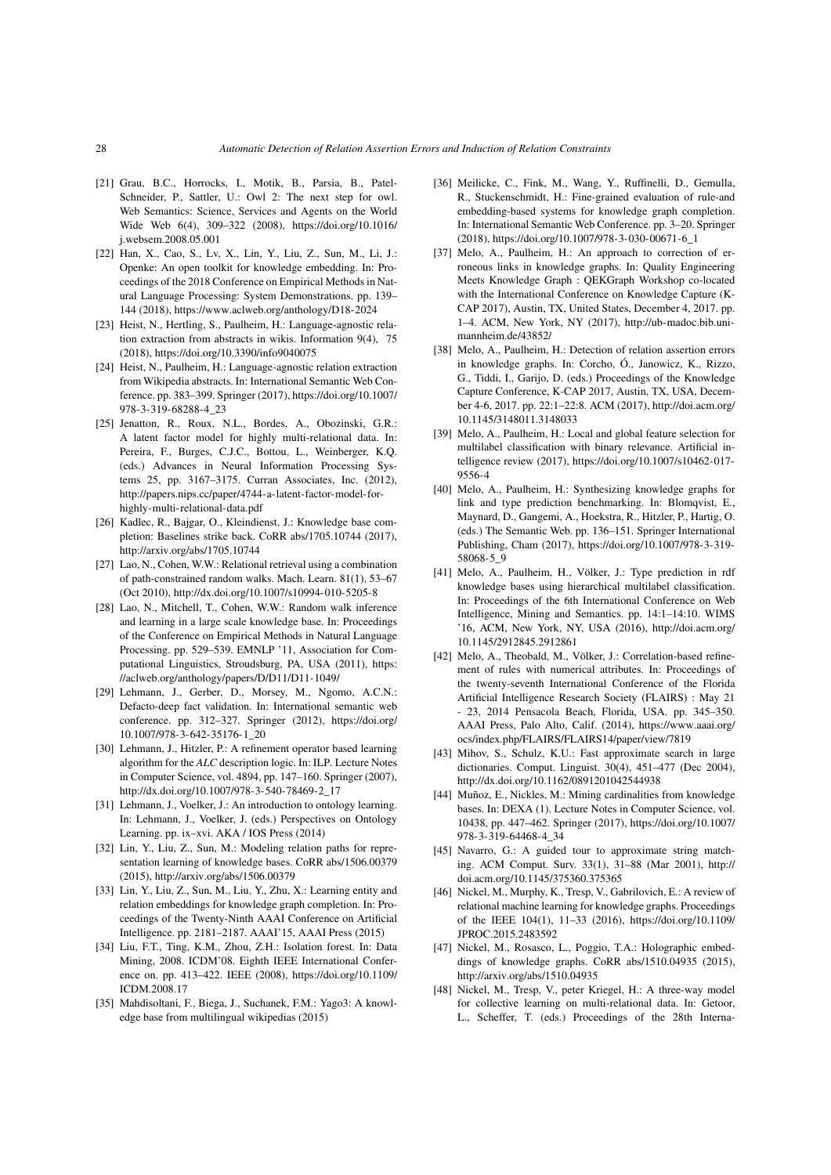- <span id="page-27-3"></span>[21] Grau, B.C., Horrocks, I., Motik, B., Parsia, B., Patel-Schneider, P., Sattler, U.: Owl 2: The next step for owl. Web Semantics: Science, Services and Agents on the World Wide Web 6(4), 309–322 (2008), [https://doi](https://doi.org/10.1016/j.websem.2008.05.001).org/10.1016/ <sup>j</sup>.[websem](https://doi.org/10.1016/j.websem.2008.05.001).2008.05.<sup>001</sup>
- <span id="page-27-18"></span>[22] Han, X., Cao, S., Lv, X., Lin, Y., Liu, Z., Sun, M., Li, J.: Openke: An open toolkit for knowledge embedding. In: Proceedings of the 2018 Conference on Empirical Methods in Natural Language Processing: System Demonstrations. pp. 139– 144 (2018), https://www.aclweb.[org/anthology/D18-2024](https://www.aclweb.org/anthology/D18-2024)
- <span id="page-27-24"></span>[23] Heist, N., Hertling, S., Paulheim, H.: Language-agnostic relation extraction from abstracts in wikis. Information 9(4), 75 (2018), https://doi.org/10.[3390/info9040075](https://doi.org/10.3390/info9040075)
- <span id="page-27-25"></span>[24] Heist, N., Paulheim, H.: Language-agnostic relation extraction from Wikipedia abstracts. In: International Semantic Web Conference. pp. 383–399. Springer (2017), [https://doi](https://doi.org/10.1007/978-3-319-68288-4_23).org/10.1007/ [978-3-319-68288-4\\_23](https://doi.org/10.1007/978-3-319-68288-4_23)
- <span id="page-27-8"></span>[25] Jenatton, R., Roux, N.L., Bordes, A., Obozinski, G.R.: A latent factor model for highly multi-relational data. In: Pereira, F., Burges, C.J.C., Bottou, L., Weinberger, K.Q. (eds.) Advances in Neural Information Processing Systems 25, pp. 3167–3175. Curran Associates, Inc. (2012), http://papers.nips.[cc/paper/4744-a-latent-factor-model-for](http://papers.nips.cc/paper/4744-a-latent-factor-model-for-highly-multi-relational-data.pdf)[highly-multi-relational-data](http://papers.nips.cc/paper/4744-a-latent-factor-model-for-highly-multi-relational-data.pdf).pdf
- <span id="page-27-12"></span>[26] Kadlec, R., Bajgar, O., Kleindienst, J.: Knowledge base completion: Baselines strike back. CoRR abs/1705.10744 (2017), http://arxiv.[org/abs/1705](http://arxiv.org/abs/1705.10744).<sup>10744</sup>
- <span id="page-27-1"></span>[27] Lao, N., Cohen, W.W.: Relational retrieval using a combination of path-constrained random walks. Mach. Learn. 81(1), 53–67 (Oct 2010), http://dx.doi.org/10.[1007/s10994-010-5205-8](http://dx.doi.org/10.1007/s10994-010-5205-8)
- <span id="page-27-6"></span>[28] Lao, N., Mitchell, T., Cohen, W.W.: Random walk inference and learning in a large scale knowledge base. In: Proceedings of the Conference on Empirical Methods in Natural Language Processing. pp. 529–539. EMNLP '11, Association for Computational Linguistics, Stroudsburg, PA, USA (2011), [https:](https://aclweb.org/anthology/papers/D/D11/D11-1049/) //aclweb.[org/anthology/papers/D/D11/D11-1049/](https://aclweb.org/anthology/papers/D/D11/D11-1049/)
- <span id="page-27-26"></span>[29] Lehmann, J., Gerber, D., Morsey, M., Ngomo, A.C.N.: Defacto-deep fact validation. In: International semantic web conference. pp. 312–327. Springer (2012), [https://doi](https://doi.org/10.1007/978-3-642-35176-1_20).org/ <sup>10</sup>.[1007/978-3-642-35176-1\\_20](https://doi.org/10.1007/978-3-642-35176-1_20)
- <span id="page-27-15"></span>[30] Lehmann, J., Hitzler, P.: A refinement operator based learning algorithm for the *ALC* description logic. In: ILP. Lecture Notes in Computer Science, vol. 4894, pp. 147–160. Springer (2007), http://dx.doi.org/10.[1007/978-3-540-78469-2\\_17](http://dx.doi.org/10.1007/978-3-540-78469-2_17)
- <span id="page-27-14"></span>[31] Lehmann, J., Voelker, J.: An introduction to ontology learning. In: Lehmann, J., Voelker, J. (eds.) Perspectives on Ontology Learning. pp. ix–xvi. AKA / IOS Press (2014)
- <span id="page-27-10"></span>[32] Lin, Y., Liu, Z., Sun, M.: Modeling relation paths for representation learning of knowledge bases. CoRR abs/1506.00379 (2015), http://arxiv.[org/abs/1506](http://arxiv.org/abs/1506.00379).<sup>00379</sup>
- <span id="page-27-9"></span>[33] Lin, Y., Liu, Z., Sun, M., Liu, Y., Zhu, X.: Learning entity and relation embeddings for knowledge graph completion. In: Proceedings of the Twenty-Ninth AAAI Conference on Artificial Intelligence. pp. 2181–2187. AAAI'15, AAAI Press (2015)
- <span id="page-27-19"></span>[34] Liu, F.T., Ting, K.M., Zhou, Z.H.: Isolation forest. In: Data Mining, 2008. ICDM'08. Eighth IEEE International Conference on. pp. 413–422. IEEE (2008), [https://doi](https://doi.org/10.1109/ICDM.2008.17).org/10.1109/ [ICDM](https://doi.org/10.1109/ICDM.2008.17).2008.<sup>17</sup>
- <span id="page-27-17"></span>[35] Mahdisoltani, F., Biega, J., Suchanek, F.M.: Yago3: A knowledge base from multilingual wikipedias (2015)
- <span id="page-27-2"></span>[36] Meilicke, C., Fink, M., Wang, Y., Ruffinelli, D., Gemulla, R., Stuckenschmidt, H.: Fine-grained evaluation of rule-and embedding-based systems for knowledge graph completion. In: International Semantic Web Conference. pp. 3–20. Springer (2018), https://doi.org/10.[1007/978-3-030-00671-6\\_1](https://doi.org/10.1007/978-3-030-00671-6_1)
- <span id="page-27-5"></span>[37] Melo, A., Paulheim, H.: An approach to correction of erroneous links in knowledge graphs. In: Quality Engineering Meets Knowledge Graph : QEKGraph Workshop co-located with the International Conference on Knowledge Capture (K-CAP 2017), Austin, TX, United States, December 4, 2017. pp. 1–4. ACM, New York, NY (2017), [http://ub-madoc](http://ub-madoc.bib.uni-mannheim.de/43852/).bib.uni[mannheim](http://ub-madoc.bib.uni-mannheim.de/43852/).de/43852/
- <span id="page-27-4"></span>[38] Melo, A., Paulheim, H.: Detection of relation assertion errors in knowledge graphs. In: Corcho, Ó., Janowicz, K., Rizzo, G., Tiddi, I., Garijo, D. (eds.) Proceedings of the Knowledge Capture Conference, K-CAP 2017, Austin, TX, USA, December 4-6, 2017. pp. 22:1–22:8. ACM (2017), [http://doi](http://doi.acm.org/10.1145/3148011.3148033).acm.org/ <sup>10</sup>.[1145/3148011](http://doi.acm.org/10.1145/3148011.3148033).<sup>3148033</sup>
- <span id="page-27-16"></span>[39] Melo, A., Paulheim, H.: Local and global feature selection for multilabel classification with binary relevance. Artificial intelligence review (2017), https://doi.org/10.[1007/s10462-017-](https://doi.org/10.1007/s10462-017-9556-4) [9556-4](https://doi.org/10.1007/s10462-017-9556-4)
- <span id="page-27-20"></span>[40] Melo, A., Paulheim, H.: Synthesizing knowledge graphs for link and type prediction benchmarking. In: Blomqvist, E., Maynard, D., Gangemi, A., Hoekstra, R., Hitzler, P., Hartig, O. (eds.) The Semantic Web. pp. 136–151. Springer International Publishing, Cham (2017), https://doi.org/10.[1007/978-3-319-](https://doi.org/10.1007/978-3-319-58068-5_9) [58068-5\\_9](https://doi.org/10.1007/978-3-319-58068-5_9)
- <span id="page-27-21"></span>[41] Melo, A., Paulheim, H., Völker, J.: Type prediction in rdf knowledge bases using hierarchical multilabel classification. In: Proceedings of the 6th International Conference on Web Intelligence, Mining and Semantics. pp. 14:1–14:10. WIMS '16, ACM, New York, NY, USA (2016), [http://doi](http://doi.acm.org/10.1145/2912845.2912861).acm.org/ <sup>10</sup>.[1145/2912845](http://doi.acm.org/10.1145/2912845.2912861).<sup>2912861</sup>
- <span id="page-27-27"></span>[42] Melo, A., Theobald, M., Völker, J.: Correlation-based refinement of rules with numerical attributes. In: Proceedings of the twenty-seventh International Conference of the Florida Artificial Intelligence Research Society (FLAIRS) : May 21 - 23, 2014 Pensacola Beach, Florida, USA. pp. 345–350. AAAI Press, Palo Alto, Calif. (2014), [https://www](https://www.aaai.org/ocs/index.php/FLAIRS/FLAIRS14/paper/view/7819).aaai.org/ ocs/index.[php/FLAIRS/FLAIRS14/paper/view/7819](https://www.aaai.org/ocs/index.php/FLAIRS/FLAIRS14/paper/view/7819)
- <span id="page-27-23"></span>[43] Mihov, S., Schulz, K.U.: Fast approximate search in large dictionaries. Comput. Linguist. 30(4), 451–477 (Dec 2004), http://dx.doi.org/10.[1162/0891201042544938](http://dx.doi.org/10.1162/0891201042544938)
- <span id="page-27-13"></span>[44] Muñoz, E., Nickles, M.: Mining cardinalities from knowledge bases. In: DEXA (1). Lecture Notes in Computer Science, vol. 10438, pp. 447–462. Springer (2017), [https://doi](https://doi.org/10.1007/978-3-319-64468-4_34).org/10.1007/ [978-3-319-64468-4\\_34](https://doi.org/10.1007/978-3-319-64468-4_34)
- <span id="page-27-22"></span>[45] Navarro, G.: A guided tour to approximate string matching. ACM Comput. Surv. 33(1), 31–88 (Mar 2001), [http://](http://doi.acm.org/10.1145/375360.375365) doi.acm.org/10.[1145/375360](http://doi.acm.org/10.1145/375360.375365).<sup>375365</sup>
- <span id="page-27-0"></span>[46] Nickel, M., Murphy, K., Tresp, V., Gabrilovich, E.: A review of relational machine learning for knowledge graphs. Proceedings of the IEEE 104(1), 11–33 (2016), [https://doi](https://doi.org/10.1109/JPROC.2015.2483592).org/10.1109/ JPROC.2015.[2483592](https://doi.org/10.1109/JPROC.2015.2483592)
- <span id="page-27-11"></span>[47] Nickel, M., Rosasco, L., Poggio, T.A.: Holographic embeddings of knowledge graphs. CoRR abs/1510.04935 (2015), http://arxiv.[org/abs/1510](http://arxiv.org/abs/1510.04935).<sup>04935</sup>
- <span id="page-27-7"></span>[48] Nickel, M., Tresp, V., peter Kriegel, H.: A three-way model for collective learning on multi-relational data. In: Getoor, L., Scheffer, T. (eds.) Proceedings of the 28th Interna-